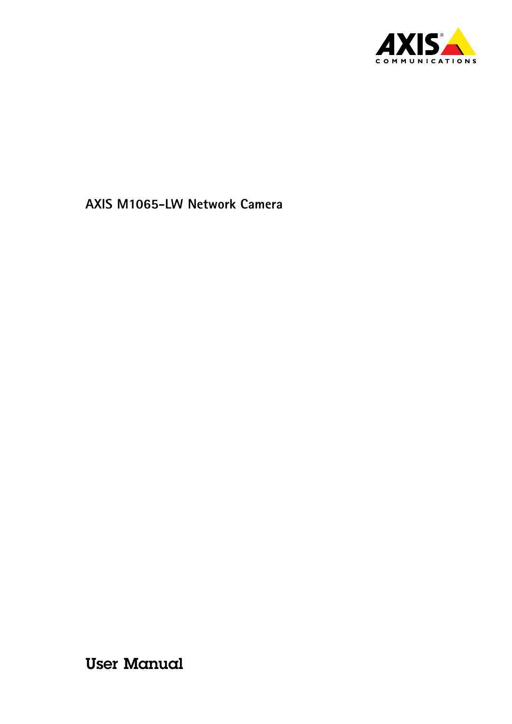

User Manual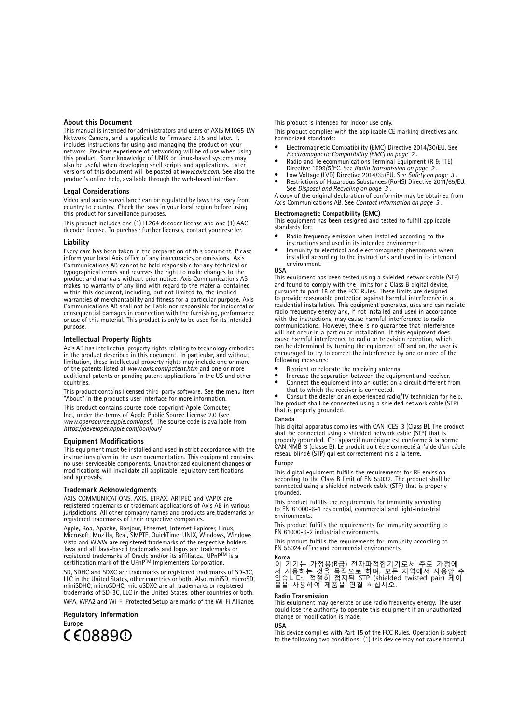#### <span id="page-1-0"></span>**About this Document**

This manual is intended for administrators and users of AXIS M1065-LW Network Camera, and is applicable to firmware 6.15 and later. It includes instructions for using and managing the product on your network. Previous experience of networking will be of use when using this product. Some knowledge of UNIX or Linux-based systems may also be useful when developing shell scripts and applications. Later versions of this document will be posted at *www.axis.com*. See also the product's online help, available through the web-based interface.

#### **Legal Considerations**

Video and audio surveillance can be regulated by laws that vary from country to country. Check the laws in your local region before using this product for surveillance purposes.

This product includes one (1) H.264 decoder license and one (1) AAC decoder license. To purchase further licenses, contact your reseller.

#### **Liability**

Every care has been taken in the preparation of this document. Please inform your local Axis office of any inaccuracies or omissions. Axis Communications AB cannot be held responsible for any technical or typographical errors and reserves the right to make changes to the product and manuals without prior notice. Axis Communications AB makes no warranty of any kind with regard to the material contained within this document, including, but not limited to, the implied warranties of merchantability and fitness for <sup>a</sup> particular purpose. Axis Communications AB shall not be liable nor responsible for incidental or consequential damages in connection with the furnishing, performance or use of this material. This product is only to be used for its intended purpose.

#### **Intellectual Property Rights**

Axis AB has intellectual property rights relating to technology embodied in the product described in this document. In particular, and without limitation, these intellectual property rights may include one or more of the patents listed at *www.axis.com/patent.htm* and one or more additional patents or pending patent applications in the US and other countries.

This product contains licensed third-party software. See the menu item "About" in the product's user interface for more information.

This product contains source code copyright Apple Computer, Inc., under the terms of Apple Public Source License 2.0 (see *www.opensource.apple.com/apsl*). The source code is available from *https://developer.apple.com/bonjour/*

#### **Equipment Modifications**

This equipment must be installed and used in strict accordance with the instructions given in the user documentation. This equipment contains no user-serviceable components. Unauthorized equipment changes or modifications will invalidate all applicable regulatory certifications and approvals.

#### **Trademark Acknowledgments**

AXIS COMMUNICATIONS, AXIS, ETRAX, ARTPEC and VAPIX are registered trademarks or trademark applications of Axis AB in various jurisdictions. All other company names and products are trademarks or registered trademarks of their respective companies.

Apple, Boa, Apache, Bonjour, Ethernet, Internet Explorer, Linux, Microsoft, Mozilla, Real, SMPTE, QuickTime, UNIX, Windows, Windows Vista and WWW are registered trademarks of the respective holders. Java and all Java-based trademarks and logos are trademarks or registered trademarks of Oracle and/or its affiliates. UPnP™ is a<br>certification mark of the UPnP™ Implementers Corporation.

SD, SDHC and SDXC are trademarks or registered trademarks of SD-3C, LLC in the United States, other countries or both. Also, miniSD, microSD, miniSDHC, microSDHC, microSDXC are all trademarks or registered trademarks of SD-3C, LLC in the United States, other countries or both. WPA, WPA2 and Wi-Fi Protected Setup are marks of the Wi-Fi Alliance.

#### **Regulatory Information**

**Europe**



This product is intended for indoor use only.

This product complies with the applicable CE marking directives and<br>harmonized standards:

- •Electromagnetic Compatibility (EMC) Directive 2014/30/EU. See *Electromagnetic Compatibility (EMC) on page <sup>2</sup>* .
- • Radio and Telecommunications Terminal Equipment (R & TTE) Directive 1999/5/EC. See *Radio Transmission on page <sup>2</sup>* .
- • Low Voltage (LVD) Directive 2014/35/EU. See *[Safety](#page-2-0) on page [3](#page-2-0)* . • Restrictions of Hazardous Substances (RoHS) Directive 2011/65/EU. See *Disposal and [Recycling](#page-2-0) on page [3](#page-2-0)* .

A copy of the original declaration of conformity may be obtained from Axis Communications AB. See *Contact [Information](#page-2-0) on page [3](#page-2-0)* .

**Electromagnetic Compatibility (EMC)** This equipment has been designed and tested to fulfill applicable standards for:

- • Radio frequency emission when installed according to the instructions and used in its intended environment.
- • Immunity to electrical and electromagnetic phenomena when installed according to the instructions and used in its intended environment.

#### **USA**

This equipment has been tested using <sup>a</sup> shielded network cable (STP) and found to comply with the limits for <sup>a</sup> Class B digital device, pursuant to part 15 of the FCC Rules. These limits are designed to provide reasonable protection against harmful interference in <sup>a</sup> residential installation. This equipment generates, uses and can radiate radio frequency energy and, if not installed and used in accordance with the instructions, may cause harmful interference to radio communications. However, there is no guarantee that interference will not occur in <sup>a</sup> particular installation. If this equipment does cause harmful interference to radio or television reception, which can be determined by turning the equipment off and on, the user is encouraged to try to correct the interference by one or more of the following measures:

- •Reorient or relocate the receiving antenna.
- •Increase the separation between the equipment and receiver.
- • Connect the equipment into an outlet on <sup>a</sup> circuit different from that to which the receiver is connected.

• Consult the dealer or an experienced radio/TV technician for help. The product shall be connected using <sup>a</sup> shielded network cable (STP) that is properly grounded.

#### **Canada**

This digital apparatus complies with CAN ICES-3 (Class B). The product shall be connected using <sup>a</sup> shielded network cable (STP) that is properly grounded. Cet appareil numérique est conforme à la norme CAN NMB-3 (classe B). Le produit doit être connecté à l'aide d'un câble réseau blindé (STP) qui est correctement mis à la terre.

#### **Europe**

This digital equipment fulfills the requirements for RF emission according to the Class B limit of EN 55032. The product shall be connected using <sup>a</sup> shielded network cable (STP) that is properly grounded.

This product fulfills the requirements for immunity according to EN 61000-6-1 residential, commercial and light-industrial environments.

This product fulfills the requirements for immunity according to EN 61000-6-2 industrial environments.

This product fulfills the requirements for immunity according to EN 55024 office and commercial environments.

**Korea** 이 기기는 가정용(B급) 전자파적합기기로서 주로 가정에 서 사용하는 것을 목적으로 하며, 모든 지역에서 사용할 수 있습니다. 적절히 접지된 STP (shielded twisted pair) 케이 블을 사용하여 제품을 연결 하십시오.

#### **Radio Transmission**

This equipment may generate or use radio frequency energy. The user could lose the authority to operate this equipment if an unauthorized change or modification is made.

#### **USA**

This device complies with Part 15 of the FCC Rules. Operation is subject to the following two conditions: (1) this device may not cause harmful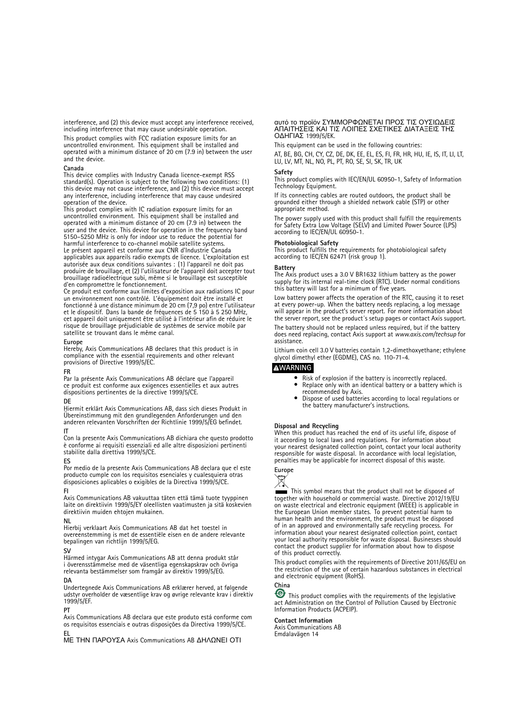<span id="page-2-0"></span>interference, and (2) this device must accept any interference received, including interference that may cause undesirable operation.

This product complies with FCC radiation exposure limits for an uncontrolled environment. This equipment shall be installed and operated with <sup>a</sup> minimum distance of <sup>20</sup> cm (7.9 in) between the user and the device.

#### **Canada**

This device complies with Industry Canada licence-exempt RSS standard(s). Operation is subject to the following two conditions: (1) this device may not cause interference, and (2) this device must accept any interference, including interference that may cause undesired operation of the device.

This product complies with IC radiation exposure limits for an uncontrolled environment. This equipment shall be installed and operated with <sup>a</sup> minimum distance of <sup>20</sup> cm (7.9 in) between the user and the device. This device for operation in the frequency band 5150–5250 MHz is only for indoor use to reduce the potential for harmful interference to co-channel mobile satellite systems. Le présent appareil est conforme aux CNR d'Industrie Canada applicables aux appareils radio exempts de licence. L'exploitation est autorisée aux deux conditions suivantes : (1) l'appareil ne doit pas produire de brouillage, et (2) l'utilisateur de l'appareil doit accepter tout brouillage radioélectrique subi, même si le brouillage est susceptible

d'en compromettre le fonctionnement. Ce produit est conforme aux limites d'exposition aux radiations IC pour un environnement non contrôlé. L'équipement doit être installé et fonctionné à une distance minimum de <sup>20</sup> cm (7,9 po) entre l'utilisateur et le dispositif. Dans la bande de fréquences de 5 150 à 5 250 MHz, cet appareil doit uniquement être utilisé à l'intérieur afin de réduire le risque de brouillage préjudiciable de systèmes de service mobile par satellite se trouvant dans le même canal.

#### **Europe**

Hereby, Axis Communications AB declares that this product is in compliance with the essential requirements and other relevant provisions of Directive 1999/5/EC.

#### **FR**

Par la présente Axis Communications AB déclare que l'appareil ce produit est conforme aux exigences essentielles et aux autres dispositions pertinentes de la directive 1999/5/CE.

#### **DE**

Hiermit erklärt Axis Communications AB, dass sich dieses Produkt in Übereinstimmung mit den grundlegenden Anforderungen und den anderen relevanten Vorschriften der Richtlinie 1999/5/EG befindet.

#### **IT**

Con la presente Axis Communications AB dichiara che questo prodotto è conforme ai requisiti essenziali ed alle altre disposizioni pertinenti stabilite dalla direttiva 1999/5/CE.

#### **ES**

Por medio de la presente Axis Communications AB declara que el este producto cumple con los requisitos esenciales y cualesquiera otras disposiciones aplicables <sup>o</sup> exigibles de la Directiva 1999/5/CE.

#### **FI**

Axis Communications AB vakuuttaa täten että tämä tuote tyyppinen laite on direktiivin 1999/5/EY oleellisten vaatimusten ja sitä koskevien direktiivin muiden ehtojen mukainen.

#### **NL**

Hierbij verklaart Axis Communications AB dat het toestel in overeenstemming is met de essentiële eisen en de andere relevante bepalingen van richtlijn 1999/5/EG.

#### **SV**

Härmed intygar Axis Communications AB att denna produkt står i överensstämmelse med de väsentliga egenskapskrav och övriga relevanta bestämmelser som framgår av direktiv 1999/5/EG.

#### **DA**

Undertegnede Axis Communications AB erklærer herved, at følgende udstyr overholder de væsentlige krav og øvrige relevante krav i direktiv 1999/5/EF.

#### **PT**

Axis Communications AB declara que este produto está conforme com os requisitos essenciais <sup>e</sup> outras disposições da Directiva 1999/5/CE. **EL**

ΜΕ ΤΗΝ ΠΑΡΟΥΣΑ Axis Communications AB ΔΗΛΩΝΕΙ ΟΤΙ

### αυτό το προϊόν ΣΥΜΜΟΡΦΩΝΕΤΑΙ ΠΡΟΣ ΤΙΣ ΟΥΣΙΩΔΕΙΣ ΑΠΑΙΤΗΣΕΙΣ ΚΑΙ ΤΙΣ ΛΟΙΠΕΣ ΣΧΕΤΙΚΕΣ ΔΙΑΤΑΞΕΙΣ ΤΗΣ ΟΔΗΓΙΑΣ 1999/5/EK.

This equipment can be used in the following countries:

AT, BE, BG, CH, CY, CZ, DE, DK, EE, EL, ES, FI, FR, HR, HU, IE, IS, IT, LI, LT, LU, LV, MT, NL, NO, PL, PT, RO, SE, SI, SK, TR, UK

#### **Safety**

This product complies with IEC/EN/UL 60950-1, Safety of Information Technology Equipment.

If its connecting cables are routed outdoors, the product shall be grounded either through a shielded network cable (STP) or other appropriate method.

The power supply used with this product shall fulfill the requirements for Safety Extra Low Voltage (SELV) and Limited Power Source (LPS) according to IEC/EN/UL 60950-1.

**Photobiological Safety** This product fulfills the requirements for photobiological safety according to IEC/EN <sup>62471</sup> (risk group 1).

**Battery** The Axis product uses <sup>a</sup> 3.0 V BR1632 lithium battery as the power supply for its internal real-time clock (RTC). Under normal conditions this battery will last for <sup>a</sup> minimum of five years.

Low battery power affects the operation of the RTC, causing it to reset at every power-up. When the battery needs replacing, <sup>a</sup> log message will appear in the product's server report. For more information about the server report, see the product´s setup pages or contact Axis support.

The battery should not be replaced unless required, but if the battery does need replacing, contact Axis support at *www.axis.com/techsup* for assistance.

Lithium coin cell 3.0 V batteries contain 1,2-dimethoxyethane; ethylene glycol dimethyl ether (EGDME), CAS no. 110-71-4.

#### **WARNING**

- •Risk of explosion if the battery is incorrectly replaced.
- •Replace only with an identical battery or <sup>a</sup> battery which is
- recommended by Axis. Dispose of used batteries according to local regulations or •the battery manufacturer's instructions.

**Disposal and Recycling** When this product has reached the end of its useful life, dispose of it according to local laws and regulations. For information about your nearest designated collection point, contact your local authority responsible for waste disposal. In accordance with local legislation, penalties may be applicable for incorrect disposal of this waste.

# **Europe**

 $\boxtimes$ 

This symbol means that the product shall not be disposed of together with household or commercial waste. Directive 2012/19/EU on waste electrical and electronic equipment (WEEE) is applicable in the European Union member states. To prevent potential harm to human health and the environment, the product must be disposed of in an approved and environmentally safe recycling process. For information about your nearest designated collection point, contact your local authority responsible for waste disposal. Businesses should contact the product supplier for information about how to dispose of this product correctly.

This product complies with the requirements of Directive 2011/65/EU on the restriction of the use of certain hazardous substances in electrical and electronic equipment (RoHS).

### **China**

This product complies with the requirements of the legislative act Administration on the Control of Pollution Caused by Electronic Information Products (ACPEIP).

#### **Contact Information**

Axis Communications AB Emdalavägen 14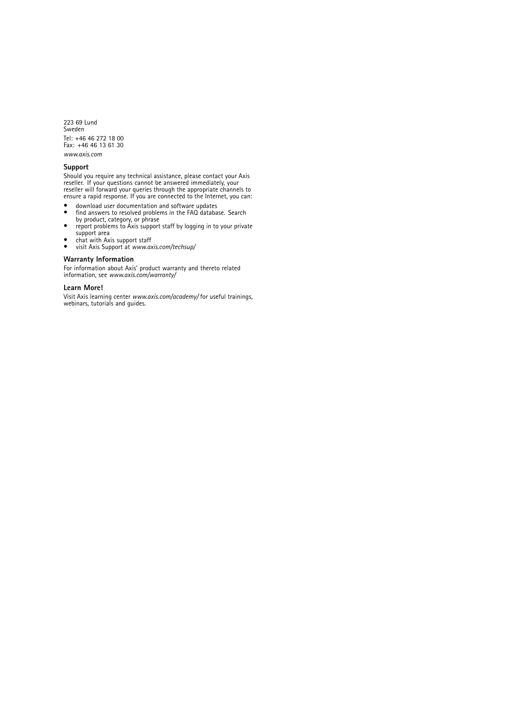223 69 Lund Sweden Tel: +46 46 272 18 00 Fax: +46 46 13 61 30 *www.axis.com*

#### **Support**

Should you require any technical assistance, please contact your Axis<br>reseller. If your questions cannot be answered immediately, your<br>reseller will forward your queries through the appropriate channels to<br>ensure a rapid r

- •
- download user documentation and software updates find answers to resolved problems in the FAQ database. Search •by product, category, or phrase
- •report problems to Axis support staff by logging in to your private
- support area chat with Axis support staff visit Axis Support at *www.axis.com/techsup/* ••
- 

#### **Warranty Information**

For information about Axis' product warranty and thereto related information, see *www.axis.com/warranty/*

#### **Learn More!**

Visit Axis learning center *www.axis.com/academy/* for useful trainings, webinars, tutorials and guides.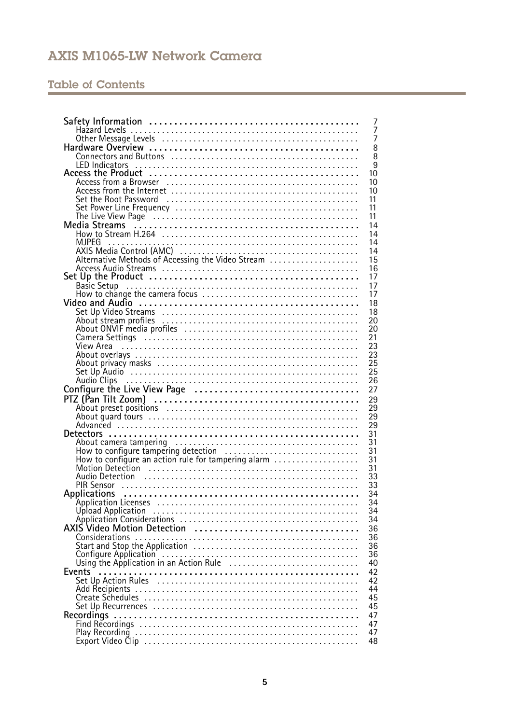# Table of Contents

|                                                                                                                                                                                                                                               | 7              |
|-----------------------------------------------------------------------------------------------------------------------------------------------------------------------------------------------------------------------------------------------|----------------|
|                                                                                                                                                                                                                                               | 7              |
|                                                                                                                                                                                                                                               | $\overline{7}$ |
|                                                                                                                                                                                                                                               | 8              |
|                                                                                                                                                                                                                                               | 8              |
|                                                                                                                                                                                                                                               | $\overline{9}$ |
|                                                                                                                                                                                                                                               | 10             |
|                                                                                                                                                                                                                                               | 10             |
|                                                                                                                                                                                                                                               | 10             |
|                                                                                                                                                                                                                                               | 11             |
|                                                                                                                                                                                                                                               | 11             |
|                                                                                                                                                                                                                                               | 11             |
|                                                                                                                                                                                                                                               | 14             |
|                                                                                                                                                                                                                                               | 14             |
| MJPEG<br>AXIS Media Control (AMC)<br>Aternative Methods of Accessing the Video Stream<br>Alternative Methods of Accessing the Video Stream<br>Alternative Methods of Accessing the Video Stream<br>Alternative Control of Accessing the Video | 14             |
|                                                                                                                                                                                                                                               | 14             |
|                                                                                                                                                                                                                                               | 15             |
|                                                                                                                                                                                                                                               | 16             |
|                                                                                                                                                                                                                                               | 17             |
| Set Up the Product<br>Basic Setup<br>How to change the camera focus                                                                                                                                                                           | 17             |
|                                                                                                                                                                                                                                               | 17             |
|                                                                                                                                                                                                                                               | 18             |
|                                                                                                                                                                                                                                               | 18             |
|                                                                                                                                                                                                                                               | 20             |
|                                                                                                                                                                                                                                               | 20             |
| Camera Settings (2000) (2000) (2000) (2000) (2000) (2000) (2000) (2000) (2000) (2000) (2000) (2000) (2000) (20                                                                                                                                | 21             |
|                                                                                                                                                                                                                                               | 23             |
|                                                                                                                                                                                                                                               | 23             |
|                                                                                                                                                                                                                                               | 25             |
|                                                                                                                                                                                                                                               | 25             |
|                                                                                                                                                                                                                                               | 26             |
|                                                                                                                                                                                                                                               | 27             |
|                                                                                                                                                                                                                                               | 29             |
|                                                                                                                                                                                                                                               | 29             |
|                                                                                                                                                                                                                                               | 29             |
|                                                                                                                                                                                                                                               | 29             |
|                                                                                                                                                                                                                                               | 31             |
|                                                                                                                                                                                                                                               | 31             |
| How to configure tampering detection<br>How to configure an action rule for tampering alarm                                                                                                                                                   | 31             |
|                                                                                                                                                                                                                                               | 31             |
|                                                                                                                                                                                                                                               | 31             |
|                                                                                                                                                                                                                                               | 33             |
|                                                                                                                                                                                                                                               | 33             |
|                                                                                                                                                                                                                                               | 34             |
|                                                                                                                                                                                                                                               | 34             |
|                                                                                                                                                                                                                                               | 34             |
|                                                                                                                                                                                                                                               | 34             |
|                                                                                                                                                                                                                                               | 36             |
|                                                                                                                                                                                                                                               | 36             |
|                                                                                                                                                                                                                                               | 36             |
|                                                                                                                                                                                                                                               | 36             |
|                                                                                                                                                                                                                                               | 40             |
| Events                                                                                                                                                                                                                                        | 42             |
|                                                                                                                                                                                                                                               | 42             |
|                                                                                                                                                                                                                                               | 44             |
|                                                                                                                                                                                                                                               | 45             |
|                                                                                                                                                                                                                                               | 45             |
|                                                                                                                                                                                                                                               | 47             |
|                                                                                                                                                                                                                                               | 47             |
|                                                                                                                                                                                                                                               | 47             |
|                                                                                                                                                                                                                                               | 48             |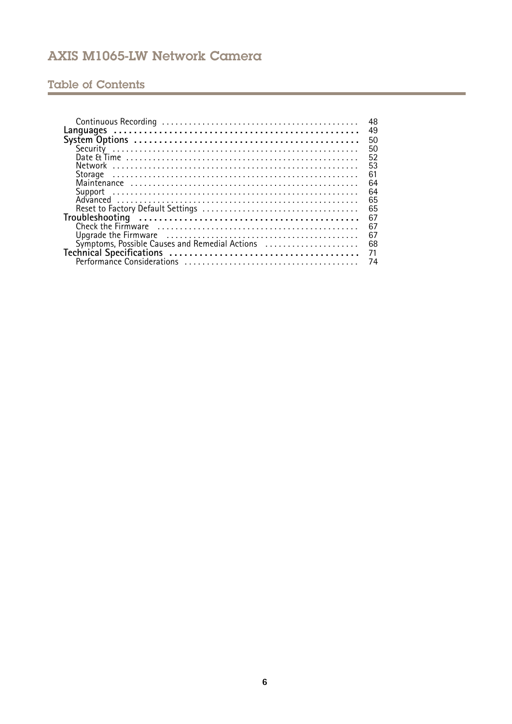# Table of Contents

| 49                                                   |
|------------------------------------------------------|
| 50                                                   |
| 50                                                   |
| 52                                                   |
| 53                                                   |
| 61                                                   |
| 64                                                   |
| 64                                                   |
| 65                                                   |
| 65                                                   |
| 67                                                   |
| 67                                                   |
| 67                                                   |
| Symptoms, Possible Causes and Remedial Actions<br>68 |
|                                                      |
|                                                      |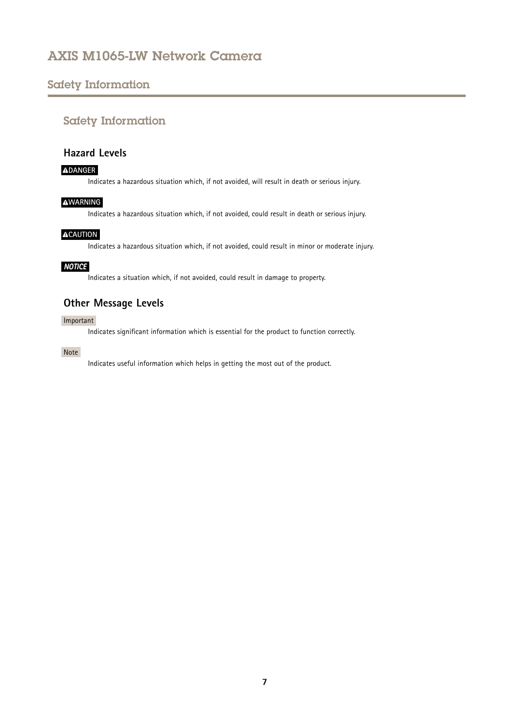## <span id="page-6-0"></span>Safety Information

## Safety Information

### **Hazard Levels**

#### **DANGER**

Indicates <sup>a</sup> hazardous situation which, if not avoided, will result in death or serious injury.

### **WARNING**

Indicates <sup>a</sup> hazardous situation which, if not avoided, could result in death or serious injury.

### **ACAUTION**

Indicates <sup>a</sup> hazardous situation which, if not avoided, could result in minor or moderate injury.

#### *NOTICE*

Indicates <sup>a</sup> situation which, if not avoided, could result in damage to property.

### **Other Message Levels**

#### Important

Indicates significant information which is essential for the product to function correctly.

#### Note

Indicates useful information which helps in getting the most out of the product.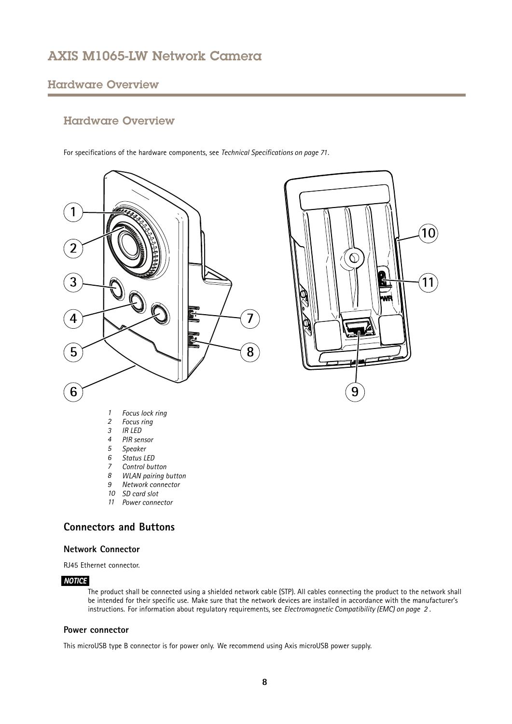### <span id="page-7-0"></span>Hardware Overview

### Hardware Overview

For specifications of the hardware components, see *Technical [Specifications](#page-70-0) on page [71](#page-70-0)*.





- *2 Focus ring*
- *3 IR LED*
- *4 PIR sensor*
- *5 Speaker*
- *6 Status LED*
- *7 Control button*
- 
- *8 WLAN pairing button 9 Network connector*
- *10 SD card slot*
- *11 Power connector*

### **Connectors and Buttons**

#### **Network Connector**

RJ45 Ethernet connector.

#### *NOTICE*

The product shall be connected using <sup>a</sup> shielded network cable (STP). All cables connecting the product to the network shall be intended for their specific use. Make sure that the network devices are installed in accordance with the manufacturer's instructions. For information about regulatory requirements, see *[Electromagnetic](#page-1-0) Compatibility (EMC) on page [2](#page-1-0)* .

#### **Power connector**

This microUSB type B connector is for power only. We recommend using Axis microUSB power supply.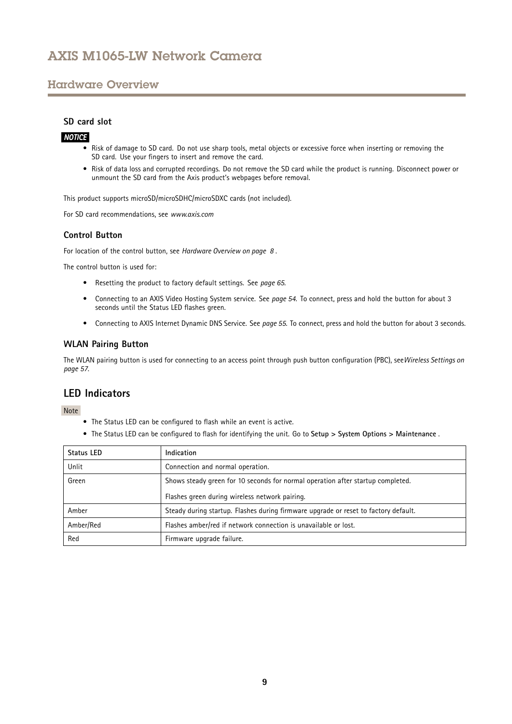### <span id="page-8-0"></span>Hardware Overview

#### **SD card slot**

### *NOTICE*

- Risk of damage to SD card. Do not use sharp tools, metal objects or excessive force when inserting or removing the SD card. Use your fingers to insert and remove the card.
- Risk of data loss and corrupted recordings. Do not remove the SD card while the product is running. Disconnect power or unmount the SD card from the Axis product's webpages before removal.

This product supports microSD/microSDHC/microSDXC cards (not included).

For SD card recommendations, see *www.axis.com*

### **Control Button**

For location of the control button, see *[Hardware](#page-7-0) Overview on page [8](#page-7-0)* .

The control button is used for:

- Resetting the product to factory default settings. See *[page](#page-64-0) [65](#page-64-0)*.
- • Connecting to an AXIS Video Hosting System service. See *[page](#page-53-0) [54](#page-53-0)*. To connect, press and hold the button for about 3 seconds until the Status LED flashes green.
- Connecting to AXIS Internet Dynamic DNS Service. See *[page](#page-54-0) [55](#page-54-0)*. To connect, press and hold the button for about 3 seconds.

#### **WLAN Pairing Button**

The WLAN pairing button is used for connecting to an access point through push button configuration (PBC), see*Wireless [Settings](#page-56-0) on [page](#page-56-0) [57](#page-56-0)*.

### **LED Indicators**

Note

- The Status LED can be configured to flash while an event is active.
- The Status LED can be configured to flash for identifying the unit. Go to **Setup <sup>&</sup>gt; System Options <sup>&</sup>gt; Maintenance** .

| Status LED | Indication                                                                          |
|------------|-------------------------------------------------------------------------------------|
| Unlit      | Connection and normal operation.                                                    |
| Green      | Shows steady green for 10 seconds for normal operation after startup completed.     |
|            | Flashes green during wireless network pairing.                                      |
| Amber      | Steady during startup. Flashes during firmware upgrade or reset to factory default. |
| Amber/Red  | Flashes amber/red if network connection is unavailable or lost.                     |
| Red        | Firmware upgrade failure.                                                           |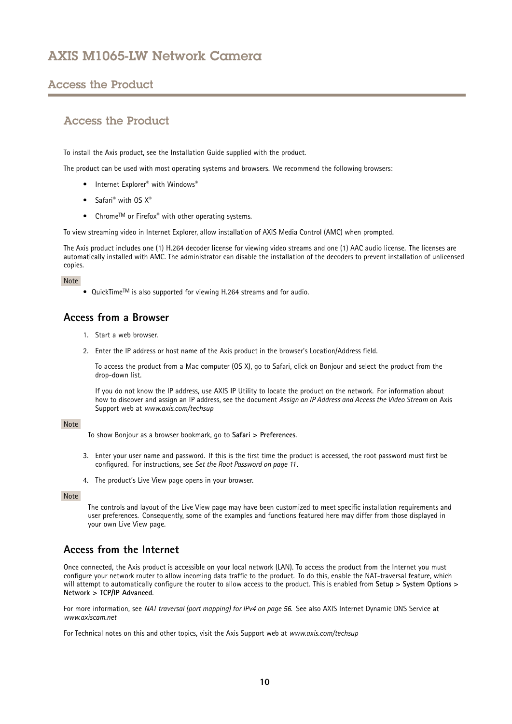### <span id="page-9-0"></span>Access the Product

### Access the Product

To install the Axis product, see the Installation Guide supplied with the product.

The product can be used with most operating systems and browsers. We recommend the following browsers:

- $\bullet$  Internet Explorer® with Windows®
- Safari<sup>®</sup> with OS X<sup>®</sup>
- Chrome<sup>TM</sup> or Firefox<sup>®</sup> with other operating systems.

To view streaming video in Internet Explorer, allow installation of AXIS Media Control (AMC) when prompted.

The Axis product includes one (1) H.264 decoder license for viewing video streams and one (1) AAC audio license. The licenses are automatically installed with AMC. The administrator can disable the installation of the decoders to prevent installation of unlicensed copies.

#### Note

• QuickTime<sup>TM</sup> is also supported for viewing H.264 streams and for audio.

### **Access from <sup>a</sup> Browser**

- 1. Start <sup>a</sup> web browser.
- 2. Enter the IP address or host name of the Axis product in the browser's Location/Address field.

To access the product from <sup>a</sup> Mac computer (OS X), go to Safari, click on Bonjour and select the product from the drop-down list.

If you do not know the IP address, use AXIS IP Utility to locate the product on the network. For information about how to discover and assign an IP address, see the document *Assign an IP Address and Access the Video Stream* on Axis Support web at *www.axis.com/techsup*

#### Note

- To show Bonjour as <sup>a</sup> browser bookmark, go to **Safari <sup>&</sup>gt; Preferences**.
- 3. Enter your user name and password. If this is the first time the product is accessed, the root password must first be configured. For instructions, see *Set the Root [Password](#page-10-0) on page [11](#page-10-0)*.
- 4. The product's Live View page opens in your browser.

### Note

The controls and layout of the Live View page may have been customized to meet specific installation requirements and user preferences. Consequently, some of the examples and functions featured here may differ from those displayed in your own Live View page.

### **Access from the Internet**

Once connected, the Axis product is accessible on your local network (LAN). To access the product from the Internet you must configure your network router to allow incoming data traffic to the product. To do this, enable the NAT-traversal feature, which will attempt to automatically configure the router to allow access to the product. This is enabled from **Setup <sup>&</sup>gt; System Options <sup>&</sup>gt; Network <sup>&</sup>gt; TCP/IP Advanced**.

For more information, see *NAT [traversal](#page-55-0) (port mapping) for IPv4 on page [56](#page-55-0)*. See also AXIS Internet Dynamic DNS Service at *www.axiscam.net*

For Technical notes on this and other topics, visit the Axis Support web at *www.axis.com/techsup*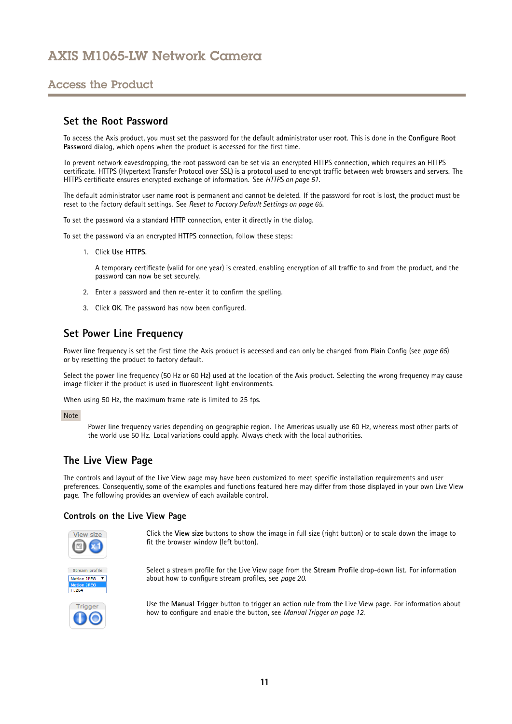## <span id="page-10-0"></span>Access the Product

### **Set the Root Password**

To access the Axis product, you must set the password for the default administrator user **root**. This is done in the **Configure Root Password** dialog, which opens when the product is accessed for the first time.

To prevent network eavesdropping, the root password can be set via an encrypted HTTPS connection, which requires an HTTPS certificate. HTTPS (Hypertext Transfer Protocol over SSL) is <sup>a</sup> protocol used to encrypt traffic between web browsers and servers. The HTTPS certificate ensures encrypted exchange of information. See *[HTTPS](#page-50-0) on page [51](#page-50-0)*.

The default administrator user name **root** is permanent and cannot be deleted. If the password for root is lost, the product must be reset to the factory default settings. See *Reset to Factory Default [Settings](#page-64-0) on page [65](#page-64-0)*.

To set the password via <sup>a</sup> standard HTTP connection, enter it directly in the dialog.

To set the password via an encrypted HTTPS connection, follow these steps:

1. Click **Use HTTPS**.

A temporary certificate (valid for one year) is created, enabling encryption of all traffic to and from the product, and the password can now be set securely.

- 2. Enter <sup>a</sup> password and then re-enter it to confirm the spelling.
- 3. Click **OK**. The password has now been configured.

### **Set Power Line Frequency**

Power line frequency is set the first time the Axis product is accessed and can only be changed from Plain Config (see *[page](#page-64-0) [65](#page-64-0)*) or by resetting the product to factory default.

Select the power line frequency (50 Hz or 60 Hz) used at the location of the Axis product. Selecting the wrong frequency may cause image flicker if the product is used in fluorescent light environments.

When using 50 Hz, the maximum frame rate is limited to 25 fps.

#### Note

Power line frequency varies depending on geographic region. The Americas usually use 60 Hz, whereas most other parts of the world use 50 Hz. Local variations could apply. Always check with the local authorities.

### **The Live View Page**

The controls and layout of the Live View page may have been customized to meet specific installation requirements and user preferences. Consequently, some of the examples and functions featured here may differ from those displayed in your own Live View page. The following provides an overview of each available control.

#### **Controls on the Live View Page**



Click the **View size** buttons to show the image in full size (right button) or to scale down the image to fit the browser window (left button).



Select <sup>a</sup> stream profile for the Live View page from the **Stream Profile** drop-down list. For information about how to configure stream profiles, see *[page](#page-19-0) [20](#page-19-0)*.



Use the **Manual Trigger** button to trigger an action rule from the Live View page. For information about how to configure and enable the button, see *Manual [Trigger](#page-11-0) on page [12](#page-11-0)*.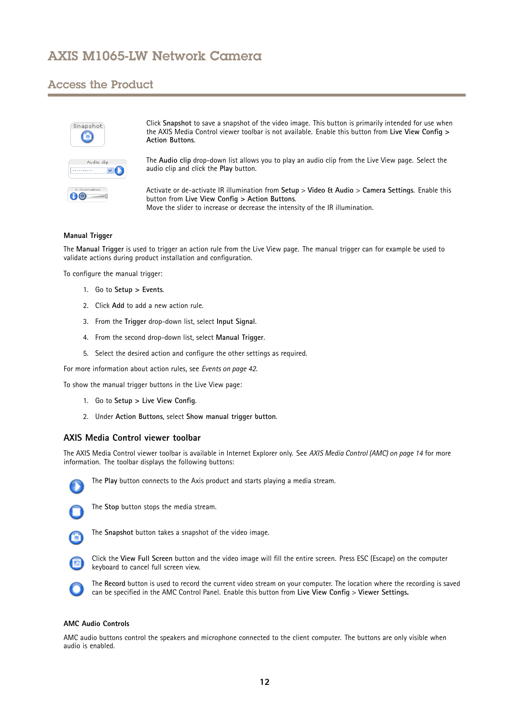### <span id="page-11-0"></span>Access the Product



Click **Snapshot** to save <sup>a</sup> snapshot of the video image. This button is primarily intended for use when the AXIS Media Control viewer toolbar is not available. Enable this button from **Live View Config <sup>&</sup>gt; Action Buttons**.

The **Audio clip** drop-down list allows you to play an audio clip from the Live View page. Select the audio clip and click the **Play** button.

Activate or de-activate IR illumination from **Setup** <sup>&</sup>gt; **Video & Audio** <sup>&</sup>gt; **Camera Settings**. Enable this button from **Live View Config <sup>&</sup>gt; Action Buttons**. Move the slider to increase or decrease the intensity of the IR illumination.

#### **Manual Trigger**

The **Manual Trigger** is used to trigger an action rule from the Live View page. The manual trigger can for example be used to validate actions during product installation and configuration.

To configure the manual trigger:

- 1. Go to **Setup <sup>&</sup>gt; Events**.
- 2. Click **Add** to add <sup>a</sup> new action rule.
- 3. From the **Trigger** drop-down list, select **Input Signal**.
- 4. From the second drop-down list, select **Manual Trigger**.
- 5. Select the desired action and configure the other settings as required.

For more information about action rules, see *[Events](#page-41-0) on page [42](#page-41-0)*.

To show the manual trigger buttons in the Live View page:

- 1. Go to **Setup <sup>&</sup>gt; Live View Config**.
- 2. Under **Action Buttons**, select **Show manual trigger button**.

#### **AXIS Media Control viewer toolbar**

The AXIS Media Control viewer toolbar is available in Internet Explorer only. See *AXIS Media Control [\(AMC\)](#page-13-0) on page [14](#page-13-0)* for more information. The toolbar displays the following buttons:



The **Play** button connects to the Axis product and starts playing <sup>a</sup> media stream.



The **Stop** button stops the media stream.



The **Snapshot** button takes <sup>a</sup> snapshot of the video image.



Click the **View Full Screen** button and the video image will fill the entire screen. Press ESC (Escape) on the computer keyboard to cancel full screen view.



The **Record** button is used to record the current video stream on your computer. The location where the recording is saved can be specified in the AMC Control Panel. Enable this button from **Live View Config** <sup>&</sup>gt; **Viewer Settings.**

#### **AMC Audio Controls**

AMC audio buttons control the speakers and microphone connected to the client computer. The buttons are only visible when audio is enabled.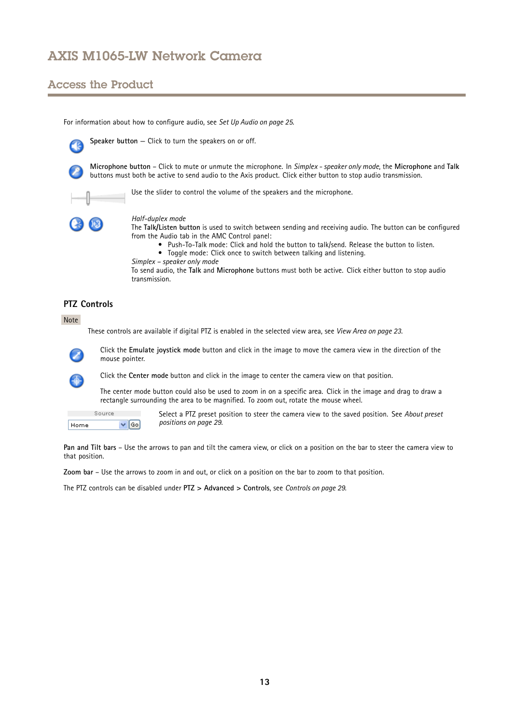## Access the Product

For information about how to configure audio, see *Set Up [Audio](#page-24-0) on page [25](#page-24-0)*.



**Speaker button** — Click to turn the speakers on or off.



**Microphone button** – Click to mute or unmute the microphone. In *Simplex - speaker only mode*, the **Microphone** and **Talk** buttons must both be active to send audio to the Axis product. Click either button to stop audio transmission.



Use the slider to control the volume of the speakers and the microphone.



#### *Half-duplex mode*

The **Talk/Listen button** is used to switch between sending and receiving audio. The button can be configured from the Audio tab in the AMC Control panel:

- Push-To-Talk mode: Click and hold the button to talk/send. Release the button to listen.
- Toggle mode: Click once to switch between talking and listening.
- *Simplex – speaker only mode*

To send audio, the **Talk** and **Microphone** buttons must both be active. Click either button to stop audio transmission.

### **PTZ Controls**

#### Note

These controls are available if digital PTZ is enabled in the selected view area, see *View Area on [page](#page-22-0) [23](#page-22-0)*.



4

Click the **Emulate joystick mode** button and click in the image to move the camera view in the direction of the mouse pointer.



The center mode button could also be used to zoom in on <sup>a</sup> specific area. Click in the image and drag to draw <sup>a</sup> rectangle surrounding the area to be magnified. To zoom out, rotate the mouse wheel.

Source Home  $\vee$  60 Select <sup>a</sup> PTZ preset position to steer the camera view to the saved position. See *About [preset](#page-28-0) pos[itions](#page-28-0) on page [29](#page-28-0)*.

**Pan and Tilt bars** – Use the arrows to pan and tilt the camera view, or click on <sup>a</sup> position on the bar to steer the camera view to that position.

**Zoom bar** – Use the arrows to zoom in and out, or click on <sup>a</sup> position on the bar to zoom to that position.

The PTZ controls can be disabled under **PTZ <sup>&</sup>gt; Advanced <sup>&</sup>gt; Controls**, see *[Controls](#page-28-0) on page [29](#page-28-0)*.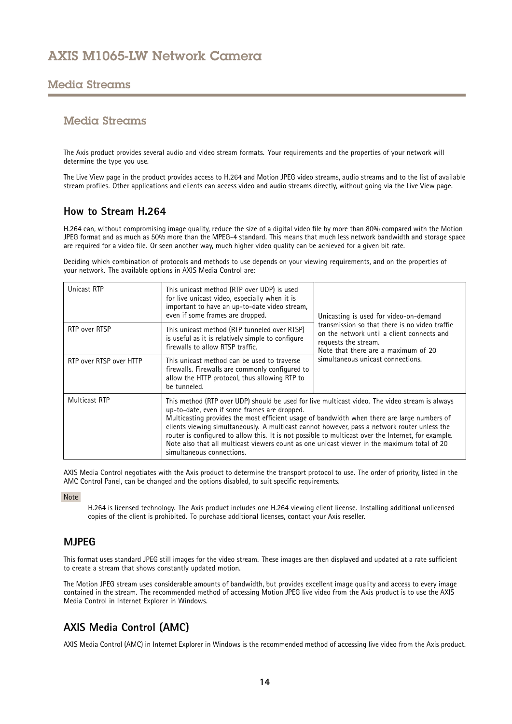### <span id="page-13-0"></span>Media Streams

### Media Streams

The Axis product provides several audio and video stream formats. Your requirements and the properties of your network will determine the type you use.

The Live View page in the product provides access to H.264 and Motion JPEG video streams, audio streams and to the list of available stream profiles. Other applications and clients can access video and audio streams directly, without going via the Live View page.

### **How to Stream H.264**

H.264 can, without compromising image quality, reduce the size of <sup>a</sup> digital video file by more than 80% compared with the Motion JPEG format and as much as 50% more than the MPEG-4 standard. This means that much less network bandwidth and storage space are required for <sup>a</sup> video file. Or seen another way, much higher video quality can be achieved for <sup>a</sup> given bit rate.

Deciding which combination of protocols and methods to use depends on your viewing requirements, and on the properties of your network. The available options in AXIS Media Control are:

| Unicast RTP             | This unicast method (RTP over UDP) is used<br>for live unicast video, especially when it is<br>important to have an up-to-date video stream,<br>even if some frames are dropped.                                                                                                                                                                                                                                                                                                                                                                                                 | Unicasting is used for video-on-demand                                                                                                                      |  |
|-------------------------|----------------------------------------------------------------------------------------------------------------------------------------------------------------------------------------------------------------------------------------------------------------------------------------------------------------------------------------------------------------------------------------------------------------------------------------------------------------------------------------------------------------------------------------------------------------------------------|-------------------------------------------------------------------------------------------------------------------------------------------------------------|--|
| RTP over RTSP           | This unicast method (RTP tunneled over RTSP)<br>is useful as it is relatively simple to configure<br>firewalls to allow RTSP traffic.                                                                                                                                                                                                                                                                                                                                                                                                                                            | transmission so that there is no video traffic<br>on the network until a client connects and<br>requests the stream.<br>Note that there are a maximum of 20 |  |
| RTP over RTSP over HTTP | This unicast method can be used to traverse<br>firewalls. Firewalls are commonly configured to<br>allow the HTTP protocol, thus allowing RTP to<br>be tunneled.                                                                                                                                                                                                                                                                                                                                                                                                                  | simultaneous unicast connections.                                                                                                                           |  |
| <b>Multicast RTP</b>    | This method (RTP over UDP) should be used for live multicast video. The video stream is always<br>up-to-date, even if some frames are dropped.<br>Multicasting provides the most efficient usage of bandwidth when there are large numbers of<br>clients viewing simultaneously. A multicast cannot however, pass a network router unless the<br>router is configured to allow this. It is not possible to multicast over the Internet, for example.<br>Note also that all multicast viewers count as one unicast viewer in the maximum total of 20<br>simultaneous connections. |                                                                                                                                                             |  |

AXIS Media Control negotiates with the Axis product to determine the transport protocol to use. The order of priority, listed in the AMC Control Panel, can be changed and the options disabled, to suit specific requirements.

Note

H.264 is licensed technology. The Axis product includes one H.264 viewing client license. Installing additional unlicensed copies of the client is prohibited. To purchase additional licenses, contact your Axis reseller.

### **MJPEG**

This format uses standard JPEG still images for the video stream. These images are then displayed and updated at <sup>a</sup> rate sufficient to create <sup>a</sup> stream that shows constantly updated motion.

The Motion JPEG stream uses considerable amounts of bandwidth, but provides excellent image quality and access to every image contained in the stream. The recommended method of accessing Motion JPEG live video from the Axis product is to use the AXIS Media Control in Internet Explorer in Windows.

### **AXIS Media Control (AMC)**

AXIS Media Control (AMC) in Internet Explorer in Windows is the recommended method of accessing live video from the Axis product.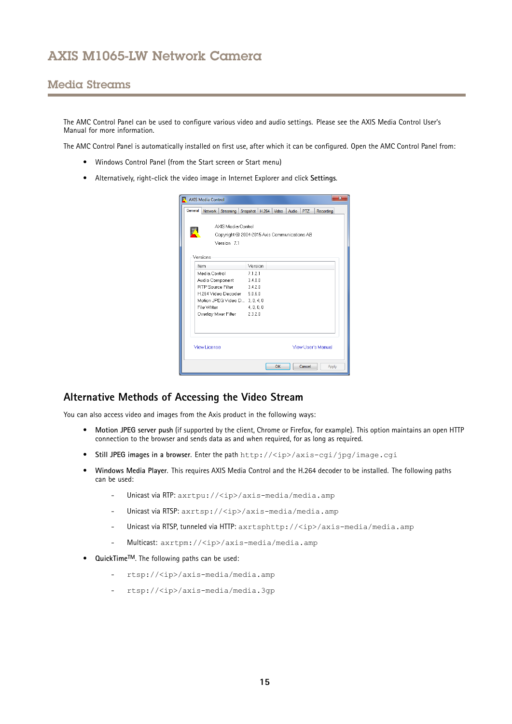### <span id="page-14-0"></span>Media Streams

The AMC Control Panel can be used to configure various video and audio settings. Please see the AXIS Media Control User's Manual for more information.

The AMC Control Panel is automatically installed on first use, after which it can be configured. Open the AMC Control Panel from:

- Windows Control Panel (from the Start screen or Start menu)
- Alternatively, right-click the video image in Internet Explorer and click **Settings**.

| General<br>Network  <br>Streaming<br>Snapshot<br>AXIS Media Control | H.264<br>Video                                    | Audio | <b>PTZ</b> |                    |  |
|---------------------------------------------------------------------|---------------------------------------------------|-------|------------|--------------------|--|
|                                                                     |                                                   |       |            | Recording          |  |
|                                                                     |                                                   |       |            |                    |  |
|                                                                     |                                                   |       |            |                    |  |
|                                                                     | K<br>Copyright @ 2004-2015 Axis Communications AB |       |            |                    |  |
| Version 7.1                                                         |                                                   |       |            |                    |  |
|                                                                     |                                                   |       |            |                    |  |
| Versions                                                            |                                                   |       |            |                    |  |
|                                                                     |                                                   |       |            |                    |  |
| Version<br>Item                                                     |                                                   |       |            |                    |  |
| Media Control<br>7121                                               |                                                   |       |            |                    |  |
| Audio Component 3.4.0.0                                             |                                                   |       |            |                    |  |
| RTP Source Filter 3.4.2.0                                           |                                                   |       |            |                    |  |
| H.264 Video Decoder 5.0.6.0                                         |                                                   |       |            |                    |  |
| Motion JPEG Video D., 3, 0, 4, 0                                    |                                                   |       |            |                    |  |
| File Writer<br>4, 0, 0, 0                                           |                                                   |       |            |                    |  |
| Overlay Mixer Filter 2.3.2.0                                        |                                                   |       |            |                    |  |
|                                                                     |                                                   |       |            |                    |  |
|                                                                     |                                                   |       |            |                    |  |
|                                                                     |                                                   |       |            |                    |  |
|                                                                     |                                                   |       |            |                    |  |
| View License                                                        |                                                   |       |            | View User's Manual |  |
|                                                                     |                                                   |       |            |                    |  |
|                                                                     |                                                   |       |            |                    |  |

### **Alternative Methods of Accessing the Video Stream**

You can also access video and images from the Axis product in the following ways:

- • **Motion JPEG server push** (if supported by the client, Chrome or Firefox, for example). This option maintains an open HTTP connection to the browser and sends data as and when required, for as long as required.
- •**Still JPEG images in <sup>a</sup> browser**. Enter the path http://<ip>/axis-cgi/jpg/image.cgi
- • **Windows Media Player**. This requires AXIS Media Control and the H.264 decoder to be installed. The following paths can be used:
	- Unicast via RTP: axrtpu://<ip>/axis-media/media.amp
	- Unicast via RTSP: axrtsp://<ip>/axis-media/media.amp
	- -Unicast via RTSP, tunneled via HTTP: axrtsphttp://<ip>/axis-media/media.amp
	- Multicast: axrtpm://<ip>/axis-media/media.amp
- **QuickTimeTM**. The following paths can be used:
	- rtsp://<ip>/axis-media/media.amp
	- rtsp://<ip>/axis-media/media.3gp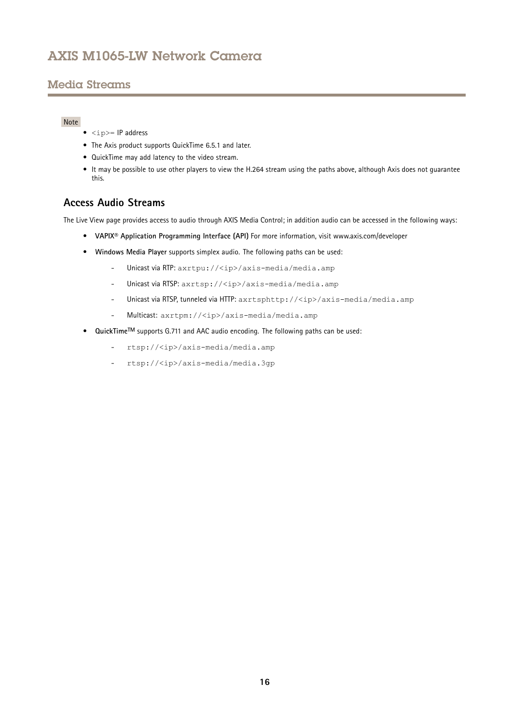## <span id="page-15-0"></span>Media Streams

### Note

- $\langle$ ip>= IP address
- The Axis product supports QuickTime 6.5.1 and later.
- QuickTime may add latency to the video stream.
- It may be possible to use other players to view the H.264 stream using the paths above, although Axis does not guarantee this.

### **Access Audio Streams**

The Live View page provides access to audio through AXIS Media Control; in addition audio can be accessed in the following ways:

- **VAPIX® Application Programming Interface (API)** For more information, visit www.axis.com/developer
- **Windows Media Player** supports simplex audio. The following paths can be used:
	- -Unicast via RTP: axrtpu://<ip>/axis-media/media.amp
	- -Unicast via RTSP: axrtsp://<ip>/axis-media/media.amp
	- -Unicast via RTSP, tunneled via HTTP: axrtsphttp://<ip>/axis-media/media.amp
	- -Multicast: axrtpm://<ip>/axis-media/media.amp
- **QuickTimeTM** supports G.711 and AAC audio encoding. The following paths can be used:
	- rtsp://<ip>/axis-media/media.amp
	- rtsp://<ip>/axis-media/media.3gp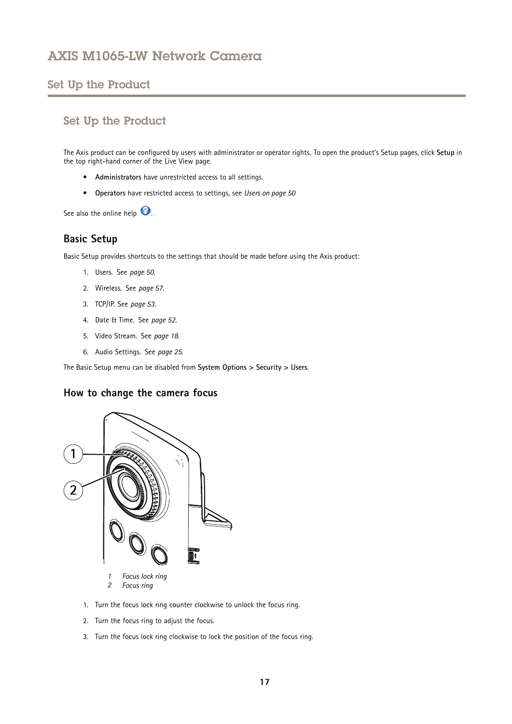### <span id="page-16-0"></span>Set Up the Product

### Set Up the Product

The Axis product can be configured by users with administrator or operator rights. To open the product's Setup pages, click **Setup** in the top right-hand corner of the Live View page.

- **Administrators** have unrestricted access to all settings.
- **Operators** have restricted access to settings, see *[Users](#page-49-0) on page [50](#page-49-0)*

See also the online help  $\bullet$ .

### **Basic Setup**

Basic Setup provides shortcuts to the settings that should be made before using the Axis product:

- 1. Users. See *[page](#page-49-0) [50](#page-49-0)*.
- 2. Wireless. See *[page](#page-56-0) [57](#page-56-0)*.
- 3. TCP/IP. See *[page](#page-52-0) [53](#page-52-0)*.
- 4. Date & Time. See *[page](#page-51-0) [52](#page-51-0)*.
- 5. Video Stream. See *[page](#page-17-0) [18](#page-17-0)*.
- 6. Audio Settings. See *[page](#page-24-0) [25](#page-24-0)*.

The Basic Setup menu can be disabled from **System Options <sup>&</sup>gt; Security <sup>&</sup>gt; Users**.

### **How to change the camera focus**



- 1. Turn the focus lock ring counter clockwise to unlock the focus ring.
- 2. Turn the focus ring to adjust the focus.
- 3. Turn the focus lock ring clockwise to lock the position of the focus ring.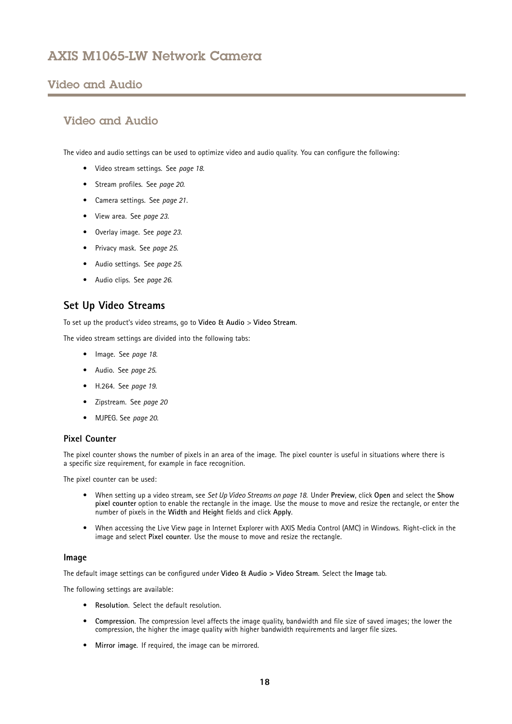### <span id="page-17-0"></span>Video and Audio

### Video and Audio

The video and audio settings can be used to optimize video and audio quality. You can configure the following:

- Video stream settings. See *page 18*.
- Stream profiles. See *[page](#page-19-0) [20](#page-19-0)*.
- Camera settings. See *[page](#page-20-0) [21](#page-20-0)*.
- View area. See *[page](#page-22-0) [23](#page-22-0)*.
- Overlay image. See *[page](#page-22-0) [23](#page-22-0)*.
- Privacy mask. See *[page](#page-24-0) [25](#page-24-0)*.
- Audio settings. See *[page](#page-24-0) [25](#page-24-0)*.
- Audio clips. See *[page](#page-25-0) [26](#page-25-0)*.

### **Set Up Video Streams**

To set up the product's video streams, go to **Video & Audio** <sup>&</sup>gt; **Video Stream**.

The video stream settings are divided into the following tabs:

- Image. See *page 18*.
- Audio. See *[page](#page-24-0) [25](#page-24-0)*.
- H.264. See *[page](#page-18-0) [19](#page-18-0)*.
- Zipstream. See *[page](#page-19-0) [20](#page-19-0)*
- MJPEG. See *[page](#page-19-0) [20](#page-19-0)*.

#### **Pixel Counter**

The pixel counter shows the number of pixels in an area of the image. The pixel counter is useful in situations where there is <sup>a</sup> specific size requirement, for example in face recognition.

The pixel counter can be used:

- When setting up <sup>a</sup> video stream, see *Set Up Video Streams on page 18*. Under **Preview**, click **Open** and select the **Show pixel counter** option to enable the rectangle in the image. Use the mouse to move and resize the rectangle, or enter the number of pixels in the **Width** and **Height** fields and click **Apply**.
- • When accessing the Live View page in Internet Explorer with AXIS Media Control (AMC) in Windows. Right-click in the image and select **Pixel counter**. Use the mouse to move and resize the rectangle.

#### **Image**

The default image settings can be configured under **Video & Audio <sup>&</sup>gt; Video Stream**. Select the **Image** tab.

The following settings are available:

- **Resolution**. Select the default resolution.
- **Compression**. The compression level affects the image quality, bandwidth and file size of saved images; the lower the compression, the higher the image quality with higher bandwidth requirements and larger file sizes.
- **Mirror image**. If required, the image can be mirrored.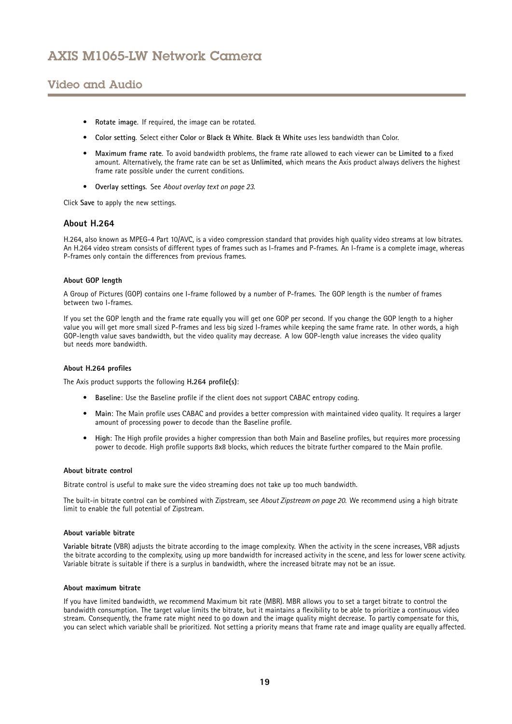## <span id="page-18-0"></span>Video and Audio

- **Rotate image**. If required, the image can be rotated.
- **Color setting**. Select either **Color** or **Black & White**. **Black & White** uses less bandwidth than Color.
- • **Maximum frame rate**. To avoid bandwidth problems, the frame rate allowed to each viewer can be **Limited to** <sup>a</sup> fixed amount. Alternatively, the frame rate can be set as **Unlimited**, which means the Axis product always delivers the highest frame rate possible under the current conditions.
- **Overlay settings**. See *About [overlay](#page-22-0) text on page [23](#page-22-0)*.

Click **Save** to apply the new settings.

#### **About H.264**

H.264, also known as MPEG-4 Part 10/AVC, is <sup>a</sup> video compression standard that provides high quality video streams at low bitrates. An H.264 video stream consists of different types of frames such as I-frames and P-frames. An I-frame is <sup>a</sup> complete image, whereas P-frames only contain the differences from previous frames.

#### **About GOP length**

A Group of Pictures (GOP) contains one I-frame followed by <sup>a</sup> number of P-frames. The GOP length is the number of frames between two I-frames.

If you set the GOP length and the frame rate equally you will get one GOP per second. If you change the GOP length to <sup>a</sup> higher value you will get more small sized P-frames and less big sized I-frames while keeping the same frame rate. In other words, <sup>a</sup> high GOP-length value saves bandwidth, but the video quality may decrease. A low GOP-length value increases the video quality but needs more bandwidth.

#### **About H.264 profiles**

The Axis product supports the following **H.264 profile(s)**:

- **Baseline**: Use the Baseline profile if the client does not support CABAC entropy coding.
- • **Main**: The Main profile uses CABAC and provides <sup>a</sup> better compression with maintained video quality. It requires <sup>a</sup> larger amount of processing power to decode than the Baseline profile.
- **High**: The High profile provides <sup>a</sup> higher compression than both Main and Baseline profiles, but requires more processing power to decode. High profile supports 8x8 blocks, which reduces the bitrate further compared to the Main profile.

#### **About bitrate control**

Bitrate control is useful to make sure the video streaming does not take up too much bandwidth.

The built-in bitrate control can be combined with Zipstream, see *About [Zipstream](#page-19-0) on page [20](#page-19-0)*. We recommend using <sup>a</sup> high bitrate limit to enable the full potential of Zipstream.

#### **About variable bitrate**

**Variable bitrate** (VBR) adjusts the bitrate according to the image complexity. When the activity in the scene increases, VBR adjusts the bitrate according to the complexity, using up more bandwidth for increased activity in the scene, and less for lower scene activity. Variable bitrate is suitable if there is <sup>a</sup> surplus in bandwidth, where the increased bitrate may not be an issue.

#### **About maximum bitrate**

If you have limited bandwidth, we recommend Maximum bit rate (MBR). MBR allows you to set <sup>a</sup> target bitrate to control the bandwidth consumption. The target value limits the bitrate, but it maintains <sup>a</sup> flexibility to be able to prioritize <sup>a</sup> continuous video stream. Consequently, the frame rate might need to go down and the image quality might decrease. To partly compensate for this, you can select which variable shall be prioritized. Not setting <sup>a</sup> priority means that frame rate and image quality are equally affected.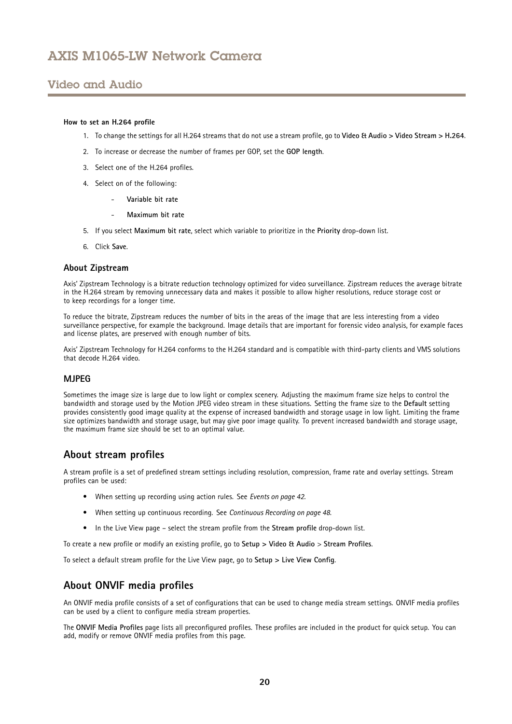### <span id="page-19-0"></span>Video and Audio

#### **How to set an H.264 profile**

- 1. To change the settings for all H.264 streams that do not use <sup>a</sup> stream profile, go to **Video & Audio <sup>&</sup>gt; Video Stream <sup>&</sup>gt; H.264**.
- 2. To increase or decrease the number of frames per GOP, set the **GOP length**.
- 3. Select one of the H.264 profiles.
- 4. Select on of the following:
	- **Variable bit rate**
	- **Maximum bit rate**
- 5. If you select **Maximum bit rate**, select which variable to prioritize in the **Priority** drop-down list.
- 6. Click **Save**.

#### **About Zipstream**

Axis' Zipstream Technology is <sup>a</sup> bitrate reduction technology optimized for video surveillance. Zipstream reduces the average bitrate in the H.264 stream by removing unnecessary data and makes it possible to allow higher resolutions, reduce storage cost or to keep recordings for <sup>a</sup> longer time.

To reduce the bitrate, Zipstream reduces the number of bits in the areas of the image that are less interesting from <sup>a</sup> video surveillance perspective, for example the background. Image details that are important for forensic video analysis, for example faces and license plates, are preserved with enough number of bits.

Axis' Zipstream Technology for H.264 conforms to the H.264 standard and is compatible with third-party clients and VMS solutions that decode H.264 video.

#### **MJPEG**

Sometimes the image size is large due to low light or complex scenery. Adjusting the maximum frame size helps to control the bandwidth and storage used by the Motion JPEG video stream in these situations. Setting the frame size to the **Default** setting provides consistently good image quality at the expense of increased bandwidth and storage usage in low light. Limiting the frame size optimizes bandwidth and storage usage, but may give poor image quality. To prevent increased bandwidth and storage usage, the maximum frame size should be set to an optimal value.

### **About stream profiles**

A stream profile is <sup>a</sup> set of predefined stream settings including resolution, compression, frame rate and overlay settings. Stream profiles can be used:

- When setting up recording using action rules. See *[Events](#page-41-0) on page [42](#page-41-0)*.
- When setting up continuous recording. See *Continuous [Recording](#page-47-0) on page [48](#page-47-0)*.
- In the Live View page select the stream profile from the **Stream profile** drop-down list.

To create <sup>a</sup> new profile or modify an existing profile, go to **Setup <sup>&</sup>gt; Video & Audio** <sup>&</sup>gt; **Stream Profiles**.

To select <sup>a</sup> default stream profile for the Live View page, go to **Setup <sup>&</sup>gt; Live View Config**.

### **About ONVIF media profiles**

An ONVIF media profile consists of <sup>a</sup> set of configurations that can be used to change media stream settings. ONVIF media profiles can be used by <sup>a</sup> client to configure media stream properties.

The **ONVIF Media Profiles** page lists all preconfigured profiles. These profiles are included in the product for quick setup. You can add, modify or remove ONVIF media profiles from this page.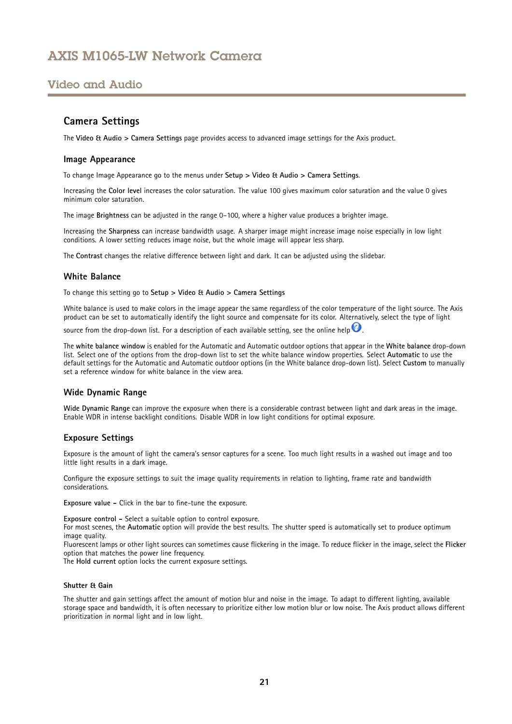### <span id="page-20-0"></span>Video and Audio

### **Camera Settings**

The **Video & Audio <sup>&</sup>gt; Camera Settings** page provides access to advanced image settings for the Axis product.

#### **Image Appearance**

To change Image Appearance go to the menus under **Setup <sup>&</sup>gt; Video & Audio <sup>&</sup>gt; Camera Settings**.

Increasing the **Color level** increases the color saturation. The value 100 gives maximum color saturation and the value 0 gives minimum color saturation.

The image **Brightness** can be adjusted in the range 0–100, where <sup>a</sup> higher value produces <sup>a</sup> brighter image.

Increasing the **Sharpness** can increase bandwidth usage. A sharper image might increase image noise especially in low light conditions. A lower setting reduces image noise, but the whole image will appear less sharp.

The **Contrast** changes the relative difference between light and dark. It can be adjusted using the slidebar.

#### **White Balance**

To change this setting go to **Setup <sup>&</sup>gt; Video & Audio <sup>&</sup>gt; Camera Settings**

White balance is used to make colors in the image appear the same regardless of the color temperature of the light source. The Axis product can be set to automatically identify the light source and compensate for its color. Alternatively, select the type of light

source from the drop-down list. For a description of each available setting, see the online help  $\bullet$ .

The **white balance window** is enabled for the Automatic and Automatic outdoor options that appear in the **White balance** drop-down list. Select one of the options from the drop-down list to set the white balance window properties. Select **Automatic** to use the default settings for the Automatic and Automatic outdoor options (in the White balance drop-down list). Select **Custom** to manually set a reference window for white balance in the view area.

#### **Wide Dynamic Range**

**Wide Dynamic Range** can improve the exposure when there is <sup>a</sup> considerable contrast between light and dark areas in the image. Enable WDR in intense backlight conditions. Disable WDR in low light conditions for optimal exposure.

#### **Exposure Settings**

Exposure is the amount of light the camera's sensor captures for <sup>a</sup> scene. Too much light results in <sup>a</sup> washed out image and too little light results in <sup>a</sup> dark image.

Configure the exposure settings to suit the image quality requirements in relation to lighting, frame rate and bandwidth considerations.

**Exposure value -** Click in the bar to fine-tune the exposure.

**Exposure control -** Select <sup>a</sup> suitable option to control exposure.

For most scenes, the **Automatic** option will provide the best results. The shutter speed is automatically set to produce optimum image quality.

Fluorescent lamps or other light sources can sometimes cause flickering in the image. To reduce flicker in the image, select the **Flicker** option that matches the power line frequency.

The **Hold current** option locks the current exposure settings.

#### **Shutter & Gain**

The shutter and gain settings affect the amount of motion blur and noise in the image. To adapt to different lighting, available storage space and bandwidth, it is often necessary to prioritize either low motion blur or low noise. The Axis product allows different prioritization in normal light and in low light.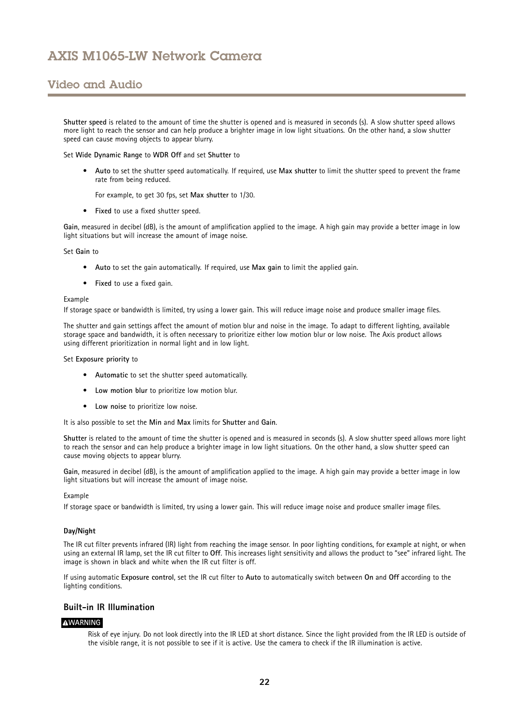### Video and Audio

**Shutter speed** is related to the amount of time the shutter is opened and is measured in seconds (s). A slow shutter speed allows more light to reach the sensor and can help produce <sup>a</sup> brighter image in low light situations. On the other hand, <sup>a</sup> slow shutter speed can cause moving objects to appear blurry.

Set **Wide Dynamic Range** to **WDR Off** and set **Shutter** to

• **Auto** to set the shutter speed automatically. If required, use **Max shutter** to limit the shutter speed to prevent the frame rate from being reduced.

For example, to get <sup>30</sup> fps, set **Max shutter** to 1/30.

• **Fixed** to use <sup>a</sup> fixed shutter speed.

**Gain**, measured in decibel (dB), is the amount of amplification applied to the image. A high gain may provide <sup>a</sup> better image in low light situations but will increase the amount of image noise.

Set **Gain** to

- **Auto** to set the gain automatically. If required, use **Max gain** to limit the applied gain.
- **Fixed** to use <sup>a</sup> fixed gain.

#### Example

If storage space or bandwidth is limited, try using <sup>a</sup> lower gain. This will reduce image noise and produce smaller image files.

The shutter and gain settings affect the amount of motion blur and noise in the image. To adapt to different lighting, available storage space and bandwidth, it is often necessary to prioritize either low motion blur or low noise. The Axis product allows using different prioritization in normal light and in low light.

#### Set **Exposure priority** to

- **Automatic** to set the shutter speed automatically.
- **Low motion blur** to prioritize low motion blur.
- **Low noise** to prioritize low noise.

It is also possible to set the **Min** and **Max** limits for **Shutter** and **Gain**.

**Shutter** is related to the amount of time the shutter is opened and is measured in seconds (s). A slow shutter speed allows more light to reach the sensor and can help produce <sup>a</sup> brighter image in low light situations. On the other hand, <sup>a</sup> slow shutter speed can cause moving objects to appear blurry.

**Gain**, measured in decibel (dB), is the amount of amplification applied to the image. A high gain may provide <sup>a</sup> better image in low light situations but will increase the amount of image noise.

#### Example

If storage space or bandwidth is limited, try using <sup>a</sup> lower gain. This will reduce image noise and produce smaller image files.

#### **Day/Night**

The IR cut filter prevents infrared (IR) light from reaching the image sensor. In poor lighting conditions, for example at night, or when using an external IR lamp, set the IR cut filter to **Off**. This increases light sensitivity and allows the product to "see" infrared light. The image is shown in black and white when the IR cut filter is off.

If using automatic **Exposure control**, set the IR cut filter to **Auto** to automatically switch between **On** and **Off** according to the lighting conditions.

#### **Built-in IR Illumination**

#### **WARNING**

Risk of eye injury. Do not look directly into the IR LED at short distance. Since the light provided from the IR LED is outside of the visible range, it is not possible to see if it is active. Use the camera to check if the IR illumination is active.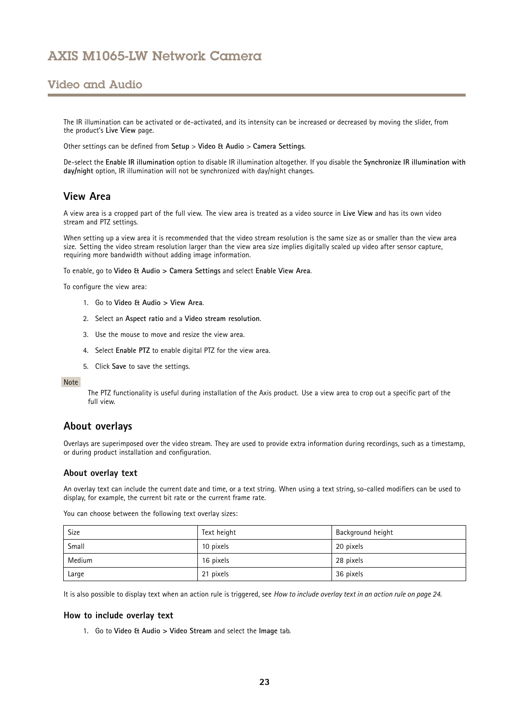### <span id="page-22-0"></span>Video and Audio

The IR illumination can be activated or de-activated, and its intensity can be increased or decreased by moving the slider, from the product's **Live View** page.

Other settings can be defined from **Setup** <sup>&</sup>gt; **Video & Audio** <sup>&</sup>gt; **Camera Settings**.

De-select the **Enable IR illumination** option to disable IR illumination altogether. If you disable the **Synchronize IR illumination with day/night** option, IR illumination will not be synchronized with day/night changes.

### **View Area**

A view area is <sup>a</sup> cropped part of the full view. The view area is treated as <sup>a</sup> video source in **Live View** and has its own video stream and PTZ settings.

When setting up <sup>a</sup> view area it is recommended that the video stream resolution is the same size as or smaller than the view area size. Setting the video stream resolution larger than the view area size implies digitally scaled up video after sensor capture, requiring more bandwidth without adding image information.

To enable, go to **Video & Audio <sup>&</sup>gt; Camera Settings** and select **Enable View Area**.

To configure the view area:

- 1. Go to **Video & Audio <sup>&</sup>gt; View Area**.
- 2. Select an **Aspect ratio** and <sup>a</sup> **Video stream resolution**.
- 3. Use the mouse to move and resize the view area.
- 4. Select **Enable PTZ** to enable digital PTZ for the view area.
- 5. Click **Save** to save the settings.

#### Note

The PTZ functionality is useful during installation of the Axis product. Use <sup>a</sup> view area to crop out <sup>a</sup> specific part of the full view.

### **About overlays**

Overlays are superimposed over the video stream. They are used to provide extra information during recordings, such as <sup>a</sup> timestamp, or during product installation and configuration.

#### **About overlay text**

An overlay text can include the current date and time, or <sup>a</sup> text string. When using <sup>a</sup> text string, so-called modifiers can be used to display, for example, the current bit rate or the current frame rate.

You can choose between the following text overlay sizes:

| Size   | Text height | Background height |
|--------|-------------|-------------------|
| Small  | 10 pixels   | 20 pixels         |
| Medium | 16 pixels   | 28 pixels         |
| Large  | 21 pixels   | 36 pixels         |

It is also possible to display text when an action rule is triggered, see *How to include [overlay](#page-23-0) text in an action rule on page [24](#page-23-0)*.

#### **How to include overlay text**

1. Go to **Video & Audio <sup>&</sup>gt; Video Stream** and select the **Image** tab.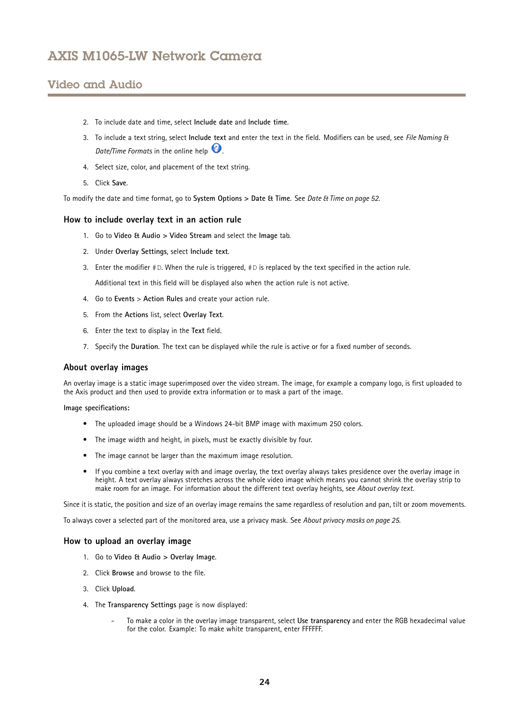### <span id="page-23-0"></span>Video and Audio

- 2. To include date and time, select **Include date** and **Include time**.
- 3. To include <sup>a</sup> text string, select **Include text** and enter the text in the field. Modifiers can be used, see *File Naming & Date/Time Formats* in the online help
- 4. Select size, color, and placement of the text string.
- 5. Click **Save**.

To modify the date and time format, go to **System Options <sup>&</sup>gt; Date & Time**. See *Date & Time on [page](#page-51-0) [52](#page-51-0)*.

#### **How to include overlay text in an action rule**

- 1. Go to **Video & Audio <sup>&</sup>gt; Video Stream** and select the **Image** tab.
- 2. Under **Overlay Settings**, select **Include text**.
- 3. Enter the modifier  $#D$ . When the rule is triggered,  $#D$  is replaced by the text specified in the action rule.

Additional text in this field will be displayed also when the action rule is not active.

- 4. Go to **Events** <sup>&</sup>gt; **Action Rules** and create your action rule.
- 5. From the **Actions** list, select **Overlay Text**.
- 6. Enter the text to display in the **Text** field.
- 7. Specify the **Duration**. The text can be displayed while the rule is active or for <sup>a</sup> fixed number of seconds.

#### **About overlay images**

An overlay image is <sup>a</sup> static image superimposed over the video stream. The image, for example <sup>a</sup> company logo, is first uploaded to the Axis product and then used to provide extra information or to mask <sup>a</sup> part of the image.

**Image specifications:**

- The uploaded image should be <sup>a</sup> Windows 24-bit BMP image with maximum 250 colors.
- The image width and height, in pixels, must be exactly divisible by four.
- The image cannot be larger than the maximum image resolution.
- • If you combine <sup>a</sup> text overlay with and image overlay, the text overlay always takes presidence over the overlay image in height. A text overlay always stretches across the whole video image which means you cannot shrink the overlay strip to make room for an image. For information about the different text overlay heights, see *About [overlay](#page-22-0) text*.

Since it is static, the position and size of an overlay image remains the same regardless of resolution and pan, tilt or zoom movements.

To always cover <sup>a</sup> selected part of the monitored area, use <sup>a</sup> privacy mask. See *About [privacy](#page-24-0) masks on page [25](#page-24-0)*.

#### **How to upload an overlay image**

- 1. Go to **Video & Audio <sup>&</sup>gt; Overlay Image**.
- 2. Click **Browse** and browse to the file.
- 3. Click **Upload**.
- 4. The **Transparency Settings** page is now displayed:
	- To make <sup>a</sup> color in the overlay image transparent, select **Use transparency** and enter the RGB hexadecimal value for the color. Example: To make white transparent, enter FFFFFF.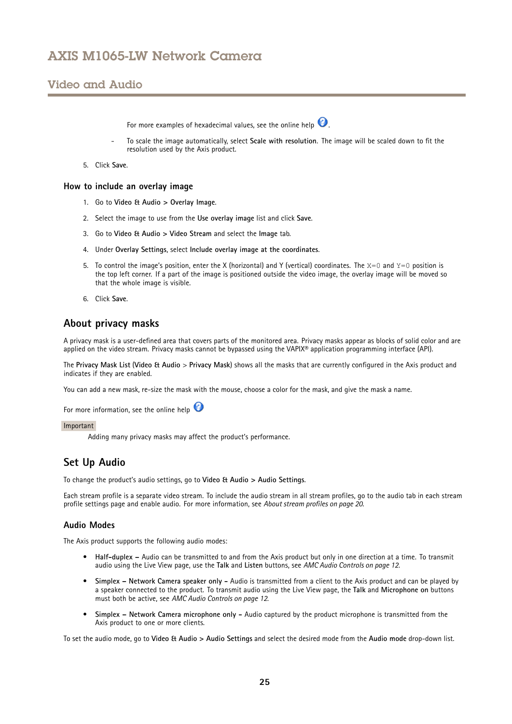### <span id="page-24-0"></span>Video and Audio

For more examples of hexadecimal values, see the online help  $\bullet$ .

- To scale the image automatically, select **Scale with resolution**. The image will be scaled down to fit the resolution used by the Axis product.
- 5. Click **Save**.

#### **How to include an overlay image**

- 1. Go to **Video & Audio <sup>&</sup>gt; Overlay Image**.
- 2. Select the image to use from the **Use overlay image** list and click **Save**.
- 3. Go to **Video & Audio <sup>&</sup>gt; Video Stream** and select the **Image** tab.
- 4. Under **Overlay Settings**, select **Include overlay image at the coordinates**.
- 5. To control the image's position, enter the X (horizontal) and Y (vertical) coordinates. The  $X=0$  and  $Y=0$  position is the top left corner. If <sup>a</sup> part of the image is positioned outside the video image, the overlay image will be moved so that the whole image is visible.
- 6. Click **Save**.

### **About privacy masks**

A privacy mask is <sup>a</sup> user-defined area that covers parts of the monitored area. Privacy masks appear as blocks of solid color and are applied on the video stream. Privacy masks cannot be bypassed using the VAPIX® application programming interface (API).

The **Privacy Mask List** (**Video & Audio** <sup>&</sup>gt; **Privacy Mask**) shows all the masks that are currently configured in the Axis product and indicates if they are enabled.

You can add <sup>a</sup> new mask, re-size the mask with the mouse, choose <sup>a</sup> color for the mask, and give the mask <sup>a</sup> name.

For more information, see the online help

#### Important

Adding many privacy masks may affect the product's performance.

### **Set Up Audio**

To change the product's audio settings, go to **Video & Audio <sup>&</sup>gt; Audio Settings**.

Each stream profile is <sup>a</sup> separate video stream. To include the audio stream in all stream profiles, go to the audio tab in each stream profile settings page and enable audio. For more information, see *About [stream](#page-19-0) profiles on page [20](#page-19-0)*.

#### **Audio Modes**

The Axis product supports the following audio modes:

- **Half-duplex –** Audio can be transmitted to and from the Axis product but only in one direction at <sup>a</sup> time. To transmit audio using the Live View page, use the **Talk** and **Listen** buttons, see *AMC Audio [Controls](#page-11-0) on page [12](#page-11-0)*.
- • **Simplex – Network Camera speaker only -** Audio is transmitted from <sup>a</sup> client to the Axis product and can be played by <sup>a</sup> speaker connected to the product. To transmit audio using the Live View page, the **Talk** and **Microphone on** buttons must both be active, see *AMC Audio [Controls](#page-11-0) on page [12](#page-11-0)*.
- • **Simplex – Network Camera microphone only -** Audio captured by the product microphone is transmitted from the Axis product to one or more clients.

To set the audio mode, go to **Video & Audio <sup>&</sup>gt; Audio Settings** and select the desired mode from the **Audio mode** drop-down list.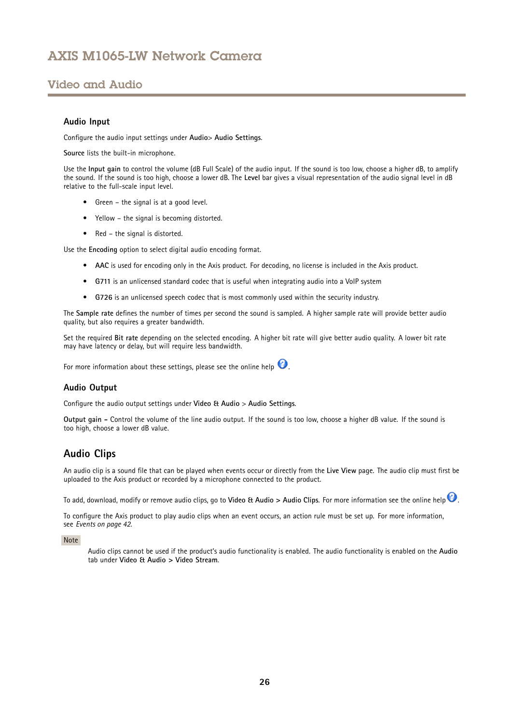### <span id="page-25-0"></span>Video and Audio

#### **Audio Input**

Configure the audio input settings under **Audio**<sup>&</sup>gt; **Audio Settings**.

**Source** lists the built-in microphone.

Use the **Input gain** to control the volume (dB Full Scale) of the audio input. If the sound is too low, choose <sup>a</sup> higher dB, to amplify the sound. If the sound is too high, choose <sup>a</sup> lower dB. The **Level** bar gives <sup>a</sup> visual representation of the audio signal level in dB relative to the full-scale input level.

- Green the signal is at <sup>a</sup> good level.
- Yellow the signal is becoming distorted.
- Red the signal is distorted.

Use the **Encoding** option to select digital audio encoding format.

- **AAC** is used for encoding only in the Axis product. For decoding, no license is included in the Axis product.
- **G711** is an unlicensed standard codec that is useful when integrating audio into <sup>a</sup> VoIP system
- **G726** is an unlicensed speech codec that is most commonly used within the security industry.

The **Sample rate** defines the number of times per second the sound is sampled. A higher sample rate will provide better audio quality, but also requires <sup>a</sup> greater bandwidth.

Set the required **Bit rate** depending on the selected encoding. A higher bit rate will give better audio quality. A lower bit rate may have latency or delay, but will require less bandwidth.

For more information about these settings, please see the online help  $\bullet$ .

#### **Audio Output**

Configure the audio output settings under **Video & Audio** <sup>&</sup>gt; **Audio Settings**.

**Output gain -** Control the volume of the line audio output. If the sound is too low, choose <sup>a</sup> higher dB value. If the sound is too high, choose <sup>a</sup> lower dB value.

### **Audio Clips**

An audio clip is <sup>a</sup> sound file that can be played when events occur or directly from the **Live View** page. The audio clip must first be uploaded to the Axis product or recorded by <sup>a</sup> microphone connected to the product.

To add, download, modify or remove audio clips, go to **Video & Audio <sup>&</sup>gt; Audio Clips**. For more information see the online help .

To configure the Axis product to play audio clips when an event occurs, an action rule must be set up. For more information, see *[Events](#page-41-0) on page [42](#page-41-0)*.

Note

Audio clips cannot be used if the product's audio functionality is enabled. The audio functionality is enabled on the **Audio** tab under **Video & Audio <sup>&</sup>gt; Video Stream**.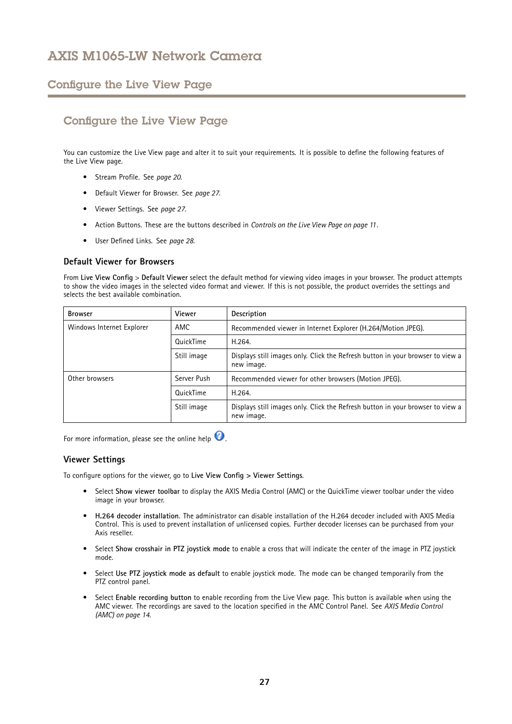### <span id="page-26-0"></span>Configure the Live View Page

# Configure the Live View Page

You can customize the Live View page and alter it to suit your requirements. It is possible to define the following features of the Live View page.

- Stream Profile. See *[page](#page-19-0) [20](#page-19-0)*.
- Default Viewer for Browser. See *page 27*.
- Viewer Settings. See *page 27*.
- Action Buttons. These are the buttons described in *[Controls](#page-10-0) on the Live View Page on page [11](#page-10-0)*.
- User Defined Links. See *[page](#page-27-0) [28](#page-27-0)*.

### **Default Viewer for Browsers**

From **Live View Config** <sup>&</sup>gt; **Default Viewer** select the default method for viewing video images in your browser. The product attempts to show the video images in the selected video format and viewer. If this is not possible, the product overrides the settings and selects the best available combination.

| <b>Browser</b>            | Viewer      | Description                                                                                  |
|---------------------------|-------------|----------------------------------------------------------------------------------------------|
| Windows Internet Explorer | AMC         | Recommended viewer in Internet Explorer (H.264/Motion JPEG).                                 |
|                           | QuickTime   | H.264.                                                                                       |
|                           | Still image | Displays still images only. Click the Refresh button in your browser to view a<br>new image. |
| Other browsers            | Server Push | Recommended viewer for other browsers (Motion JPEG).                                         |
|                           | QuickTime   | H.264                                                                                        |
|                           | Still image | Displays still images only. Click the Refresh button in your browser to view a<br>new image. |

For more information, please see the online help  $\bigcirc$ .

### **Viewer Settings**

To configure options for the viewer, go to **Live View Config <sup>&</sup>gt; Viewer Settings**.

- • Select **Show viewer toolbar** to display the AXIS Media Control (AMC) or the QuickTime viewer toolbar under the video image in your browser.
- **H.264 decoder installation**. The administrator can disable installation of the H.264 decoder included with AXIS Media Control. This is used to prevent installation of unlicensed copies. Further decoder licenses can be purchased from your Axis reseller.
- Select **Show crosshair in PTZ joystick mode** to enable <sup>a</sup> cross that will indicate the center of the image in PTZ joystick mode.
- Select **Use PTZ joystick mode as default** to enable joystick mode. The mode can be changed temporarily from the PTZ control panel.
- • Select **Enable recording button** to enable recording from the Live View page. This button is available when using the AMC viewer. The recordings are saved to the location specified in the AMC Control Panel. See *AXIS Media [Control](#page-13-0) [\(AMC\)](#page-13-0) on page [14](#page-13-0)*.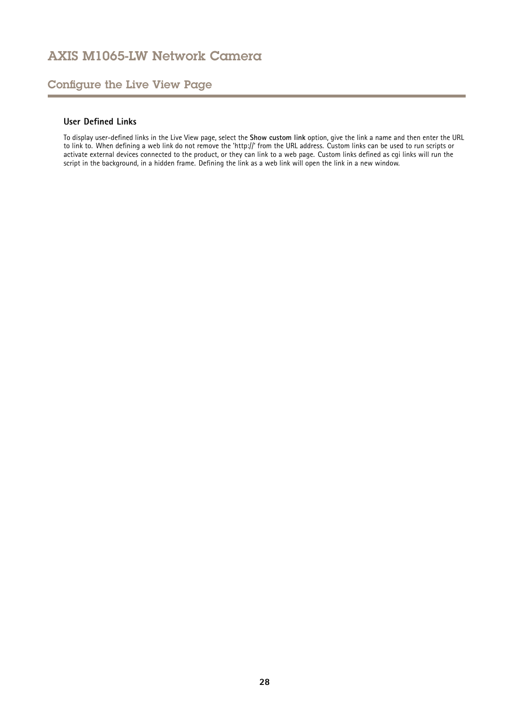## <span id="page-27-0"></span>Configure the Live View Page

### **User Defined Links**

To display user-defined links in the Live View page, select the **Show custom link** option, give the link <sup>a</sup> name and then enter the URL to link to. When defining <sup>a</sup> web link do not remove the 'http://' from the URL address. Custom links can be used to run scripts or activate external devices connected to the product, or they can link to <sup>a</sup> web page. Custom links defined as cgi links will run the script in the background, in <sup>a</sup> hidden frame. Defining the link as <sup>a</sup> web link will open the link in <sup>a</sup> new window.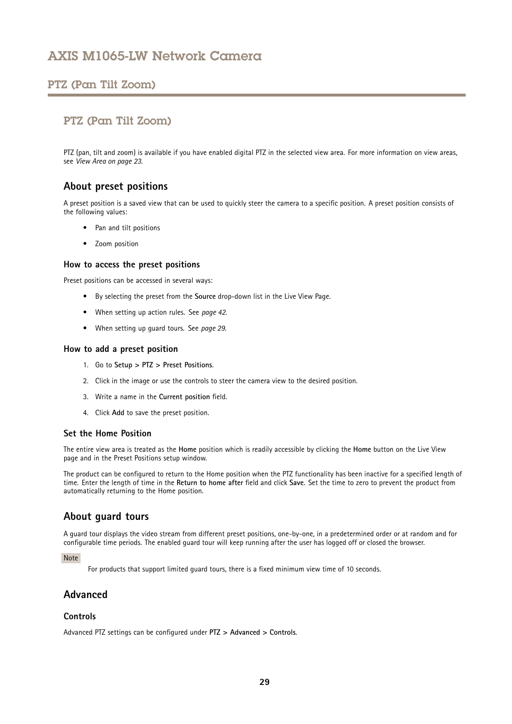### <span id="page-28-0"></span>PTZ (Pan Tilt Zoom)

### PTZ (Pan Tilt Zoom)

PTZ (pan, tilt and zoom) is available if you have enabled digital PTZ in the selected view area. For more information on view areas, see *[View](#page-22-0) Area on page [23](#page-22-0)*.

### **About preset positions**

A preset position is <sup>a</sup> saved view that can be used to quickly steer the camera to <sup>a</sup> specific position. A preset position consists of the following values:

- Pan and tilt positions
- Zoom position

#### **How to access the preset positions**

Preset positions can be accessed in several ways:

- By selecting the preset from the **Source** drop-down list in the Live View Page.
- When setting up action rules. See *[page](#page-41-0) [42](#page-41-0)*.
- When setting up guard tours. See *page 29*.

#### **How to add <sup>a</sup> preset position**

- 1. Go to **Setup <sup>&</sup>gt; PTZ <sup>&</sup>gt; Preset Positions**.
- 2. Click in the image or use the controls to steer the camera view to the desired position.
- 3. Write <sup>a</sup> name in the **Current position** field.
- 4. Click **Add** to save the preset position.

### **Set the Home Position**

The entire view area is treated as the **Home** position which is readily accessible by clicking the **Home** button on the Live View page and in the Preset Positions setup window.

The product can be configured to return to the Home position when the PTZ functionality has been inactive for <sup>a</sup> specified length of time. Enter the length of time in the **Return to home after** field and click **Save**. Set the time to zero to prevent the product from automatically returning to the Home position.

### **About guard tours**

A guard tour displays the video stream from different preset positions, one-by-one, in <sup>a</sup> predetermined order or at random and for configurable time periods. The enabled guard tour will keep running after the user has logged off or closed the browser.

#### Note

For products that support limited guard tours, there is <sup>a</sup> fixed minimum view time of 10 seconds.

### **Advanced**

### **Controls**

Advanced PTZ settings can be configured under **PTZ <sup>&</sup>gt; Advanced <sup>&</sup>gt; Controls**.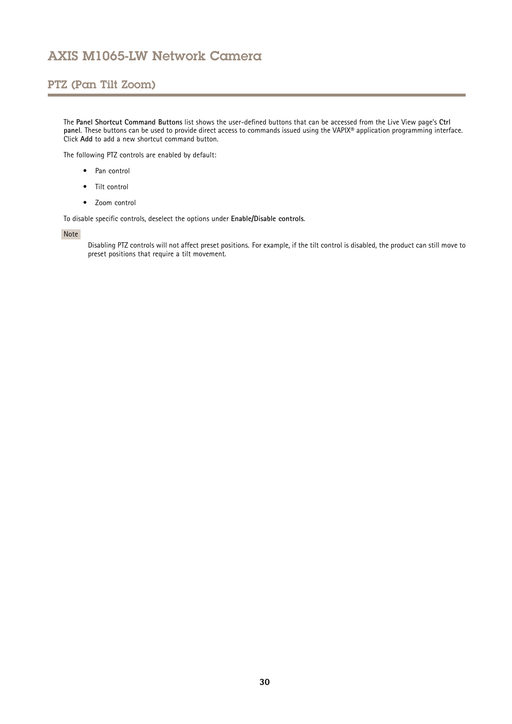## PTZ (Pan Tilt Zoom)

The **Panel Shortcut Command Buttons** list shows the user-defined buttons that can be accessed from the Live View page's **Ctrl panel**. These buttons can be used to provide direct access to commands issued using the VAPIX® application programming interface. Click **Add** to add <sup>a</sup> new shortcut command button.

The following PTZ controls are enabled by default:

- Pan control
- Tilt control
- Zoom control

To disable specific controls, deselect the options under **Enable/Disable controls**.

#### Note

Disabling PTZ controls will not affect preset positions. For example, if the tilt control is disabled, the product can still move to preset positions that require <sup>a</sup> tilt movement.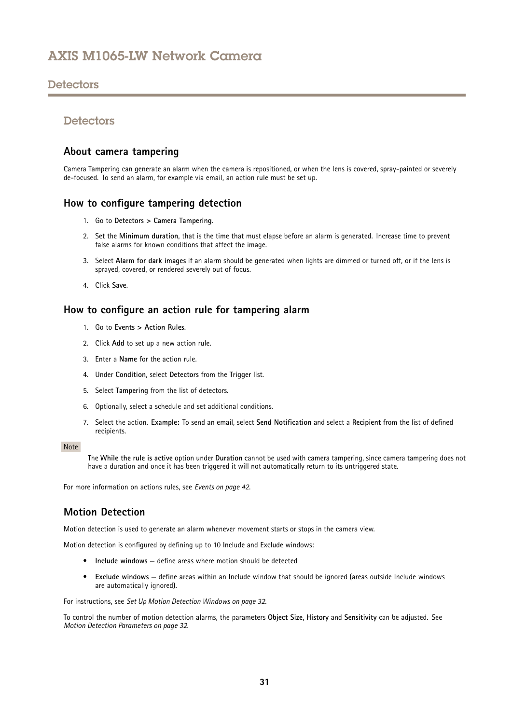### <span id="page-30-0"></span>**Detectors**

### **Detectors**

### **About camera tampering**

Camera Tampering can generate an alarm when the camera is repositioned, or when the lens is covered, spray-painted or severely de-focused. To send an alarm, for example via email, an action rule must be set up.

### **How to configure tampering detection**

- 1. Go to **Detectors <sup>&</sup>gt; Camera Tampering**.
- 2. Set the **Minimum duration**, that is the time that must elapse before an alarm is generated. Increase time to prevent false alarms for known conditions that affect the image.
- 3. Select **Alarm for dark images** if an alarm should be generated when lights are dimmed or turned off, or if the lens is sprayed, covered, or rendered severely out of focus.
- 4. Click **Save**.

### **How to configure an action rule for tampering alarm**

- 1. Go to **Events <sup>&</sup>gt; Action Rules**.
- 2. Click **Add** to set up <sup>a</sup> new action rule.
- 3. Enter a **Name** for the action rule.
- 4. Under **Condition**, select **Detectors** from the **Trigger** list.
- 5. Select **Tampering** from the list of detectors.
- 6. Optionally, select <sup>a</sup> schedule and set additional conditions.
- 7. Select the action. **Example:** To send an email, select **Send Notification** and select <sup>a</sup> **Recipient** from the list of defined recipients.

#### Note

The **While the rule is active** option under **Duration** cannot be used with camera tampering, since camera tampering does not have <sup>a</sup> duration and once it has been triggered it will not automatically return to its untriggered state.

For more information on actions rules, see *[Events](#page-41-0) on page [42](#page-41-0)*.

### **Motion Detection**

Motion detection is used to generate an alarm whenever movement starts or stops in the camera view.

Motion detection is configured by defining up to 10 Include and Exclude windows:

- **Include windows** define areas where motion should be detected
- **Exclude windows** define areas within an Include window that should be ignored (areas outside Include windows are automatically ignored).

For instructions, see *Set Up Motion [Detection](#page-31-0) Windows on page [32](#page-31-0)*.

To control the number of motion detection alarms, the parameters **Object Size**, **History** and **Sensitivity** can be adjusted. See *Motion Detection [Parameters](#page-31-0) on page [32](#page-31-0)*.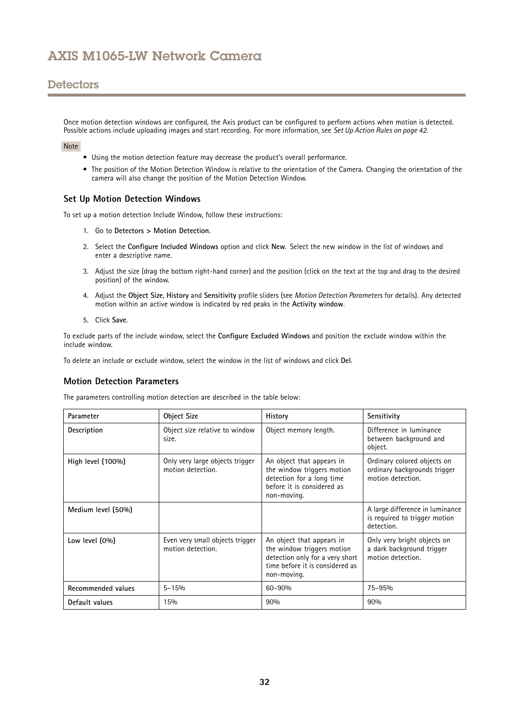### <span id="page-31-0"></span>**Detectors**

Once motion detection windows are configured, the Axis product can be configured to perform actions when motion is detected. Possible actions include uploading images and start recording. For more information, see *Set Up [Action](#page-41-0) Rules on page [42](#page-41-0)*.

#### Note

- Using the motion detection feature may decrease the product's overall performance.
- The position of the Motion Detection Window is relative to the orientation of the Camera. Changing the orientation of the camera will also change the position of the Motion Detection Window.

### **Set Up Motion Detection Windows**

To set up <sup>a</sup> motion detection Include Window, follow these instructions:

- 1. Go to **Detectors <sup>&</sup>gt; Motion Detection**.
- 2. Select the **Configure Included Windows** option and click **New**. Select the new window in the list of windows and enter <sup>a</sup> descriptive name.
- 3. Adjust the size (drag the bottom right-hand corner) and the position (click on the text at the top and drag to the desired position) of the window.
- 4. Adjust the **Object Size**, **History** and **Sensitivity** profile sliders (see *Motion Detection Parameters* for details). Any detected motion within an active window is indicated by red peaks in the **Activity window**.
- 5. Click **Save**.

To exclude parts of the include window, select the **Configure Excluded Windows** and position the exclude window within the include window.

To delete an include or exclude window, select the window in the list of windows and click **Del**.

#### **Motion Detection Parameters**

The parameters controlling motion detection are described in the table below:

| Parameter            | <b>Object Size</b>                                   | History                                                                                                                                      | Sensitivity                                                                      |
|----------------------|------------------------------------------------------|----------------------------------------------------------------------------------------------------------------------------------------------|----------------------------------------------------------------------------------|
| Description          | Object size relative to window<br>size.              | Object memory length.                                                                                                                        | Difference in luminance<br>between background and<br>object.                     |
| High level $(100\%)$ | Only very large objects trigger<br>motion detection. | An object that appears in<br>the window triggers motion<br>detection for a long time<br>before it is considered as<br>non-moving.            | Ordinary colored objects on<br>ordinary backgrounds trigger<br>motion detection. |
| Medium level (50%)   |                                                      |                                                                                                                                              | A large difference in luminance<br>is required to trigger motion<br>detection.   |
| Low level (0%)       | Even very small objects trigger<br>motion detection. | An object that appears in<br>the window triggers motion<br>detection only for a very short<br>time before it is considered as<br>non-moving. | Only very bright objects on<br>a dark background trigger<br>motion detection.    |
| Recommended values   | $5 - 15%$                                            | 60-90%                                                                                                                                       | 75-95%                                                                           |
| Default values       | 15%                                                  | 90%                                                                                                                                          | 90%                                                                              |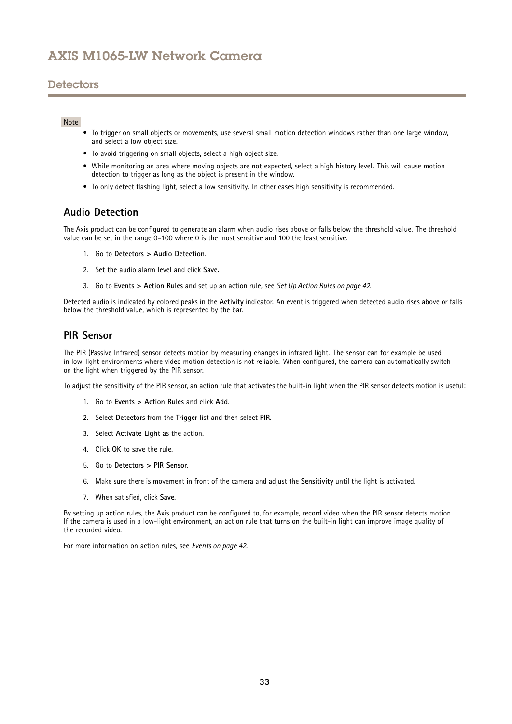### <span id="page-32-0"></span>**Detectors**

#### Note

- To trigger on small objects or movements, use several small motion detection windows rather than one large window, and select <sup>a</sup> low object size.
- To avoid triggering on small objects, select <sup>a</sup> high object size.
- While monitoring an area where moving objects are not expected, select <sup>a</sup> high history level. This will cause motion detection to trigger as long as the object is present in the window.
- To only detect flashing light, select <sup>a</sup> low sensitivity. In other cases high sensitivity is recommended.

### **Audio Detection**

The Axis product can be configured to generate an alarm when audio rises above or falls below the threshold value. The threshold value can be set in the range 0–100 where 0 is the most sensitive and 100 the least sensitive.

- 1. Go to **Detectors <sup>&</sup>gt; Audio Detection**.
- 2. Set the audio alarm level and click **Save.**
- 3. Go to **Events <sup>&</sup>gt; Action Rules** and set up an action rule, see *Set Up [Action](#page-41-0) Rules on page [42](#page-41-0)*.

Detected audio is indicated by colored peaks in the **Activity** indicator. An event is triggered when detected audio rises above or falls below the threshold value, which is represented by the bar.

### **PIR Sensor**

The PIR (Passive Infrared) sensor detects motion by measuring changes in infrared light. The sensor can for example be used in low-light environments where video motion detection is not reliable. When configured, the camera can automatically switch on the light when triggered by the PIR sensor.

To adjust the sensitivity of the PIR sensor, an action rule that activates the built-in light when the PIR sensor detects motion is useful:

- 1. Go to **Events <sup>&</sup>gt; Action Rules** and click **Add**.
- 2. Select **Detectors** from the **Trigger** list and then select **PIR**.
- 3. Select **Activate Light** as the action.
- 4. Click **OK** to save the rule.
- 5. Go to **Detectors <sup>&</sup>gt; PIR Sensor**.
- 6. Make sure there is movement in front of the camera and adjust the **Sensitivity** until the light is activated.
- 7. When satisfied, click **Save**.

By setting up action rules, the Axis product can be configured to, for example, record video when the PIR sensor detects motion. If the camera is used in <sup>a</sup> low-light environment, an action rule that turns on the built-in light can improve image quality of the recorded video.

For more information on action rules, see *[Events](#page-41-0) on page [42](#page-41-0)*.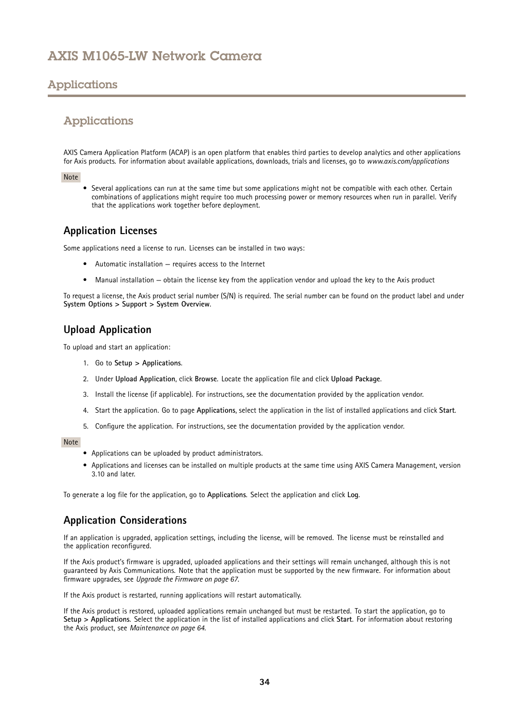# <span id="page-33-0"></span>Applications

### Applications

AXIS Camera Application Platform (ACAP) is an open platform that enables third parties to develop analytics and other applications for Axis products. For information about available applications, downloads, trials and licenses, go to *www.axis.com/applications*

#### Note

• Several applications can run at the same time but some applications might not be compatible with each other. Certain combinations of applications might require too much processing power or memory resources when run in parallel. Verify that the applications work together before deployment.

### **Application Licenses**

Some applications need <sup>a</sup> license to run. Licenses can be installed in two ways:

- Automatic installation requires access to the Internet
- •Manual installation — obtain the license key from the application vendor and upload the key to the Axis product

To request <sup>a</sup> license, the Axis product serial number (S/N) is required. The serial number can be found on the product label and under **System Options <sup>&</sup>gt; Support <sup>&</sup>gt; System Overview**.

### **Upload Application**

To upload and start an application:

- 1. Go to **Setup <sup>&</sup>gt; Applications**.
- 2. Under **Upload Application**, click **Browse**. Locate the application file and click **Upload Package**.
- 3. Install the license (if applicable). For instructions, see the documentation provided by the application vendor.
- 4. Start the application. Go to page **Applications**, select the application in the list of installed applications and click **Start**.
- 5. Configure the application. For instructions, see the documentation provided by the application vendor.

#### Note

- Applications can be uploaded by product administrators.
- Applications and licenses can be installed on multiple products at the same time using AXIS Camera Management, version 3.10 and later.

To generate <sup>a</sup> log file for the application, go to **Applications**. Select the application and click **Log**.

### **Application Considerations**

If an application is upgraded, application settings, including the license, will be removed. The license must be reinstalled and the application reconfigured.

If the Axis product's firmware is upgraded, uploaded applications and their settings will remain unchanged, although this is not guaranteed by Axis Communications. Note that the application must be supported by the new firmware. For information about firmware upgrades, see *[Upgrade](#page-66-0) the Firmware on page [67](#page-66-0)*.

If the Axis product is restarted, running applications will restart automatically.

If the Axis product is restored, uploaded applications remain unchanged but must be restarted. To start the application, go to **Setup <sup>&</sup>gt; Applications**. Select the application in the list of installed applications and click **Start**. For information about restoring the Axis product, see *[Maintenance](#page-63-0) on page [64](#page-63-0)*.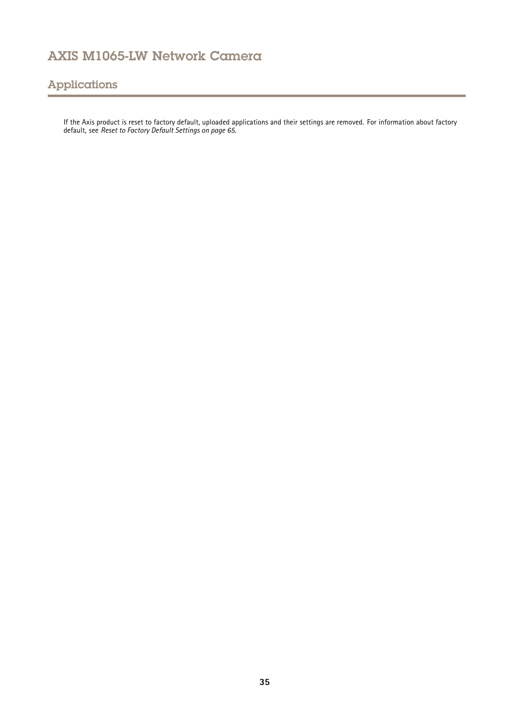# Applications

If the Axis product is reset to factory default, uploaded applications and their settings are removed. For information about factory default, see *Reset to Factory Default [Settings](#page-64-0) on page [65](#page-64-0)*.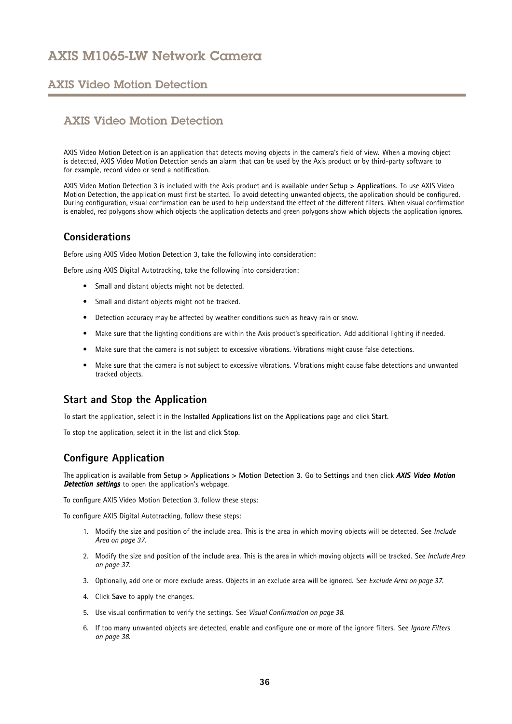### <span id="page-35-0"></span>AXIS Video Motion Detection

### AXIS Video Motion Detection

AXIS Video Motion Detection is an application that detects moving objects in the camera's field of view. When <sup>a</sup> moving object is detected, AXIS Video Motion Detection sends an alarm that can be used by the Axis product or by third-party software to for example, record video or send <sup>a</sup> notification.

AXIS Video Motion Detection 3 is included with the Axis product and is available under **Setup <sup>&</sup>gt; Applications**. To use AXIS Video Motion Detection, the application must first be started. To avoid detecting unwanted objects, the application should be configured. During configuration, visual confirmation can be used to help understand the effect of the different filters. When visual confirmation is enabled, red polygons show which objects the application detects and green polygons show which objects the application ignores.

### **Considerations**

Before using AXIS Video Motion Detection 3, take the following into consideration:

Before using AXIS Digital Autotracking, take the following into consideration:

- Small and distant objects might not be detected.
- Small and distant objects might not be tracked.
- Detection accuracy may be affected by weather conditions such as heavy rain or snow.
- Make sure that the lighting conditions are within the Axis product's specification. Add additional lighting if needed.
- Make sure that the camera is not subject to excessive vibrations. Vibrations might cause false detections.
- • Make sure that the camera is not subject to excessive vibrations. Vibrations might cause false detections and unwanted tracked objects.

### **Start and Stop the Application**

To start the application, select it in the **Installed Applications** list on the **Applications** page and click **Start**.

To stop the application, select it in the list and click **Stop**.

### **Configure Application**

The application is available from **Setup <sup>&</sup>gt; Applications <sup>&</sup>gt; Motion Detection 3**. Go to **Settings** and then click *AXIS Video Motion* **Detection settings** to open the application's webpage.

To configure AXIS Video Motion Detection 3, follow these steps:

To configure AXIS Digital Autotracking, follow these steps:

- 1. Modify the size and position of the include area. This is the area in which moving objects will be detected. See *[Include](#page-36-0) Area on [page](#page-36-0) [37](#page-36-0)*.
- 2. Modify the size and position of the include area. This is the area in which moving objects will be tracked. See *[Include](#page-36-0) Area on [page](#page-36-0) [37](#page-36-0)*.
- 3. Optionally, add one or more exclude areas. Objects in an exclude area will be ignored. See *[Exclude](#page-36-0) Area on page [37](#page-36-0)*.
- 4. Click **Save** to apply the changes.
- 5. Use visual confirmation to verify the settings. See *Visual [Confirmation](#page-37-0) on page [38](#page-37-0)*.
- 6. If too many unwanted objects are detected, enable and configure one or more of the ignore filters. See *[Ignore](#page-37-0) Filters on [page](#page-37-0) [38](#page-37-0)*.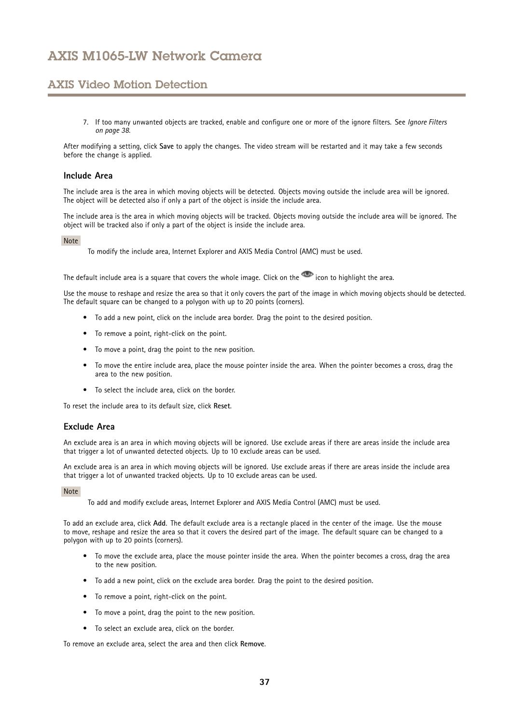## AXIS Video Motion Detection

7. If too many unwanted objects are tracked, enable and configure one or more of the ignore filters. See *[Ignore](#page-37-0) Filters on [page](#page-37-0) [38](#page-37-0)*.

After modifying <sup>a</sup> setting, click **Save** to apply the changes. The video stream will be restarted and it may take <sup>a</sup> few seconds before the change is applied.

### **Include Area**

The include area is the area in which moving objects will be detected. Objects moving outside the include area will be ignored. The object will be detected also if only <sup>a</sup> part of the object is inside the include area.

The include area is the area in which moving objects will be tracked. Objects moving outside the include area will be ignored. The object will be tracked also if only <sup>a</sup> part of the object is inside the include area.

### Note

To modify the include area, Internet Explorer and AXIS Media Control (AMC) must be used.

The default include area is a square that covers the whole image. Click on the  $\bullet$  icon to highlight the area.

Use the mouse to reshape and resize the area so that it only covers the part of the image in which moving objects should be detected. The default square can be changed to <sup>a</sup> polygon with up to <sup>20</sup> points (corners).

- To add <sup>a</sup> new point, click on the include area border. Drag the point to the desired position.
- To remove <sup>a</sup> point, right-click on the point.
- To move <sup>a</sup> point, drag the point to the new position.
- To move the entire include area, place the mouse pointer inside the area. When the pointer becomes <sup>a</sup> cross, drag the area to the new position.
- To select the include area, click on the border.

To reset the include area to its default size, click **Reset**.

### **Exclude Area**

An exclude area is an area in which moving objects will be ignored. Use exclude areas if there are areas inside the include area that trigger <sup>a</sup> lot of unwanted detected objects. Up to 10 exclude areas can be used.

An exclude area is an area in which moving objects will be ignored. Use exclude areas if there are areas inside the include area that trigger <sup>a</sup> lot of unwanted tracked objects. Up to 10 exclude areas can be used.

#### Note

To add and modify exclude areas, Internet Explorer and AXIS Media Control (AMC) must be used.

To add an exclude area, click **Add**. The default exclude area is <sup>a</sup> rectangle placed in the center of the image. Use the mouse to move, reshape and resize the area so that it covers the desired part of the image. The default square can be changed to <sup>a</sup> polygon with up to <sup>20</sup> points (corners).

- To move the exclude area, place the mouse pointer inside the area. When the pointer becomes <sup>a</sup> cross, drag the area to the new position.
- To add <sup>a</sup> new point, click on the exclude area border. Drag the point to the desired position.
- To remove <sup>a</sup> point, right-click on the point.
- To move <sup>a</sup> point, drag the point to the new position.
- To select an exclude area, click on the border.

To remove an exclude area, select the area and then click **Remove**.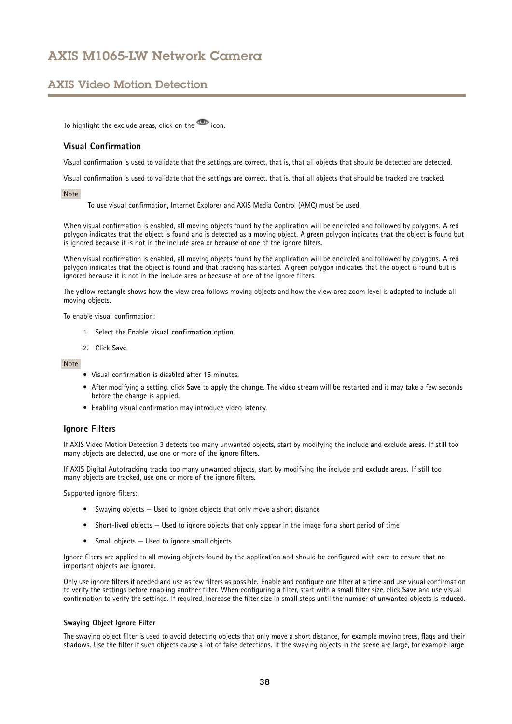## <span id="page-37-0"></span>AXIS Video Motion Detection

To highlight the exclude areas, click on the **interest** icon.

## **Visual Confirmation**

Visual confirmation is used to validate that the settings are correct, that is, that all objects that should be detected are detected.

Visual confirmation is used to validate that the settings are correct, that is, that all objects that should be tracked are tracked.

### Note

To use visual confirmation, Internet Explorer and AXIS Media Control (AMC) must be used.

When visual confirmation is enabled, all moving objects found by the application will be encircled and followed by polygons. A red polygon indicates that the object is found and is detected as <sup>a</sup> moving object. A green polygon indicates that the object is found but is ignored because it is not in the include area or because of one of the ignore filters.

When visual confirmation is enabled, all moving objects found by the application will be encircled and followed by polygons. A red polygon indicates that the object is found and that tracking has started. A green polygon indicates that the object is found but is ignored because it is not in the include area or because of one of the ignore filters.

The yellow rectangle shows how the view area follows moving objects and how the view area zoom level is adapted to include all moving objects.

To enable visual confirmation:

- 1. Select the **Enable visual confirmation** option.
- 2. Click **Save**.

### Note

- Visual confirmation is disabled after 15 minutes.
- After modifying <sup>a</sup> setting, click **Save** to apply the change. The video stream will be restarted and it may take <sup>a</sup> few seconds before the change is applied.
- Enabling visual confirmation may introduce video latency.

## **Ignore Filters**

If AXIS Video Motion Detection 3 detects too many unwanted objects, start by modifying the include and exclude areas. If still too many objects are detected, use one or more of the ignore filters.

If AXIS Digital Autotracking tracks too many unwanted objects, start by modifying the include and exclude areas. If still too many objects are tracked, use one or more of the ignore filters.

Supported ignore filters:

- Swaying objects Used to ignore objects that only move <sup>a</sup> short distance
- Short-lived objects Used to ignore objects that only appear in the image for <sup>a</sup> short period of time
- Small objects Used to ignore small objects

Ignore filters are applied to all moving objects found by the application and should be configured with care to ensure that no important objects are ignored.

Only use ignore filters if needed and use as few filters as possible. Enable and configure one filter at <sup>a</sup> time and use visual confirmation to verify the settings before enabling another filter. When configuring <sup>a</sup> filter, start with <sup>a</sup> small filter size, click **Save** and use visual confirmation to verify the settings. If required, increase the filter size in small steps until the number of unwanted objects is reduced.

### **Swaying Object Ignore Filter**

The swaying object filter is used to avoid detecting objects that only move <sup>a</sup> short distance, for example moving trees, flags and their shadows. Use the filter if such objects cause <sup>a</sup> lot of false detections. If the swaying objects in the scene are large, for example large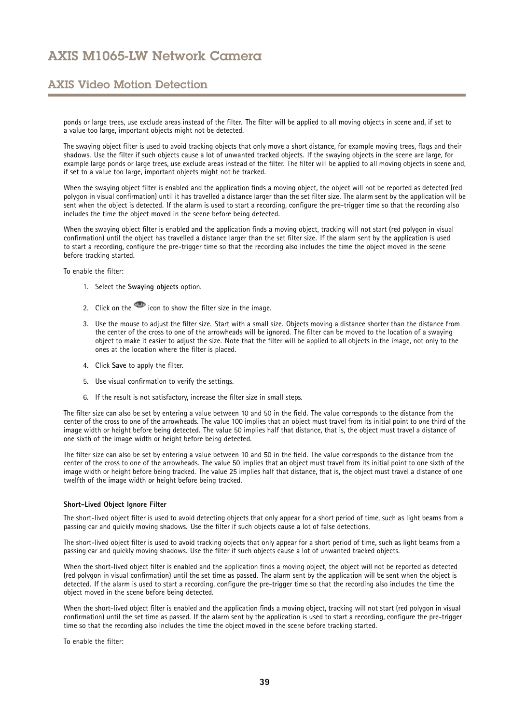## AXIS Video Motion Detection

ponds or large trees, use exclude areas instead of the filter. The filter will be applied to all moving objects in scene and, if set to <sup>a</sup> value too large, important objects might not be detected.

The swaying object filter is used to avoid tracking objects that only move <sup>a</sup> short distance, for example moving trees, flags and their shadows. Use the filter if such objects cause <sup>a</sup> lot of unwanted tracked objects. If the swaying objects in the scene are large, for example large ponds or large trees, use exclude areas instead of the filter. The filter will be applied to all moving objects in scene and, if set to <sup>a</sup> value too large, important objects might not be tracked.

When the swaying object filter is enabled and the application finds <sup>a</sup> moving object, the object will not be reported as detected (red polygon in visual confirmation) until it has travelled <sup>a</sup> distance larger than the set filter size. The alarm sent by the application will be sent when the object is detected. If the alarm is used to start <sup>a</sup> recording, configure the pre-trigger time so that the recording also includes the time the object moved in the scene before being detected.

When the swaying object filter is enabled and the application finds <sup>a</sup> moving object, tracking will not start (red polygon in visual confirmation) until the object has travelled <sup>a</sup> distance larger than the set filter size. If the alarm sent by the application is used to start <sup>a</sup> recording, configure the pre-trigger time so that the recording also includes the time the object moved in the scene before tracking started.

To enable the filter:

- 1. Select the **Swaying objects** option.
- 2. Click on the  $\blacksquare$  icon to show the filter size in the image.
- 3. Use the mouse to adjust the filter size. Start with <sup>a</sup> small size. Objects moving <sup>a</sup> distance shorter than the distance from the center of the cross to one of the arrowheads will be ignored. The filter can be moved to the location of <sup>a</sup> swaying object to make it easier to adjust the size. Note that the filter will be applied to all objects in the image, not only to the ones at the location where the filter is placed.
- 4. Click **Save** to apply the filter.
- 5. Use visual confirmation to verify the settings.
- 6. If the result is not satisfactory, increase the filter size in small steps.

The filter size can also be set by entering <sup>a</sup> value between 10 and 50 in the field. The value corresponds to the distance from the center of the cross to one of the arrowheads. The value 100 implies that an object must travel from its initial point to one third of the image width or height before being detected. The value 50 implies half that distance, that is, the object must travel <sup>a</sup> distance of one sixth of the image width or height before being detected.

The filter size can also be set by entering <sup>a</sup> value between 10 and 50 in the field. The value corresponds to the distance from the center of the cross to one of the arrowheads. The value 50 implies that an object must travel from its initial point to one sixth of the image width or height before being tracked. The value 25 implies half that distance, that is, the object must travel <sup>a</sup> distance of one twelfth of the image width or height before being tracked.

#### **Short-Lived Object Ignore Filter**

The short-lived object filter is used to avoid detecting objects that only appear for <sup>a</sup> short period of time, such as light beams from <sup>a</sup> passing car and quickly moving shadows. Use the filter if such objects cause <sup>a</sup> lot of false detections.

The short-lived object filter is used to avoid tracking objects that only appear for <sup>a</sup> short period of time, such as light beams from <sup>a</sup> passing car and quickly moving shadows. Use the filter if such objects cause <sup>a</sup> lot of unwanted tracked objects.

When the short-lived object filter is enabled and the application finds <sup>a</sup> moving object, the object will not be reported as detected (red polygon in visual confirmation) until the set time as passed. The alarm sent by the application will be sent when the object is detected. If the alarm is used to start <sup>a</sup> recording, configure the pre-trigger time so that the recording also includes the time the object moved in the scene before being detected.

When the short-lived object filter is enabled and the application finds <sup>a</sup> moving object, tracking will not start (red polygon in visual confirmation) until the set time as passed. If the alarm sent by the application is used to start <sup>a</sup> recording, configure the pre-trigger time so that the recording also includes the time the object moved in the scene before tracking started.

To enable the filter: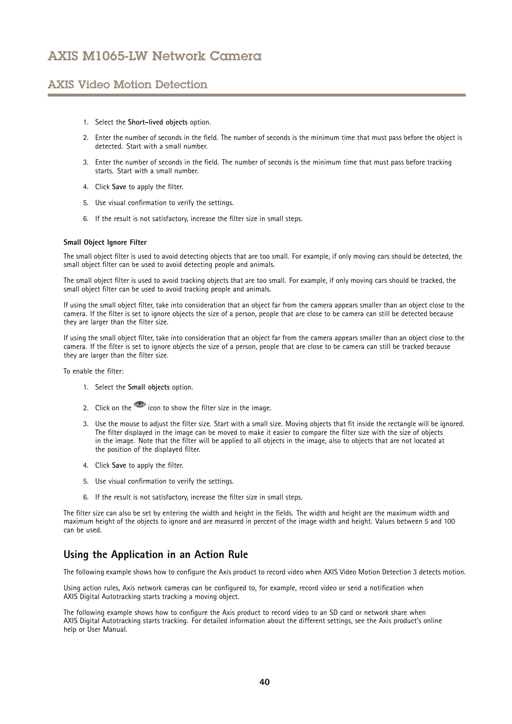## AXIS Video Motion Detection

- 1. Select the **Short-lived objects** option.
- 2. Enter the number of seconds in the field. The number of seconds is the minimum time that must pass before the object is detected. Start with <sup>a</sup> small number.
- 3. Enter the number of seconds in the field. The number of seconds is the minimum time that must pass before tracking starts. Start with <sup>a</sup> small number.
- 4. Click **Save** to apply the filter.
- 5. Use visual confirmation to verify the settings.
- 6. If the result is not satisfactory, increase the filter size in small steps.

### **Small Object Ignore Filter**

The small object filter is used to avoid detecting objects that are too small. For example, if only moving cars should be detected, the small object filter can be used to avoid detecting people and animals.

The small object filter is used to avoid tracking objects that are too small. For example, if only moving cars should be tracked, the small object filter can be used to avoid tracking people and animals.

If using the small object filter, take into consideration that an object far from the camera appears smaller than an object close to the camera. If the filter is set to ignore objects the size of <sup>a</sup> person, people that are close to be camera can still be detected because they are larger than the filter size.

If using the small object filter, take into consideration that an object far from the camera appears smaller than an object close to the camera. If the filter is set to ignore objects the size of <sup>a</sup> person, people that are close to be camera can still be tracked because they are larger than the filter size.

To enable the filter:

- 1. Select the **Small objects** option.
- 2. Click on the  $\overline{1}$  icon to show the filter size in the image.
- 3. Use the mouse to adjust the filter size. Start with <sup>a</sup> small size. Moving objects that fit inside the rectangle will be ignored. The filter displayed in the image can be moved to make it easier to compare the filter size with the size of objects in the image. Note that the filter will be applied to all objects in the image, also to objects that are not located at the position of the displayed filter.
- 4. Click **Save** to apply the filter.
- 5. Use visual confirmation to verify the settings.
- 6. If the result is not satisfactory, increase the filter size in small steps.

The filter size can also be set by entering the width and height in the fields. The width and height are the maximum width and maximum height of the objects to ignore and are measured in percent of the image width and height. Values between 5 and 100 can be used.

## **Using the Application in an Action Rule**

The following example shows how to configure the Axis product to record video when AXIS Video Motion Detection 3 detects motion.

Using action rules, Axis network cameras can be configured to, for example, record video or send <sup>a</sup> notification when AXIS Digital Autotracking starts tracking <sup>a</sup> moving object.

The following example shows how to configure the Axis product to record video to an SD card or network share when AXIS Digital Autotracking starts tracking. For detailed information about the different settings, see the Axis product's online help or User Manual.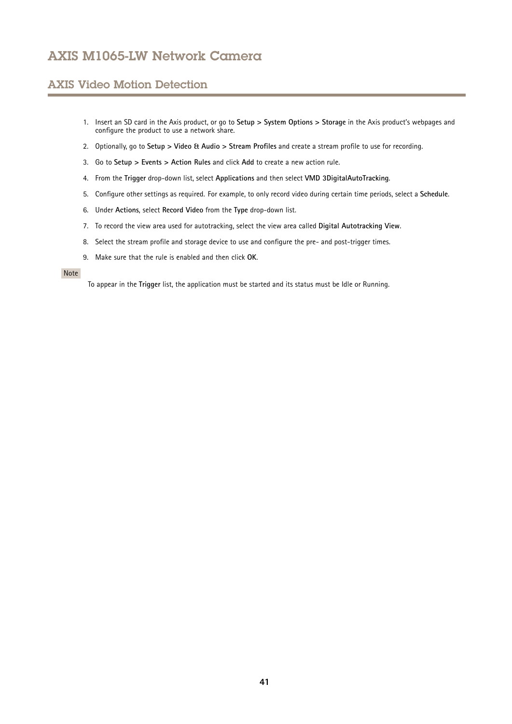# AXIS Video Motion Detection

- 1. Insert an SD card in the Axis product, or go to **Setup <sup>&</sup>gt; System Options <sup>&</sup>gt; Storage** in the Axis product's webpages and configure the product to use <sup>a</sup> network share.
- 2. Optionally, go to **Setup <sup>&</sup>gt; Video & Audio <sup>&</sup>gt; Stream Profiles** and create <sup>a</sup> stream profile to use for recording.
- 3. Go to **Setup <sup>&</sup>gt; Events <sup>&</sup>gt; Action Rules** and click **Add** to create <sup>a</sup> new action rule.
- 4. From the **Trigger** drop-down list, select **Applications** and then select **VMD 3DigitalAutoTracking**.
- 5. Configure other settings as required. For example, to only record video during certain time periods, select <sup>a</sup> **Schedule**.
- 6. Under **Actions**, select **Record Video** from the **Type** drop-down list.
- 7. To record the view area used for autotracking, select the view area called **Digital Autotracking View**.
- 8. Select the stream profile and storage device to use and configure the pre- and post-trigger times.
- 9. Make sure that the rule is enabled and then click **OK**.

### Note

To appear in the **Trigger** list, the application must be started and its status must be Idle or Running.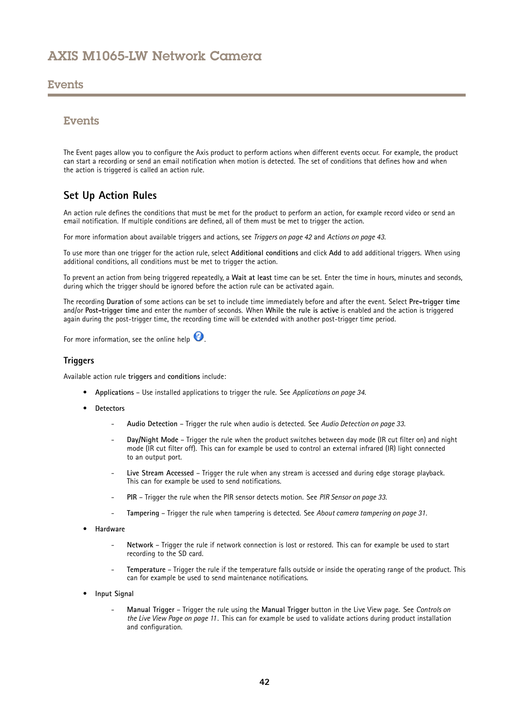## <span id="page-41-0"></span>Events

## Events

The Event pages allow you to configure the Axis product to perform actions when different events occur. For example, the product can start <sup>a</sup> recording or send an email notification when motion is detected. The set of conditions that defines how and when the action is triggered is called an action rule.

## **Set Up Action Rules**

An action rule defines the conditions that must be met for the product to perform an action, for example record video or send an email notification. If multiple conditions are defined, all of them must be met to trigger the action.

For more information about available triggers and actions, see *Triggers on page 42* and *[Actions](#page-42-0) on page [43](#page-42-0)*.

To use more than one trigger for the action rule, select **Additional conditions** and click **Add** to add additional triggers. When using additional conditions, all conditions must be met to trigger the action.

To prevent an action from being triggered repeatedly, <sup>a</sup> **Wait at least** time can be set. Enter the time in hours, minutes and seconds, during which the trigger should be ignored before the action rule can be activated again.

The recording **Duration** of some actions can be set to include time immediately before and after the event. Select **Pre-trigger time** and/or **Post-trigger time** and enter the number of seconds. When **While the rule is active** is enabled and the action is triggered again during the post-trigger time, the recording time will be extended with another post-trigger time period.

For more information, see the online help  $\bullet$ .

### **Triggers**

Available action rule **triggers** and **conditions** include:

- **Applications** Use installed applications to trigger the rule. See *[Applications](#page-33-0) on page [34](#page-33-0)*.
- • **Detectors**
	- **Audio Detection** Trigger the rule when audio is detected. See *Audio [Detection](#page-32-0) on page [33](#page-32-0)*.
	- **Day/Night Mode** Trigger the rule when the product switches between day mode (IR cut filter on) and night mode (IR cut filter off). This can for example be used to control an external infrared (IR) light connected to an output port.
	- **Live Stream Accessed** Trigger the rule when any stream is accessed and during edge storage playback. This can for example be used to send notifications.
	- **PIR** Trigger the rule when the PIR sensor detects motion. See *PIR [Sensor](#page-32-0) on page [33](#page-32-0)*.
	- **Tampering** Trigger the rule when tampering is detected. See *About camera [tampering](#page-30-0) on page [31](#page-30-0)*.
- • **Hardware**
	- **Network** Trigger the rule if network connection is lost or restored. This can for example be used to start recording to the SD card.
	- **Temperature** Trigger the rule if the temperature falls outside or inside the operating range of the product. This can for example be used to send maintenance notifications.
- • **Input Signal**
	- **Manual Trigger** Trigger the rule using the **Manual Trigger** button in the Live View page. See *[Controls](#page-10-0) on the Live View [Page](#page-10-0) on page [11](#page-10-0)*. This can for example be used to validate actions during product installation and configuration.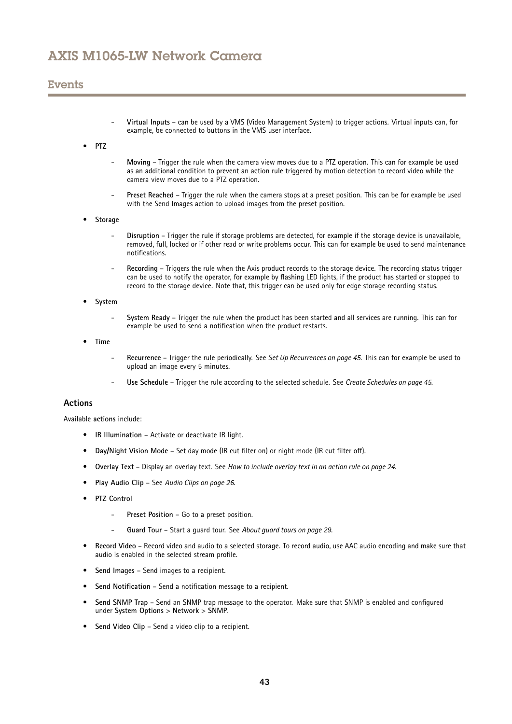## <span id="page-42-0"></span>Events

- **Virtual Inputs** can be used by <sup>a</sup> VMS (Video Management System) to trigger actions. Virtual inputs can, for example, be connected to buttons in the VMS user interface.
- •**PTZ**
- **Moving** Trigger the rule when the camera view moves due to <sup>a</sup> PTZ operation. This can for example be used as an additional condition to prevent an action rule triggered by motion detection to record video while the camera view moves due to <sup>a</sup> PTZ operation.
- **Preset Reached** Trigger the rule when the camera stops at <sup>a</sup> preset position. This can be for example be used with the Send Images action to upload images from the preset position.
- • **Storage**
	- **Disruption** Trigger the rule if storage problems are detected, for example if the storage device is unavailable, removed, full, locked or if other read or write problems occur. This can for example be used to send maintenance notifications.
	- **Recording** Triggers the rule when the Axis product records to the storage device. The recording status trigger can be used to notify the operator, for example by flashing LED lights, if the product has started or stopped to record to the storage device. Note that, this trigger can be used only for edge storage recording status.
- • **System**
	- **System Ready** Trigger the rule when the product has been started and all services are running. This can for example be used to send <sup>a</sup> notification when the product restarts.
- • **Time**
	- **Recurrence** Trigger the rule periodically. See *Set Up [Recurrences](#page-44-0) on page [45](#page-44-0)*. This can for example be used to upload an image every 5 minutes.
	- **Use Schedule** Trigger the rule according to the selected schedule. See *Create [Schedules](#page-44-0) on page [45](#page-44-0)*.

### **Actions**

Available **actions** include:

- **IR Illumination** Activate or deactivate IR light.
- **Day/Night Vision Mode** Set day mode (IR cut filter on) or night mode (IR cut filter off).
- **Overlay Text** Display an overlay text. See *How to include [overlay](#page-23-0) text in an action rule on page [24](#page-23-0)*.
- **Play Audio Clip** See *Audio [Clips](#page-25-0) on page [26](#page-25-0)*.
- **PTZ Control**
	- **Preset Position** Go to <sup>a</sup> preset position.
	- **Guard Tour** Start <sup>a</sup> guard tour. See *About [guard](#page-28-0) tours on page [29](#page-28-0)*.
- • **Record Video** – Record video and audio to <sup>a</sup> selected storage. To record audio, use AAC audio encoding and make sure that audio is enabled in the selected stream profile.
- •**Send Images** – Send images to <sup>a</sup> recipient.
- •**Send Notification** – Send <sup>a</sup> notification message to <sup>a</sup> recipient.
- • **Send SNMP Trap** – Send an SNMP trap message to the operator. Make sure that SNMP is enabled and configured under **System Options** <sup>&</sup>gt; **Network** <sup>&</sup>gt; **SNMP**.
- **Send Video Clip** Send <sup>a</sup> video clip to <sup>a</sup> recipient.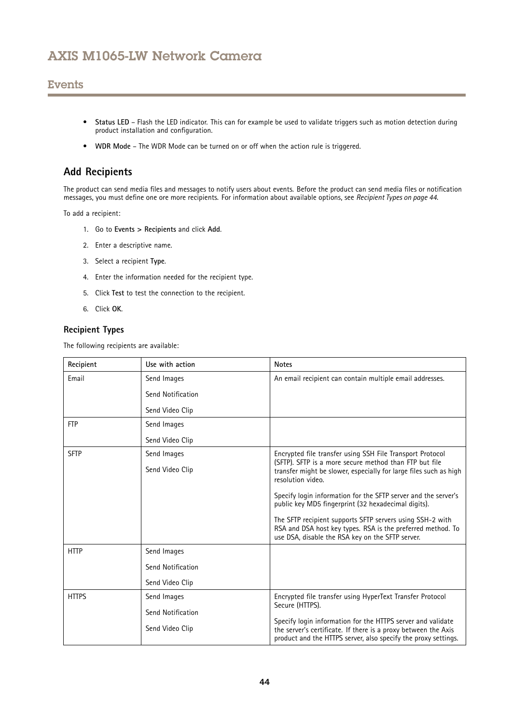## **Events**

- **Status LED** Flash the LED indicator. This can for example be used to validate triggers such as motion detection during product installation and configuration.
- **WDR Mode** The WDR Mode can be turned on or off when the action rule is triggered.

## **Add Recipients**

The product can send media files and messages to notify users about events. Before the product can send media files or notification messages, you must define one ore more recipients. For information about available options, see *Recipient Types on page <sup>44</sup>*.

To add <sup>a</sup> recipient:

- 1. Go to **Events <sup>&</sup>gt; Recipients** and click **Add**.
- 2. Enter <sup>a</sup> descriptive name.
- 3. Select <sup>a</sup> recipient **Type**.
- 4. Enter the information needed for the recipient type.
- 5. Click **Test** to test the connection to the recipient.
- 6. Click **OK**.

## **Recipient Types**

The following recipients are available:

| Recipient    | Use with action   | <b>Notes</b>                                                                                                                                                                                    |
|--------------|-------------------|-------------------------------------------------------------------------------------------------------------------------------------------------------------------------------------------------|
| Email        | Send Images       | An email recipient can contain multiple email addresses.                                                                                                                                        |
|              | Send Notification |                                                                                                                                                                                                 |
|              | Send Video Clip   |                                                                                                                                                                                                 |
| <b>FTP</b>   | Send Images       |                                                                                                                                                                                                 |
|              | Send Video Clip   |                                                                                                                                                                                                 |
| <b>SFTP</b>  | Send Images       | Encrypted file transfer using SSH File Transport Protocol                                                                                                                                       |
|              | Send Video Clip   | (SFTP). SFTP is a more secure method than FTP but file<br>transfer might be slower, especially for large files such as high<br>resolution video.                                                |
|              |                   | Specify login information for the SFTP server and the server's<br>public key MD5 fingerprint (32 hexadecimal digits).                                                                           |
|              |                   | The SFTP recipient supports SFTP servers using SSH-2 with<br>RSA and DSA host key types. RSA is the preferred method. To<br>use DSA, disable the RSA key on the SFTP server.                    |
| <b>HTTP</b>  | Send Images       |                                                                                                                                                                                                 |
|              | Send Notification |                                                                                                                                                                                                 |
|              | Send Video Clip   |                                                                                                                                                                                                 |
| <b>HTTPS</b> | Send Images       | Encrypted file transfer using HyperText Transfer Protocol                                                                                                                                       |
|              | Send Notification | Secure (HTTPS).                                                                                                                                                                                 |
|              | Send Video Clip   | Specify login information for the HTTPS server and validate<br>the server's certificate. If there is a proxy between the Axis<br>product and the HTTPS server, also specify the proxy settings. |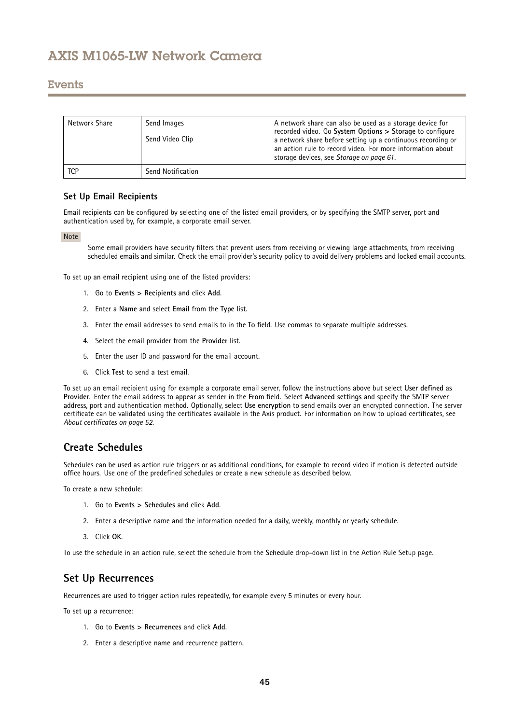## <span id="page-44-0"></span>Events

| Network Share | Send Images<br>Send Video Clip | A network share can also be used as a storage device for<br>recorded video. Go System Options > Storage to configure<br>a network share before setting up a continuous recording or<br>an action rule to record video. For more information about<br>storage devices, see Storage on page 61. |
|---------------|--------------------------------|-----------------------------------------------------------------------------------------------------------------------------------------------------------------------------------------------------------------------------------------------------------------------------------------------|
| <b>TCP</b>    | Send Notification              |                                                                                                                                                                                                                                                                                               |

## **Set Up Email Recipients**

Email recipients can be configured by selecting one of the listed email providers, or by specifying the SMTP server, port and authentication used by, for example, <sup>a</sup> corporate email server.

### Note

Some email providers have security filters that prevent users from receiving or viewing large attachments, from receiving scheduled emails and similar. Check the email provider's security policy to avoid delivery problems and locked email accounts.

To set up an email recipient using one of the listed providers:

- 1. Go to **Events <sup>&</sup>gt; Recipients** and click **Add**.
- 2. Enter <sup>a</sup> **Name** and select **Email** from the **Type** list.
- 3. Enter the email addresses to send emails to in the **To** field. Use commas to separate multiple addresses.
- 4. Select the email provider from the **Provider** list.
- 5. Enter the user ID and password for the email account.
- 6. Click **Test** to send <sup>a</sup> test email.

To set up an email recipient using for example <sup>a</sup> corporate email server, follow the instructions above but select **User defined** as **Provider**. Enter the email address to appear as sender in the **From** field. Select **Advanced settings** and specify the SMTP server address, port and authentication method. Optionally, select **Use encryption** to send emails over an encrypted connection. The server certificate can be validated using the certificates available in the Axis product. For information on how to upload certificates, see *About [certificates](#page-51-0) on page [52](#page-51-0)*.

## **Create Schedules**

Schedules can be used as action rule triggers or as additional conditions, for example to record video if motion is detected outside office hours. Use one of the predefined schedules or create <sup>a</sup> new schedule as described below.

To create a new schedule:

- 1. Go to **Events <sup>&</sup>gt; Schedules** and click **Add**.
- 2. Enter <sup>a</sup> descriptive name and the information needed for <sup>a</sup> daily, weekly, monthly or yearly schedule.
- 3. Click **OK**.

To use the schedule in an action rule, select the schedule from the **Schedule** drop-down list in the Action Rule Setup page.

## **Set Up Recurrences**

Recurrences are used to trigger action rules repeatedly, for example every 5 minutes or every hour.

To set up <sup>a</sup> recurrence:

- 1. Go to **Events <sup>&</sup>gt; Recurrences** and click **Add**.
- 2. Enter <sup>a</sup> descriptive name and recurrence pattern.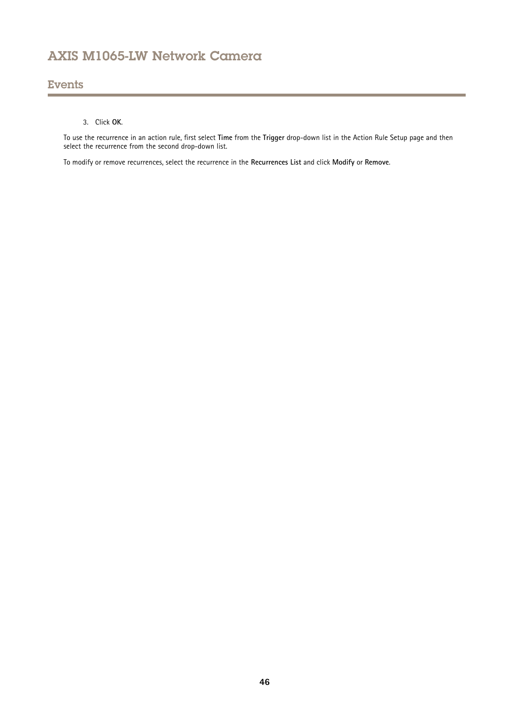## Events

## 3. Click **OK**.

To use the recurrence in an action rule, first select **Time** from the **Trigger** drop-down list in the Action Rule Setup page and then select the recurrence from the second drop-down list.

To modify or remove recurrences, select the recurrence in the **Recurrences List** and click **Modify** or **Remove**.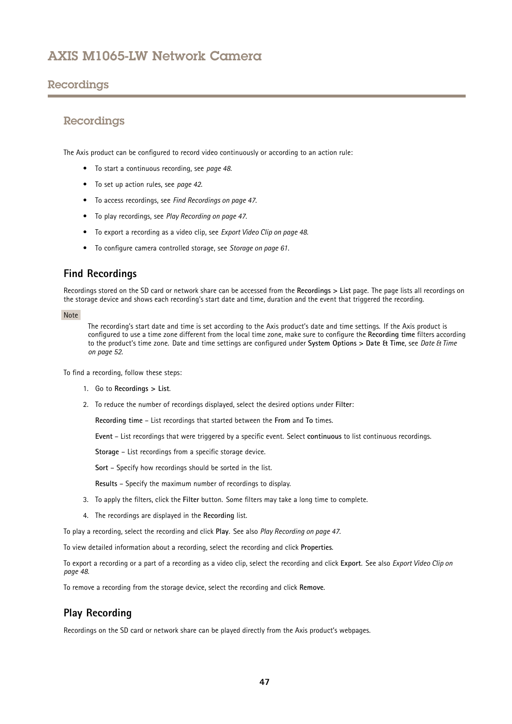## <span id="page-46-0"></span>Recordings

## Recordings

The Axis product can be configured to record video continuously or according to an action rule:

- To start <sup>a</sup> continuous recording, see *[page](#page-47-0) [48](#page-47-0)*.
- To set up action rules, see *[page](#page-41-0) [42](#page-41-0)*.
- To access recordings, see *Find Recordings on page 47*.
- To play recordings, see *Play Recording on page 47*.
- To export <sup>a</sup> recording as <sup>a</sup> video clip, see *[Export](#page-47-0) Video Clip on page [48](#page-47-0)*.
- To configure camera controlled storage, see *[Storage](#page-60-0) on page [61](#page-60-0)*.

## **Find Recordings**

Recordings stored on the SD card or network share can be accessed from the **Recordings <sup>&</sup>gt; List** page. The page lists all recordings on the storage device and shows each recording's start date and time, duration and the event that triggered the recording.

### Note

The recording's start date and time is set according to the Axis product's date and time settings. If the Axis product is configured to use <sup>a</sup> time zone different from the local time zone, make sure to configure the **Recording time** filters according to the product's time zone. Date and time settings are configured under **System Options <sup>&</sup>gt; Date & Time**, see *[Date](#page-51-0) & Time on [page](#page-51-0) [52](#page-51-0)*.

To find <sup>a</sup> recording, follow these steps:

- 1. Go to **Recordings <sup>&</sup>gt; List**.
- 2. To reduce the number of recordings displayed, select the desired options under **Filter**:

**Recording time** – List recordings that started between the **From** and **To** times.

**Event** – List recordings that were triggered by <sup>a</sup> specific event. Select **continuous** to list continuous recordings.

**Storage** – List recordings from <sup>a</sup> specific storage device.

**Sort** – Specify how recordings should be sorted in the list.

**Results** – Specify the maximum number of recordings to display.

- 3. To apply the filters, click the **Filter** button. Some filters may take <sup>a</sup> long time to complete.
- 4. The recordings are displayed in the **Recording** list.

To play <sup>a</sup> recording, select the recording and click **Play**. See also *Play Recording on page <sup>47</sup>*.

To view detailed information about <sup>a</sup> recording, select the recording and click **Properties**.

To export <sup>a</sup> recording or <sup>a</sup> part of <sup>a</sup> recording as <sup>a</sup> video clip, select the recording and click **Export**. See also *[Export](#page-47-0) Video Clip on [page](#page-47-0) [48](#page-47-0)*.

To remove <sup>a</sup> recording from the storage device, select the recording and click **Remove**.

## **Play Recording**

Recordings on the SD card or network share can be played directly from the Axis product's webpages.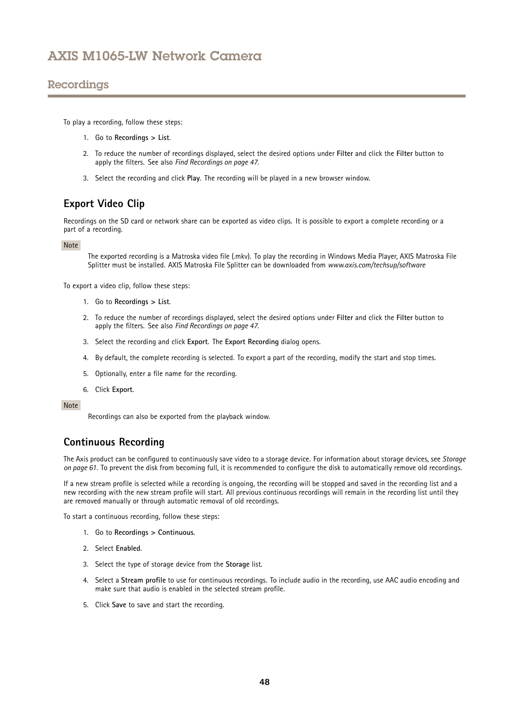## <span id="page-47-0"></span>Recordings

To play <sup>a</sup> recording, follow these steps:

- 1. Go to **Recordings <sup>&</sup>gt; List**.
- 2. To reduce the number of recordings displayed, select the desired options under **Filter** and click the **Filter** button to apply the filters. See also *Find [Recordings](#page-46-0) on page [47](#page-46-0)*.
- 3. Select the recording and click **Play**. The recording will be played in <sup>a</sup> new browser window.

# **Export Video Clip**

Recordings on the SD card or network share can be exported as video clips. It is possible to export <sup>a</sup> complete recording or <sup>a</sup> part of <sup>a</sup> recording.

### Note

The exported recording is <sup>a</sup> Matroska video file (.mkv). To play the recording in Windows Media Player, AXIS Matroska File Splitter must be installed. AXIS Matroska File Splitter can be downloaded from *www.axis.com/techsup/software*

To export <sup>a</sup> video clip, follow these steps:

- 1. Go to **Recordings <sup>&</sup>gt; List**.
- 2. To reduce the number of recordings displayed, select the desired options under **Filter** and click the **Filter** button to apply the filters. See also *Find [Recordings](#page-46-0) on page [47](#page-46-0)*.
- 3. Select the recording and click **Export**. The **Export Recording** dialog opens.
- 4. By default, the complete recording is selected. To export <sup>a</sup> part of the recording, modify the start and stop times.
- 5. Optionally, enter <sup>a</sup> file name for the recording.
- 6. Click **Export**.

Note

Recordings can also be exported from the playback window.

## **Continuous Recording**

The Axis product can be configured to continuously save video to <sup>a</sup> storage device. For information about storage devices, see *[Storage](#page-60-0) on [page](#page-60-0) [61](#page-60-0)*. To prevent the disk from becoming full, it is recommended to configure the disk to automatically remove old recordings.

If <sup>a</sup> new stream profile is selected while <sup>a</sup> recording is ongoing, the recording will be stopped and saved in the recording list and <sup>a</sup> new recording with the new stream profile will start. All previous continuous recordings will remain in the recording list until they are removed manually or through automatic removal of old recordings.

To start <sup>a</sup> continuous recording, follow these steps:

- 1. Go to **Recordings <sup>&</sup>gt; Continuous**.
- 2. Select **Enabled**.
- 3. Select the type of storage device from the **Storage** list.
- 4. Select <sup>a</sup> **Stream profile** to use for continuous recordings. To include audio in the recording, use AAC audio encoding and make sure that audio is enabled in the selected stream profile.
- 5. Click **Save** to save and start the recording.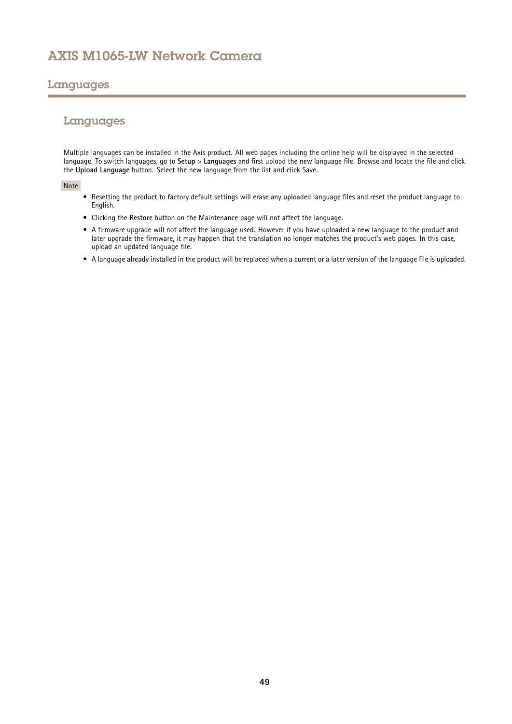## Languages

# Languages

Multiple languages can be installed in the Axis product. All web pages including the online help will be displayed in the selected language. To switch languages, go to **Setup** <sup>&</sup>gt; **Languages** and first upload the new language file. Browse and locate the file and click the **Upload Language** button. Select the new language from the list and click Save.

### Note

- Resetting the product to factory default settings will erase any uploaded language files and reset the product language to English.
- Clicking the **Restore** button on the Maintenance page will not affect the language.
- A firmware upgrade will not affect the language used. However if you have uploaded <sup>a</sup> new language to the product and later upgrade the firmware, it may happen that the translation no longer matches the product's web pages. In this case, upload an updated language file.
- A language already installed in the product will be replaced when <sup>a</sup> current or <sup>a</sup> later version of the language file is uploaded.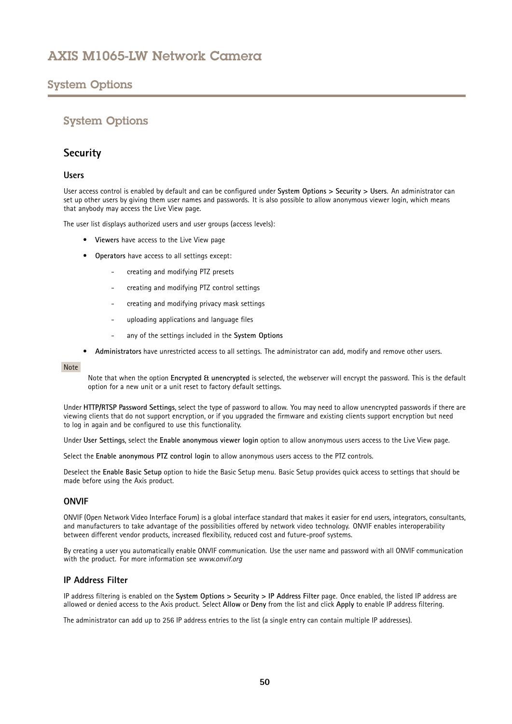# System Options

# System Options

## **Security**

## **Users**

User access control is enabled by default and can be configured under **System Options <sup>&</sup>gt; Security <sup>&</sup>gt; Users**. An administrator can set up other users by giving them user names and passwords. It is also possible to allow anonymous viewer login, which means that anybody may access the Live View page.

The user list displays authorized users and user groups (access levels):

- **Viewers** have access to the Live View page
- • **Operators** have access to all settings except:
	- creating and modifying PTZ presets
	- creating and modifying PTZ control settings
	- creating and modifying privacy mask settings
	- uploading applications and language files
	- any of the settings included in the **System Options**
- **Administrators** have unrestricted access to all settings. The administrator can add, modify and remove other users.

#### Note

Note that when the option **Encrypted & unencrypted** is selected, the webserver will encrypt the password. This is the default option for <sup>a</sup> new unit or <sup>a</sup> unit reset to factory default settings.

Under **HTTP/RTSP Password Settings**, select the type of password to allow. You may need to allow unencrypted passwords if there are viewing clients that do not support encryption, or if you upgraded the firmware and existing clients support encryption but need to log in again and be configured to use this functionality.

Under **User Settings**, select the **Enable anonymous viewer login** option to allow anonymous users access to the Live View page.

Select the **Enable anonymous PTZ control login** to allow anonymous users access to the PTZ controls.

Deselect the **Enable Basic Setup** option to hide the Basic Setup menu. Basic Setup provides quick access to settings that should be made before using the Axis product.

## **ONVIF**

ONVIF (Open Network Video Interface Forum) is <sup>a</sup> global interface standard that makes it easier for end users, integrators, consultants, and manufacturers to take advantage of the possibilities offered by network video technology. ONVIF enables interoperability between different vendor products, increased flexibility, reduced cost and future-proof systems.

By creating <sup>a</sup> user you automatically enable ONVIF communication. Use the user name and password with all ONVIF communication with the product. For more information see *www.onvif.org*

## **IP Address Filter**

IP address filtering is enabled on the **System Options <sup>&</sup>gt; Security <sup>&</sup>gt; IP Address Filter** page. Once enabled, the listed IP address are allowed or denied access to the Axis product. Select **Allow** or **Deny** from the list and click **Apply** to enable IP address filtering.

The administrator can add up to <sup>256</sup> IP address entries to the list (a single entry can contain multiple IP addresses).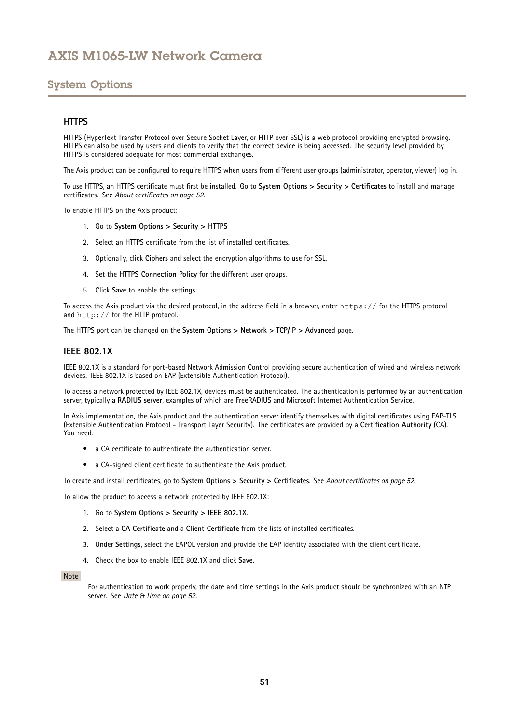# <span id="page-50-0"></span>System Options

## **HTTPS**

HTTPS (HyperText Transfer Protocol over Secure Socket Layer, or HTTP over SSL) is <sup>a</sup> web protocol providing encrypted browsing. HTTPS can also be used by users and clients to verify that the correct device is being accessed. The security level provided by HTTPS is considered adequate for most commercial exchanges.

The Axis product can be configured to require HTTPS when users from different user groups (administrator, operator, viewer) log in.

To use HTTPS, an HTTPS certificate must first be installed. Go to **System Options <sup>&</sup>gt; Security <sup>&</sup>gt; Certificates** to install and manage certificates. See *About [certificates](#page-51-0) on page [52](#page-51-0)*.

To enable HTTPS on the Axis product:

- 1. Go to **System Options <sup>&</sup>gt; Security <sup>&</sup>gt; HTTPS**
- 2. Select an HTTPS certificate from the list of installed certificates.
- 3. Optionally, click **Ciphers** and select the encryption algorithms to use for SSL.
- 4. Set the **HTTPS Connection Policy** for the different user groups.
- 5. Click **Save** to enable the settings.

To access the Axis product via the desired protocol, in the address field in <sup>a</sup> browser, enter https:// for the HTTPS protocol and http:// for the HTTP protocol.

The HTTPS port can be changed on the **System Options <sup>&</sup>gt; Network <sup>&</sup>gt; TCP/IP <sup>&</sup>gt; Advanced** page.

### **IEEE 802.1X**

IEEE 802.1X is <sup>a</sup> standard for port-based Network Admission Control providing secure authentication of wired and wireless network devices. IEEE 802.1X is based on EAP (Extensible Authentication Protocol).

To access <sup>a</sup> network protected by IEEE 802.1X, devices must be authenticated. The authentication is performed by an authentication server, typically <sup>a</sup> **RADIUS server**, examples of which are FreeRADIUS and Microsoft Internet Authentication Service.

In Axis implementation, the Axis product and the authentication server identify themselves with digital certificates using EAP-TLS (Extensible Authentication Protocol - Transport Layer Security). The certificates are provided by <sup>a</sup> **Certification Authority** (CA). You need:

- <sup>a</sup> CA certificate to authenticate the authentication server.
- <sup>a</sup> CA-signed client certificate to authenticate the Axis product.

To create and install certificates, go to **System Options <sup>&</sup>gt; Security <sup>&</sup>gt; Certificates**. See *About [certificates](#page-51-0) on page [52](#page-51-0)*.

To allow the product to access <sup>a</sup> network protected by IEEE 802.1X:

- 1. Go to **System Options <sup>&</sup>gt; Security <sup>&</sup>gt; IEEE 802.1X**.
- 2. Select <sup>a</sup> **CA Certificate** and <sup>a</sup> **Client Certificate** from the lists of installed certificates.
- 3. Under **Settings**, select the EAPOL version and provide the EAP identity associated with the client certificate.
- 4. Check the box to enable IEEE 802.1X and click **Save**.

#### Note

For authentication to work properly, the date and time settings in the Axis product should be synchronized with an NTP server. See *Date & Time on [page](#page-51-0) [52](#page-51-0)*.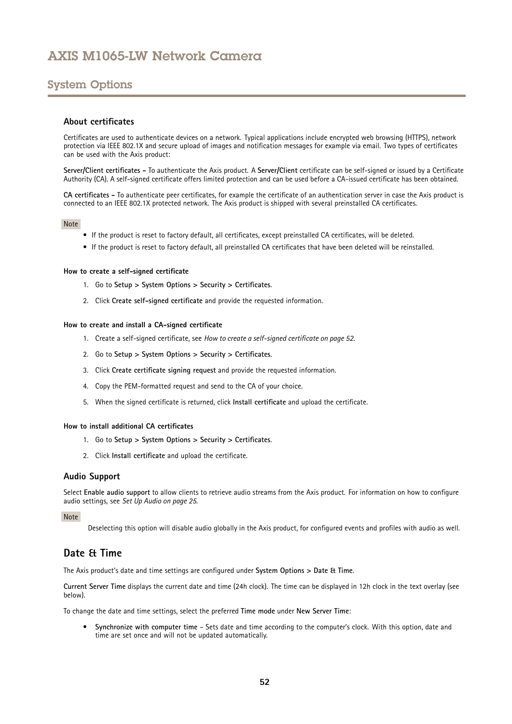# <span id="page-51-0"></span>System Options

### **About certificates**

Certificates are used to authenticate devices on <sup>a</sup> network. Typical applications include encrypted web browsing (HTTPS), network protection via IEEE 802.1X and secure upload of images and notification messages for example via email. Two types of certificates can be used with the Axis product:

**Server/Client certificates -** To authenticate the Axis product. A **Server/Client** certificate can be self-signed or issued by <sup>a</sup> Certificate Authority (CA). A self-signed certificate offers limited protection and can be used before <sup>a</sup> CA-issued certificate has been obtained.

**CA certificates -** To authenticate peer certificates, for example the certificate of an authentication server in case the Axis product is connected to an IEEE 802.1X protected network. The Axis product is shipped with several preinstalled CA certificates.

### Note

- If the product is reset to factory default, all certificates, except preinstalled CA certificates, will be deleted.
- If the product is reset to factory default, all preinstalled CA certificates that have been deleted will be reinstalled.

### **How to create <sup>a</sup> self-signed certificate**

- 1. Go to **Setup <sup>&</sup>gt; System Options <sup>&</sup>gt; Security <sup>&</sup>gt; Certificates**.
- 2. Click **Create self-signed certificate** and provide the requested information.

### **How to create and install <sup>a</sup> CA-signed certificate**

- 1. Create <sup>a</sup> self-signed certificate, see *How to create <sup>a</sup> self-signed certificate on page 52*.
- 2. Go to **Setup <sup>&</sup>gt; System Options <sup>&</sup>gt; Security <sup>&</sup>gt; Certificates**.
- 3. Click **Create certificate signing request** and provide the requested information.
- 4. Copy the PEM-formatted request and send to the CA of your choice.
- 5. When the signed certificate is returned, click **Install certificate** and upload the certificate.

#### **How to install additional CA certificates**

- 1. Go to **Setup <sup>&</sup>gt; System Options <sup>&</sup>gt; Security <sup>&</sup>gt; Certificates**.
- 2. Click **Install certificate** and upload the certificate.

### **Audio Support**

Select **Enable audio support** to allow clients to retrieve audio streams from the Axis product. For information on how to configure audio settings, see *Set Up [Audio](#page-24-0) on page [25](#page-24-0)*.

Note

Deselecting this option will disable audio globally in the Axis product, for configured events and profiles with audio as well.

## **Date & Time**

The Axis product's date and time settings are configured under **System Options <sup>&</sup>gt; Date & Time**.

**Current Server Time** displays the current date and time (24h clock). The time can be displayed in 12h clock in the text overlay (see below).

To change the date and time settings, select the preferred **Time mode** under **New Server Time**:

• **Synchronize with computer time** – Sets date and time according to the computer's clock. With this option, date and time are set once and will not be updated automatically.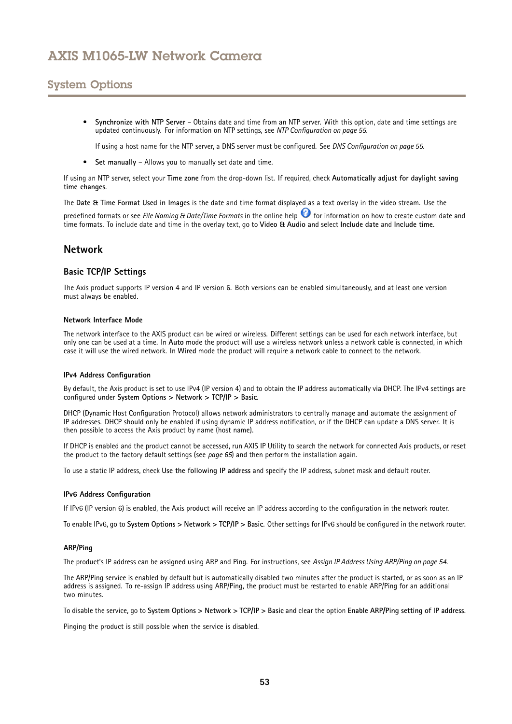# System Options

• **Synchronize with NTP Server** – Obtains date and time from an NTP server. With this option, date and time settings are updated continuously. For information on NTP settings, see *NTP [Configuration](#page-54-0) on page [55](#page-54-0)*.

If using <sup>a</sup> host name for the NTP server, <sup>a</sup> DNS server must be configured. See *DNS [Configuration](#page-54-0) on page [55](#page-54-0)*.

• **Set manually** – Allows you to manually set date and time.

If using an NTP server, select your **Time zone** from the drop-down list. If required, check **Automatically adjust for daylight saving time changes**.

The **Date & Time Format Used in Images** is the date and time format displayed as <sup>a</sup> text overlay in the video stream. Use the

predefined formats or see *File Naming & Date/Time Formats* in the online help for information on how to create custom date and time formats. To include date and time in the overlay text, go to **Video & Audio** and select **Include date** and **Include time**.

## **Network**

## **Basic TCP/IP Settings**

The Axis product supports IP version 4 and IP version 6. Both versions can be enabled simultaneously, and at least one version must always be enabled.

### **Network Interface Mode**

The network interface to the AXIS product can be wired or wireless. Different settings can be used for each network interface, but only one can be used at <sup>a</sup> time. In **Auto** mode the product will use <sup>a</sup> wireless network unless <sup>a</sup> network cable is connected, in which case it will use the wired network. In **Wired** mode the product will require <sup>a</sup> network cable to connect to the network.

### **IPv4 Address Configuration**

By default, the Axis product is set to use IPv4 (IP version 4) and to obtain the IP address automatically via DHCP. The IPv4 settings are configured under **System Options <sup>&</sup>gt; Network <sup>&</sup>gt; TCP/IP <sup>&</sup>gt; Basic**.

DHCP (Dynamic Host Configuration Protocol) allows network administrators to centrally manage and automate the assignment of IP addresses. DHCP should only be enabled if using dynamic IP address notification, or if the DHCP can update <sup>a</sup> DNS server. It is then possible to access the Axis product by name (host name).

If DHCP is enabled and the product cannot be accessed, run AXIS IP Utility to search the network for connected Axis products, or reset the product to the factory default settings (see *[page](#page-64-0) [65](#page-64-0)*) and then perform the installation again.

To use <sup>a</sup> static IP address, check **Use the following IP address** and specify the IP address, subnet mask and default router.

### **IPv6 Address Configuration**

If IPv6 (IP version 6) is enabled, the Axis product will receive an IP address according to the configuration in the network router.

To enable IPv6, go to **System Options <sup>&</sup>gt; Network <sup>&</sup>gt; TCP/IP <sup>&</sup>gt; Basic**. Other settings for IPv6 should be configured in the network router.

### **ARP/Ping**

The product's IP address can be assigned using ARP and Ping. For instructions, see *Assign IP Address Using [ARP/Ping](#page-53-0) on page [54](#page-53-0)*.

The ARP/Ping service is enabled by default but is automatically disabled two minutes after the product is started, or as soon as an IP address is assigned. To re-assign IP address using ARP/Ping, the product must be restarted to enable ARP/Ping for an additional two minutes.

To disable the service, go to System Options > Network > TCP/IP > Basic and clear the option Enable ARP/Ping setting of IP address.

Pinging the product is still possible when the service is disabled.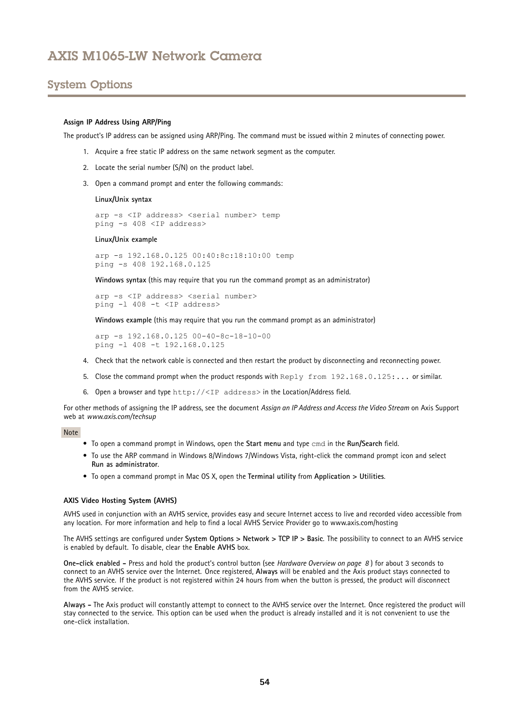## <span id="page-53-0"></span>System Options

#### **Assign IP Address Using ARP/Ping**

The product's IP address can be assigned using ARP/Ping. The command must be issued within <sup>2</sup> minutes of connecting power.

- 1. Acquire <sup>a</sup> free static IP address on the same network segment as the computer.
- 2. Locate the serial number (S/N) on the product label.
- 3. Open <sup>a</sup> command prompt and enter the following commands:

#### **Linux/Unix syntax**

```
arp -s <IP address> <serial number> temp
ping -s 408 <IP address>
```
#### **Linux/Unix example**

arp -s 192.168.0.125 00:40:8c:18:10:00 temp ping -s 408 192.168.0.125

**Windows syntax** (this may require that you run the command prompt as an administrator)

arp -s <IP address> <serial number> ping -l 408 -t <IP address>

**Windows example** (this may require that you run the command prompt as an administrator)

arp -s 192.168.0.125 00-40-8c-18-10-00 ping -l 408 -t 192.168.0.125

- 4. Check that the network cable is connected and then restart the product by disconnecting and reconnecting power.
- 5. Close the command prompt when the product responds with Reply from 192.168.0.125:... or similar.
- 6. Open <sup>a</sup> browser and type http://<IP address> in the Location/Address field.

For other methods of assigning the IP address, see the document *Assign an IP Address and Access the Video Stream* on Axis Support web at *www.axis.com/techsup*

#### Note

- To open <sup>a</sup> command prompt in Windows, open the **Start menu** and type cmd in the **Run/Search** field.
- To use the ARP command in Windows 8/Windows 7/Windows Vista, right-click the command prompt icon and select **Run as administrator**.
- To open <sup>a</sup> command prompt in Mac OS X, open the **Terminal utility** from **Application <sup>&</sup>gt; Utilities**.

#### **AXIS Video Hosting System (AVHS)**

AVHS used in conjunction with an AVHS service, provides easy and secure Internet access to live and recorded video accessible from any location. For more information and help to find <sup>a</sup> local AVHS Service Provider go to www.axis.com/hosting

The AVHS settings are configured under **System Options <sup>&</sup>gt; Network <sup>&</sup>gt; TCP IP <sup>&</sup>gt; Basic**. The possibility to connect to an AVHS service is enabled by default. To disable, clear the **Enable AVHS** box.

**One-click enabled -** Press and hold the product's control button (see *[Hardware](#page-7-0) Overview on page [8](#page-7-0)* ) for about <sup>3</sup> seconds to connect to an AVHS service over the Internet. Once registered, **Always** will be enabled and the Axis product stays connected to the AVHS service. If the product is not registered within 24 hours from when the button is pressed, the product will disconnect from the AVHS service.

**Always -** The Axis product will constantly attempt to connect to the AVHS service over the Internet. Once registered the product will stay connected to the service. This option can be used when the product is already installed and it is not convenient to use the one-click installation.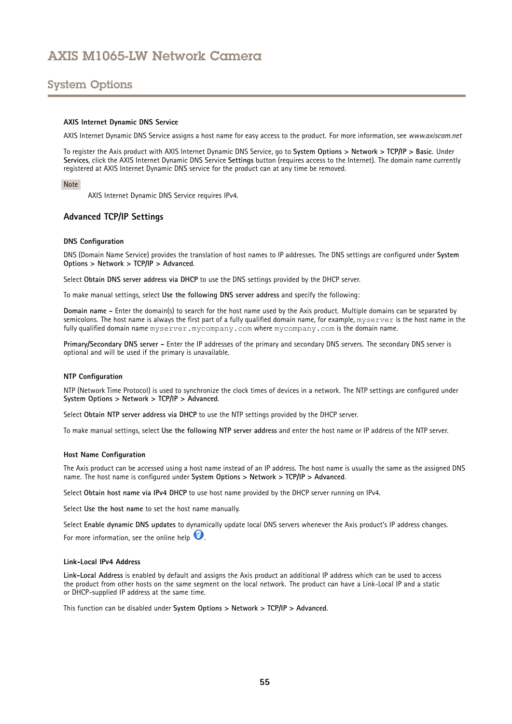# <span id="page-54-0"></span>System Options

### **AXIS Internet Dynamic DNS Service**

AXIS Internet Dynamic DNS Service assigns <sup>a</sup> host name for easy access to the product. For more information, see *www.axiscam.net*

To register the Axis product with AXIS Internet Dynamic DNS Service, go to **System Options <sup>&</sup>gt; Network <sup>&</sup>gt; TCP/IP <sup>&</sup>gt; Basic**. Under **Services**, click the AXIS Internet Dynamic DNS Service **Settings** button (requires access to the Internet). The domain name currently registered at AXIS Internet Dynamic DNS service for the product can at any time be removed.

#### Note

AXIS Internet Dynamic DNS Service requires IPv4.

### **Advanced TCP/IP Settings**

#### **DNS Configuration**

DNS (Domain Name Service) provides the translation of host names to IP addresses. The DNS settings are configured under **System Options <sup>&</sup>gt; Network <sup>&</sup>gt; TCP/IP <sup>&</sup>gt; Advanced**.

Select **Obtain DNS server address via DHCP** to use the DNS settings provided by the DHCP server.

To make manual settings, select **Use the following DNS server address** and specify the following:

**Domain name -** Enter the domain(s) to search for the host name used by the Axis product. Multiple domains can be separated by semicolons. The host name is always the first part of a fully qualified domain name, for example, myserver is the host name in the fully qualified domain name myserver.mycompany.com where mycompany.com is the domain name.

**Primary/Secondary DNS server -** Enter the IP addresses of the primary and secondary DNS servers. The secondary DNS server is optional and will be used if the primary is unavailable.

#### **NTP Configuration**

NTP (Network Time Protocol) is used to synchronize the clock times of devices in <sup>a</sup> network. The NTP settings are configured under **System Options <sup>&</sup>gt; Network <sup>&</sup>gt; TCP/IP <sup>&</sup>gt; Advanced**.

Select **Obtain NTP server address via DHCP** to use the NTP settings provided by the DHCP server.

To make manual settings, select **Use the following NTP server address** and enter the host name or IP address of the NTP server.

#### **Host Name Configuration**

The Axis product can be accessed using <sup>a</sup> host name instead of an IP address. The host name is usually the same as the assigned DNS name. The host name is configured under **System Options <sup>&</sup>gt; Network <sup>&</sup>gt; TCP/IP <sup>&</sup>gt; Advanced**.

Select **Obtain host name via IPv4 DHCP** to use host name provided by the DHCP server running on IPv4.

Select **Use the host name** to set the host name manually.

Select **Enable dynamic DNS updates** to dynamically update local DNS servers whenever the Axis product's IP address changes.

For more information, see the online help  $\bullet$ .

### **Link-Local IPv4 Address**

**Link-Local Address** is enabled by default and assigns the Axis product an additional IP address which can be used to access the product from other hosts on the same segment on the local network. The product can have <sup>a</sup> Link-Local IP and <sup>a</sup> static or DHCP-supplied IP address at the same time.

This function can be disabled under **System Options <sup>&</sup>gt; Network <sup>&</sup>gt; TCP/IP <sup>&</sup>gt; Advanced**.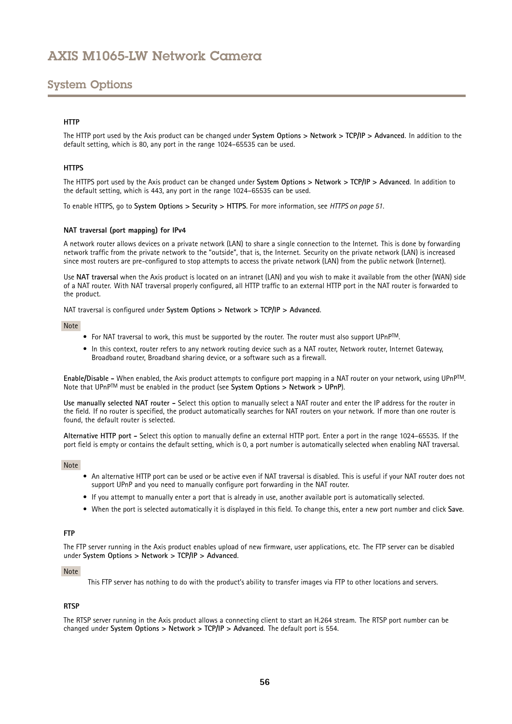# <span id="page-55-0"></span>System Options

## **HTTP**

The HTTP port used by the Axis product can be changed under **System Options <sup>&</sup>gt; Network <sup>&</sup>gt; TCP/IP <sup>&</sup>gt; Advanced**. In addition to the default setting, which is 80, any port in the range 1024–65535 can be used.

### **HTTPS**

The HTTPS port used by the Axis product can be changed under **System Options <sup>&</sup>gt; Network <sup>&</sup>gt; TCP/IP <sup>&</sup>gt; Advanced**. In addition to the default setting, which is 443, any port in the range 1024–65535 can be used.

To enable HTTPS, go to **System Options <sup>&</sup>gt; Security <sup>&</sup>gt; HTTPS**. For more information, see *[HTTPS](#page-50-0) on page [51](#page-50-0)*.

### **NAT traversal (port mapping) for IPv4**

A network router allows devices on <sup>a</sup> private network (LAN) to share <sup>a</sup> single connection to the Internet. This is done by forwarding network traffic from the private network to the "outside", that is, the Internet. Security on the private network (LAN) is increased since most routers are pre-configured to stop attempts to access the private network (LAN) from the public network (Internet).

Use **NAT traversal** when the Axis product is located on an intranet (LAN) and you wish to make it available from the other (WAN) side of <sup>a</sup> NAT router. With NAT traversal properly configured, all HTTP traffic to an external HTTP port in the NAT router is forwarded to the product.

NAT traversal is configured under **System Options <sup>&</sup>gt; Network <sup>&</sup>gt; TCP/IP <sup>&</sup>gt; Advanced**.

### Note

- For NAT traversal to work, this must be supported by the router. The router must also support UPnPTM.
- In this context, router refers to any network routing device such as <sup>a</sup> NAT router, Network router, Internet Gateway, Broadband router, Broadband sharing device, or <sup>a</sup> software such as <sup>a</sup> firewall.

**Enable/Disable -** When enabled, the Axis product attempts to configure port mapping in <sup>a</sup> NAT router on your network, using UPnPTM. Note that UPnPTM must be enabled in the product (see **System Options <sup>&</sup>gt; Network <sup>&</sup>gt; UPnP**).

**Use manually selected NAT router -** Select this option to manually select <sup>a</sup> NAT router and enter the IP address for the router in the field. If no router is specified, the product automatically searches for NAT routers on your network. If more than one router is found, the default router is selected.

**Alternative HTTP port -** Select this option to manually define an external HTTP port. Enter <sup>a</sup> port in the range 1024–65535. If the port field is empty or contains the default setting, which is 0, <sup>a</sup> port number is automatically selected when enabling NAT traversal.

#### Note

- An alternative HTTP port can be used or be active even if NAT traversal is disabled. This is useful if your NAT router does not support UPnP and you need to manually configure port forwarding in the NAT router.
- If you attempt to manually enter <sup>a</sup> port that is already in use, another available port is automatically selected.
- When the port is selected automatically it is displayed in this field. To change this, enter <sup>a</sup> new port number and click **Save**.

### **FTP**

The FTP server running in the Axis product enables upload of new firmware, user applications, etc. The FTP server can be disabled under **System Options <sup>&</sup>gt; Network <sup>&</sup>gt; TCP/IP <sup>&</sup>gt; Advanced**.

### Note

This FTP server has nothing to do with the product's ability to transfer images via FTP to other locations and servers.

## **RTSP**

The RTSP server running in the Axis product allows <sup>a</sup> connecting client to start an H.264 stream. The RTSP port number can be changed under **System Options <sup>&</sup>gt; Network <sup>&</sup>gt; TCP/IP <sup>&</sup>gt; Advanced**. The default port is 554.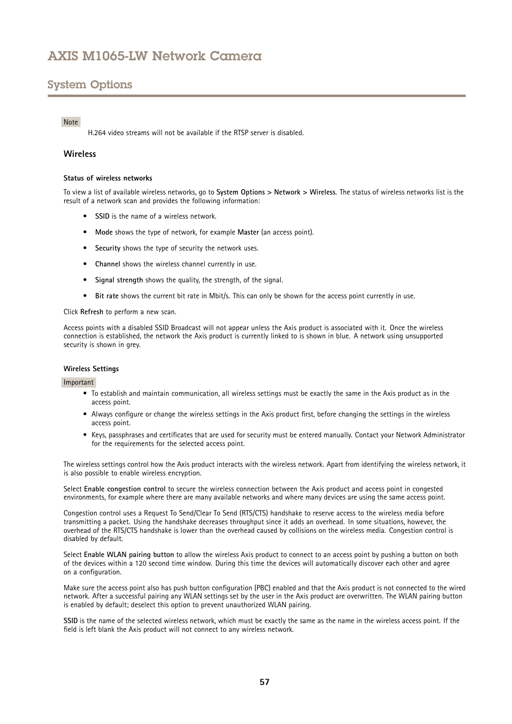# System Options

### Note

H.264 video streams will not be available if the RTSP server is disabled.

### **Wireless**

### **Status of wireless networks**

To view <sup>a</sup> list of available wireless networks, go to **System Options <sup>&</sup>gt; Network <sup>&</sup>gt; Wireless**. The status of wireless networks list is the result of <sup>a</sup> network scan and provides the following information:

- **SSID** is the name of <sup>a</sup> wireless network.
- **Mode** shows the type of network, for example **Master** (an access point).
- **Security** shows the type of security the network uses.
- **Channel** shows the wireless channel currently in use.
- •**Signal strength** shows the quality, the strength, of the signal.
- **Bit rate** shows the current bit rate in Mbit/s. This can only be shown for the access point currently in use.

Click **Refresh** to perform <sup>a</sup> new scan.

Access points with <sup>a</sup> disabled SSID Broadcast will not appear unless the Axis product is associated with it. Once the wireless connection is established, the network the Axis product is currently linked to is shown in blue. A network using unsupported security is shown in grey.

#### **Wireless Settings**

#### Important

- • To establish and maintain communication, all wireless settings must be exactly the same in the Axis product as in the access point.
- Always configure or change the wireless settings in the Axis product first, before changing the settings in the wireless access point.
- Keys, passphrases and certificates that are used for security must be entered manually. Contact your Network Administrator for the requirements for the selected access point.

The wireless settings control how the Axis product interacts with the wireless network. Apart from identifying the wireless network, it is also possible to enable wireless encryption.

Select **Enable congestion control** to secure the wireless connection between the Axis product and access point in congested environments, for example where there are many available networks and where many devices are using the same access point.

Congestion control uses <sup>a</sup> Request To Send/Clear To Send (RTS/CTS) handshake to reserve access to the wireless media before transmitting <sup>a</sup> packet. Using the handshake decreases throughput since it adds an overhead. In some situations, however, the overhead of the RTS/CTS handshake is lower than the overhead caused by collisions on the wireless media. Congestion control is disabled by default.

Select **Enable WLAN pairing button** to allow the wireless Axis product to connect to an access point by pushing <sup>a</sup> button on both of the devices within <sup>a</sup> 120 second time window. During this time the devices will automatically discover each other and agree on <sup>a</sup> configuration.

Make sure the access point also has push button configuration (PBC) enabled and that the Axis product is not connected to the wired network. After <sup>a</sup> successful pairing any WLAN settings set by the user in the Axis product are overwritten. The WLAN pairing button is enabled by default; deselect this option to prevent unauthorized WLAN pairing.

**SSID** is the name of the selected wireless network, which must be exactly the same as the name in the wireless access point. If the field is left blank the Axis product will not connect to any wireless network.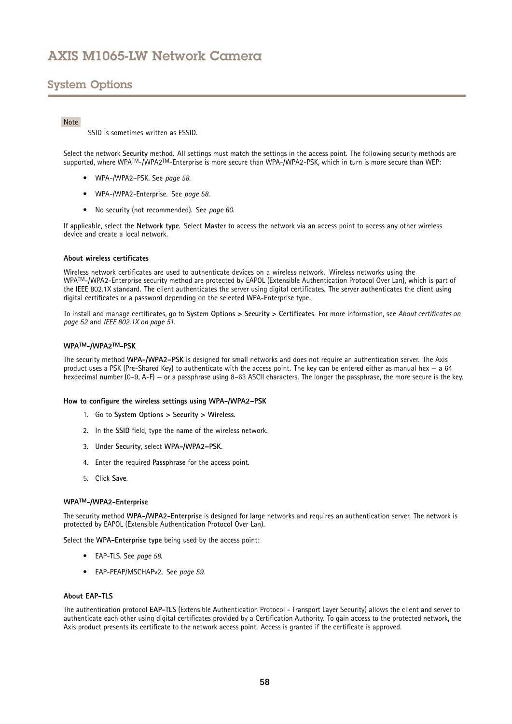# System Options

### Note

SSID is sometimes written as ESSID.

Select the network **Security** method. All settings must match the settings in the access point. The following security methods are supported, where WPATM-/WPA2TM-Enterprise is more secure than WPA-/WPA2-PSK, which in turn is more secure than WEP:

- WPA-/WPA2–PSK. See *page <sup>58</sup>*.
- WPA-/WPA2-Enterprise. See *page <sup>58</sup>*.
- No security (not recommended). See *[page](#page-59-0) [60](#page-59-0)*.

If applicable, select the **Network type**. Select **Master** to access the network via an access point to access any other wireless device and create a local network.

### **About wireless certificates**

Wireless network certificates are used to authenticate devices on <sup>a</sup> wireless network. Wireless networks using the WPATM-/WPA2-Enterprise security method are protected by EAPOL (Extensible Authentication Protocol Over Lan), which is part of the IEEE 802.1X standard. The client authenticates the server using digital certificates. The server authenticates the client using digital certificates or <sup>a</sup> password depending on the selected WPA-Enterprise type.

To install and manage certificates, go to **System Options <sup>&</sup>gt; Security <sup>&</sup>gt; Certificates**. For more information, see *About [certificates](#page-51-0) on [page](#page-51-0) [52](#page-51-0)* and *IEEE [802.1X](#page-50-0) on page [51](#page-50-0)*.

### **WPATM-/WPA2TM-PSK**

The security method **WPA-/WPA2–PSK** is designed for small networks and does not require an authentication server. The Axis product uses <sup>a</sup> PSK (Pre-Shared Key) to authenticate with the access point. The key can be entered either as manual hex — <sup>a</sup> <sup>64</sup> hexdecimal number (0–9, A-F) — or <sup>a</sup> passphrase using 8–63 ASCII characters. The longer the passphrase, the more secure is the key.

#### **How to configure the wireless settings using WPA-/WPA2–PSK**

- 1. Go to **System Options <sup>&</sup>gt; Security <sup>&</sup>gt; Wireless**.
- 2. In the **SSID** field, type the name of the wireless network.
- 3. Under **Security**, select **WPA-/WPA2–PSK**.
- 4. Enter the required **Passphrase** for the access point.
- 5. Click **Save**.

#### **WPATM-/WPA2-Enterprise**

The security method **WPA-/WPA2-Enterprise** is designed for large networks and requires an authentication server. The network is protected by EAPOL (Extensible Authentication Protocol Over Lan).

Select the **WPA-Enterprise type** being used by the access point:

- EAP-TLS. See *page 58*.
- EAP-PEAP/MSCHAPv2. See *[page](#page-58-0) [59](#page-58-0)*.

### **About EAP-TLS**

The authentication protocol **EAP-TLS** (Extensible Authentication Protocol - Transport Layer Security) allows the client and server to authenticate each other using digital certificates provided by <sup>a</sup> Certification Authority. To gain access to the protected network, the Axis product presents its certificate to the network access point. Access is granted if the certificate is approved.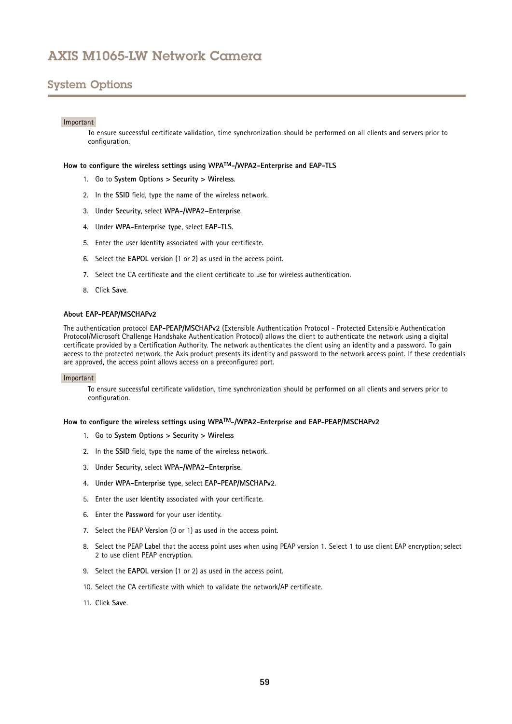## <span id="page-58-0"></span>System Options

### Important

To ensure successful certificate validation, time synchronization should be performed on all clients and servers prior to configuration.

### **How to configure the wireless settings using WPATM-/WPA2-Enterprise and EAP-TLS**

- 1. Go to **System Options <sup>&</sup>gt; Security <sup>&</sup>gt; Wireless**.
- 2. In the **SSID** field, type the name of the wireless network.
- 3. Under **Security**, select **WPA-/WPA2–Enterprise**.
- 4. Under **WPA-Enterprise type**, select **EAP-TLS**.
- 5. Enter the user **Identity** associated with your certificate.
- 6. Select the **EAPOL version** (1 or 2) as used in the access point.
- 7. Select the CA certificate and the client certificate to use for wireless authentication.
- 8. Click **Save**.

### **About EAP-PEAP/MSCHAPv2**

The authentication protocol **EAP-PEAP/MSCHAPv2** (Extensible Authentication Protocol - Protected Extensible Authentication Protocol/Microsoft Challenge Handshake Authentication Protocol) allows the client to authenticate the network using <sup>a</sup> digital certificate provided by <sup>a</sup> Certification Authority. The network authenticates the client using an identity and <sup>a</sup> password. To gain access to the protected network, the Axis product presents its identity and password to the network access point. If these credentials are approved, the access point allows access on <sup>a</sup> preconfigured port.

#### Important

To ensure successful certificate validation, time synchronization should be performed on all clients and servers prior to configuration.

### **How to configure the wireless settings using WPATM-/WPA2-Enterprise and EAP-PEAP/MSCHAPv2**

- 1. Go to **System Options <sup>&</sup>gt; Security <sup>&</sup>gt; Wireless**
- 2. In the **SSID** field, type the name of the wireless network.
- 3. Under **Security**, select **WPA-/WPA2–Enterprise**.
- 4. Under **WPA-Enterprise type**, select **EAP-PEAP/MSCHAPv2**.
- 5. Enter the user **Identity** associated with your certificate.
- 6. Enter the **Password** for your user identity.
- 7. Select the PEAP **Version** (0 or 1) as used in the access point.
- 8. Select the PEAP **Label** that the access point uses when using PEAP version 1. Select <sup>1</sup> to use client EAP encryption; select 2 to use client PEAP encryption.
- 9. Select the **EAPOL version** (1 or 2) as used in the access point.
- 10. Select the CA certificate with which to validate the network/AP certificate.
- 11. Click **Save**.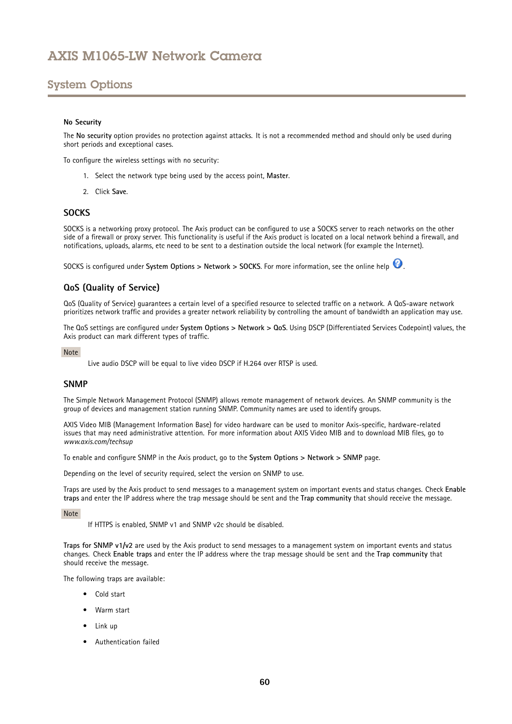# <span id="page-59-0"></span>System Options

### **No Security**

The **No security** option provides no protection against attacks. It is not <sup>a</sup> recommended method and should only be used during short periods and exceptional cases.

To configure the wireless settings with no security:

- 1. Select the network type being used by the access point, **Master**.
- 2. Click **Save**.

### **SOCKS**

SOCKS is <sup>a</sup> networking proxy protocol. The Axis product can be configured to use <sup>a</sup> SOCKS server to reach networks on the other side of <sup>a</sup> firewall or proxy server. This functionality is useful if the Axis product is located on <sup>a</sup> local network behind <sup>a</sup> firewall, and notifications, uploads, alarms, etc need to be sent to <sup>a</sup> destination outside the local network (for example the Internet).

SOCKS is configured under **System Options <sup>&</sup>gt; Network <sup>&</sup>gt; SOCKS**. For more information, see the online help .

## **QoS (Quality of Service)**

QoS (Quality of Service) guarantees <sup>a</sup> certain level of <sup>a</sup> specified resource to selected traffic on <sup>a</sup> network. A QoS-aware network prioritizes network traffic and provides <sup>a</sup> greater network reliability by controlling the amount of bandwidth an application may use.

The QoS settings are configured under **System Options <sup>&</sup>gt; Network <sup>&</sup>gt; QoS**. Using DSCP (Differentiated Services Codepoint) values, the Axis product can mark different types of traffic.

#### Note

Live audio DSCP will be equal to live video DSCP if H.264 over RTSP is used.

### **SNMP**

The Simple Network Management Protocol (SNMP) allows remote management of network devices. An SNMP community is the group of devices and management station running SNMP. Community names are used to identify groups.

AXIS Video MIB (Management Information Base) for video hardware can be used to monitor Axis-specific, hardware-related issues that may need administrative attention. For more information about AXIS Video MIB and to download MIB files, go to *www.axis.com/techsup*

To enable and configure SNMP in the Axis product, go to the **System Options <sup>&</sup>gt; Network <sup>&</sup>gt; SNMP** page.

Depending on the level of security required, select the version on SNMP to use.

Traps are used by the Axis product to send messages to <sup>a</sup> management system on important events and status changes. Check **Enable traps** and enter the IP address where the trap message should be sent and the **Trap community** that should receive the message.

#### Note

If HTTPS is enabled, SNMP v1 and SNMP v2c should be disabled.

**Traps for SNMP v1/v2** are used by the Axis product to send messages to <sup>a</sup> management system on important events and status changes. Check **Enable traps** and enter the IP address where the trap message should be sent and the **Trap community** that should receive the message.

The following traps are available:

- •Cold start
- •Warm start
- •Link up
- •Authentication failed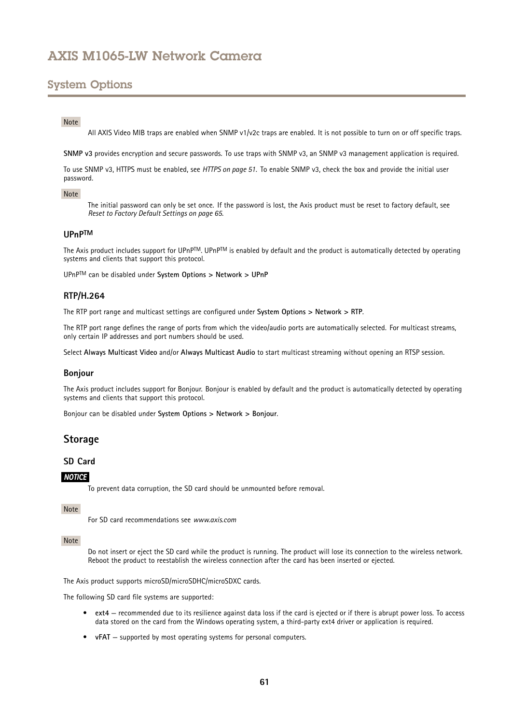## <span id="page-60-0"></span>System Options

## Note

All AXIS Video MIB traps are enabled when SNMP v1/v2c traps are enabled. It is not possible to turn on or off specific traps.

**SNMP v3** provides encryption and secure passwords. To use traps with SNMP v3, an SNMP v3 management application is required.

To use SNMP v3, HTTPS must be enabled, see *[HTTPS](#page-50-0) on page [51](#page-50-0)*. To enable SNMP v3, check the box and provide the initial user password.

### Note

The initial password can only be set once. If the password is lost, the Axis product must be reset to factory default, see *Reset to Factory Default [Settings](#page-64-0) on page [65](#page-64-0)*.

### **UPnPTM**

The Axis product includes support for UPnPTM. UPnPTM is enabled by default and the product is automatically detected by operating systems and clients that support this protocol.

UPnPTM can be disabled under **System Options <sup>&</sup>gt; Network <sup>&</sup>gt; UPnP**

## **RTP/H.264**

The RTP port range and multicast settings are configured under **System Options <sup>&</sup>gt; Network <sup>&</sup>gt; RTP**.

The RTP port range defines the range of ports from which the video/audio ports are automatically selected. For multicast streams, only certain IP addresses and port numbers should be used.

Select **Always Multicast Video** and/or **Always Multicast Audio** to start multicast streaming without opening an RTSP session.

### **Bonjour**

The Axis product includes support for Bonjour. Bonjour is enabled by default and the product is automatically detected by operating systems and clients that support this protocol.

Bonjour can be disabled under **System Options <sup>&</sup>gt; Network <sup>&</sup>gt; Bonjour**.

## **Storage**

## **SD Card**

### *NOTICE*

To prevent data corruption, the SD card should be unmounted before removal.

#### Note

For SD card recommendations see *www.axis.com*

### Note

Do not insert or eject the SD card while the product is running. The product will lose its connection to the wireless network. Reboot the product to reestablish the wireless connection after the card has been inserted or ejected.

The Axis product supports microSD/microSDHC/microSDXC cards.

The following SD card file systems are supported:

- **ext4** recommended due to its resilience against data loss if the card is ejected or if there is abrupt power loss. To access data stored on the card from the Windows operating system, <sup>a</sup> third-party ext4 driver or application is required.
- **vFAT** supported by most operating systems for personal computers.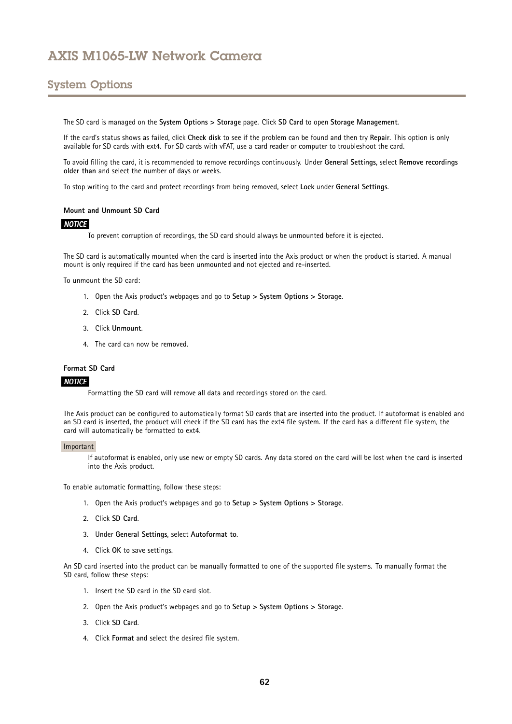# System Options

The SD card is managed on the **System Options <sup>&</sup>gt; Storage** page. Click **SD Card** to open **Storage Management**.

If the card's status shows as failed, click **Check disk** to see if the problem can be found and then try **Repair**. This option is only available for SD cards with ext4. For SD cards with vFAT, use <sup>a</sup> card reader or computer to troubleshoot the card.

To avoid filling the card, it is recommended to remove recordings continuously. Under **General Settings**, select **Remove recordings older than** and select the number of days or weeks.

To stop writing to the card and protect recordings from being removed, select **Lock** under **General Settings**.

### **Mount and Unmount SD Card**

### *NOTICE*

To prevent corruption of recordings, the SD card should always be unmounted before it is ejected.

The SD card is automatically mounted when the card is inserted into the Axis product or when the product is started. A manual mount is only required if the card has been unmounted and not ejected and re-inserted.

To unmount the SD card:

- 1. Open the Axis product's webpages and go to **Setup <sup>&</sup>gt; System Options <sup>&</sup>gt; Storage**.
- 2. Click **SD Card**.
- 3. Click **Unmount**.
- 4. The card can now be removed.

### **Format SD Card**

#### *NOTICE*

Formatting the SD card will remove all data and recordings stored on the card.

The Axis product can be configured to automatically format SD cards that are inserted into the product. If autoformat is enabled and an SD card is inserted, the product will check if the SD card has the ext4 file system. If the card has <sup>a</sup> different file system, the card will automatically be formatted to ext4.

#### Important

If autoformat is enabled, only use new or empty SD cards. Any data stored on the card will be lost when the card is inserted into the Axis product.

To enable automatic formatting, follow these steps:

- 1. Open the Axis product's webpages and go to **Setup <sup>&</sup>gt; System Options <sup>&</sup>gt; Storage**.
- 2. Click **SD Card**.
- 3. Under **General Settings**, select **Autoformat to**.
- 4. Click **OK** to save settings.

An SD card inserted into the product can be manually formatted to one of the supported file systems. To manually format the SD card, follow these steps:

- 1. Insert the SD card in the SD card slot.
- 2. Open the Axis product's webpages and go to **Setup <sup>&</sup>gt; System Options <sup>&</sup>gt; Storage**.
- 3. Click **SD Card**.
- 4. Click **Format** and select the desired file system.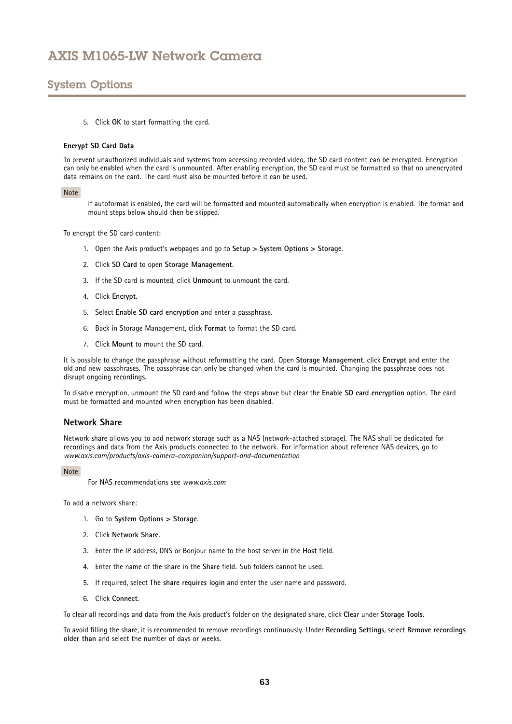# System Options

5. Click **OK** to start formatting the card.

### **Encrypt SD Card Data**

To prevent unauthorized individuals and systems from accessing recorded video, the SD card content can be encrypted. Encryption can only be enabled when the card is unmounted. After enabling encryption, the SD card must be formatted so that no unencrypted data remains on the card. The card must also be mounted before it can be used.

### Note

If autoformat is enabled, the card will be formatted and mounted automatically when encryption is enabled. The format and mount steps below should then be skipped.

To encrypt the SD card content:

- 1. Open the Axis product's webpages and go to **Setup <sup>&</sup>gt; System Options <sup>&</sup>gt; Storage**.
- 2. Click **SD Card** to open **Storage Management**.
- 3. If the SD card is mounted, click **Unmount** to unmount the card.
- 4. Click **Encrypt**.
- 5. Select **Enable SD card encryption** and enter <sup>a</sup> passphrase.
- 6. Back in Storage Management, click **Format** to format the SD card.
- 7. Click **Mount** to mount the SD card.

It is possible to change the passphrase without reformatting the card. Open **Storage Management**, click **Encrypt** and enter the old and new passphrases. The passphrase can only be changed when the card is mounted. Changing the passphrase does not disrupt ongoing recordings.

To disable encryption, unmount the SD card and follow the steps above but clear the **Enable SD card encryption** option. The card must be formatted and mounted when encryption has been disabled.

### **Network Share**

Network share allows you to add network storage such as <sup>a</sup> NAS (network-attached storage). The NAS shall be dedicated for recordings and data from the Axis products connected to the network. For information about reference NAS devices, go to *www.axis.com/products/axis-camera-companion/support-and-documentation*

#### Note

For NAS recommendations see *www.axis.com*

To add a network share:

- 1. Go to **System Options <sup>&</sup>gt; Storage**.
- 2. Click **Network Share**.
- 3. Enter the IP address, DNS or Bonjour name to the host server in the **Host** field.
- 4. Enter the name of the share in the **Share** field. Sub folders cannot be used.
- 5. If required, select **The share requires login** and enter the user name and password.
- 6. Click **Connect**.

To clear all recordings and data from the Axis product's folder on the designated share, click **Clear** under **Storage Tools**.

To avoid filling the share, it is recommended to remove recordings continuously. Under **Recording Settings**, select **Remove recordings older than** and select the number of days or weeks.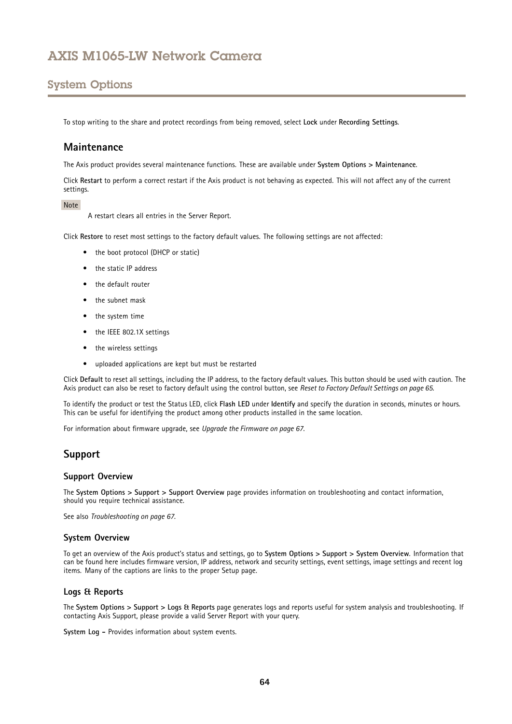# System Options

To stop writing to the share and protect recordings from being removed, select **Lock** under **Recording Settings**.

## **Maintenance**

The Axis product provides several maintenance functions. These are available under **System Options <sup>&</sup>gt; Maintenance**.

Click **Restart** to perform <sup>a</sup> correct restart if the Axis product is not behaving as expected. This will not affect any of the current settings.

### Note

A restart clears all entries in the Server Report.

Click **Restore** to reset most settings to the factory default values. The following settings are not affected:

- the boot protocol (DHCP or static)
- the static IP address
- the default router
- the subnet mask
- the system time
- the IEEE 802.1X settings
- the wireless settings
- uploaded applications are kept but must be restarted

Click **Default** to reset all settings, including the IP address, to the factory default values. This button should be used with caution. The Axis product can also be reset to factory default using the control button, see *Reset to Factory Default [Settings](#page-64-0) on page [65](#page-64-0)*.

To identify the product or test the Status LED, click **Flash LED** under **Identify** and specify the duration in seconds, minutes or hours. This can be useful for identifying the product among other products installed in the same location.

For information about firmware upgrade, see *[Upgrade](#page-66-0) the Firmware on page [67](#page-66-0)*.

## **Support**

### **Support Overview**

The **System Options <sup>&</sup>gt; Support <sup>&</sup>gt; Support Overview** page provides information on troubleshooting and contact information, should you require technical assistance.

See also *[Troubleshooting](#page-66-0) on page [67](#page-66-0)*.

### **System Overview**

To get an overview of the Axis product's status and settings, go to **System Options <sup>&</sup>gt; Support <sup>&</sup>gt; System Overview**. Information that can be found here includes firmware version, IP address, network and security settings, event settings, image settings and recent log items. Many of the captions are links to the proper Setup page.

## **Logs & Reports**

The **System Options <sup>&</sup>gt; Support <sup>&</sup>gt; Logs & Reports** page generates logs and reports useful for system analysis and troubleshooting. If contacting Axis Support, please provide <sup>a</sup> valid Server Report with your query.

**System Log -** Provides information about system events.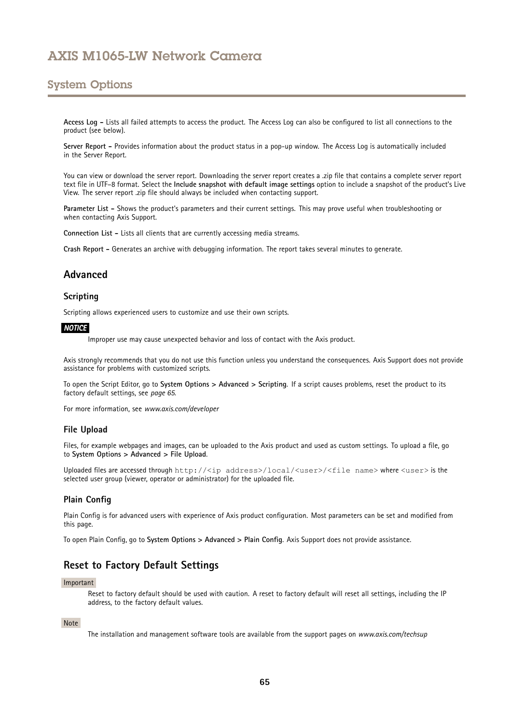## <span id="page-64-0"></span>System Options

**Access Log -** Lists all failed attempts to access the product. The Access Log can also be configured to list all connections to the product (see below).

**Server Report -** Provides information about the product status in <sup>a</sup> pop-up window. The Access Log is automatically included in the Server Report.

You can view or download the server report. Downloading the server report creates <sup>a</sup> .zip file that contains <sup>a</sup> complete server report text file in UTF–8 format. Select the **Include snapshot with default image settings** option to include <sup>a</sup> snapshot of the product's Live View. The server report .zip file should always be included when contacting support.

**Parameter List -** Shows the product's parameters and their current settings. This may prove useful when troubleshooting or when contacting Axis Support.

**Connection List -** Lists all clients that are currently accessing media streams.

**Crash Report -** Generates an archive with debugging information. The report takes several minutes to generate.

## **Advanced**

## **Scripting**

Scripting allows experienced users to customize and use their own scripts.

### *NOTICE*

Improper use may cause unexpected behavior and loss of contact with the Axis product.

Axis strongly recommends that you do not use this function unless you understand the consequences. Axis Support does not provide assistance for problems with customized scripts.

To open the Script Editor, go to **System Options <sup>&</sup>gt; Advanced <sup>&</sup>gt; Scripting**. If <sup>a</sup> script causes problems, reset the product to its factory default settings, see *page 65*.

For more information, see *www.axis.com/developer*

### **File Upload**

Files, for example webpages and images, can be uploaded to the Axis product and used as custom settings. To upload <sup>a</sup> file, go to **System Options <sup>&</sup>gt; Advanced <sup>&</sup>gt; File Upload**.

Uploaded files are accessed through http://<ip address>/local/<user>/<file name> where <user> is the selected user group (viewer, operator or administrator) for the uploaded file.

### **Plain Config**

Plain Config is for advanced users with experience of Axis product configuration. Most parameters can be set and modified from this page.

To open Plain Config, go to **System Options <sup>&</sup>gt; Advanced <sup>&</sup>gt; Plain Config**. Axis Support does not provide assistance.

## **Reset to Factory Default Settings**

#### Important

Reset to factory default should be used with caution. A reset to factory default will reset all settings, including the IP address, to the factory default values.

#### Note

The installation and management software tools are available from the support pages on *www.axis.com/techsup*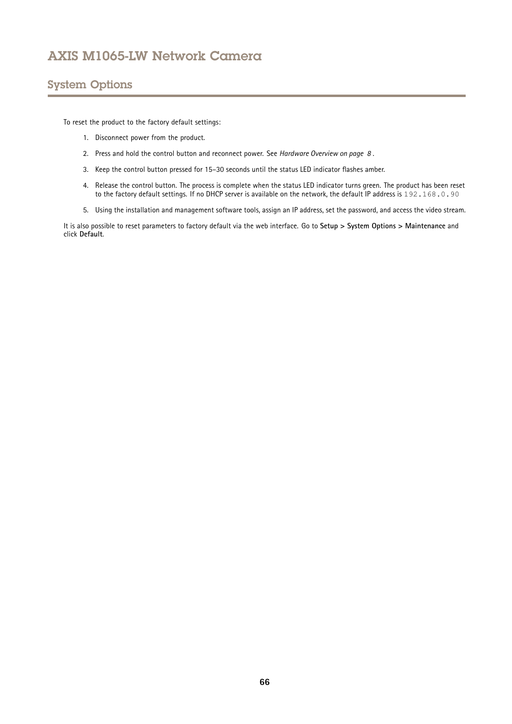# System Options

To reset the product to the factory default settings:

- 1. Disconnect power from the product.
- 2. Press and hold the control button and reconnect power. See *[Hardware](#page-7-0) Overview on page [8](#page-7-0)* .
- 3. Keep the control button pressed for 15–30 seconds until the status LED indicator flashes amber.
- 4. Release the control button. The process is complete when the status LED indicator turns green. The product has been reset to the factory default settings. If no DHCP server is available on the network, the default IP address is 192.168.0.90
- 5. Using the installation and management software tools, assign an IP address, set the password, and access the video stream.

It is also possible to reset parameters to factory default via the web interface. Go to **Setup <sup>&</sup>gt; System Options <sup>&</sup>gt; Maintenance** and click **Default**.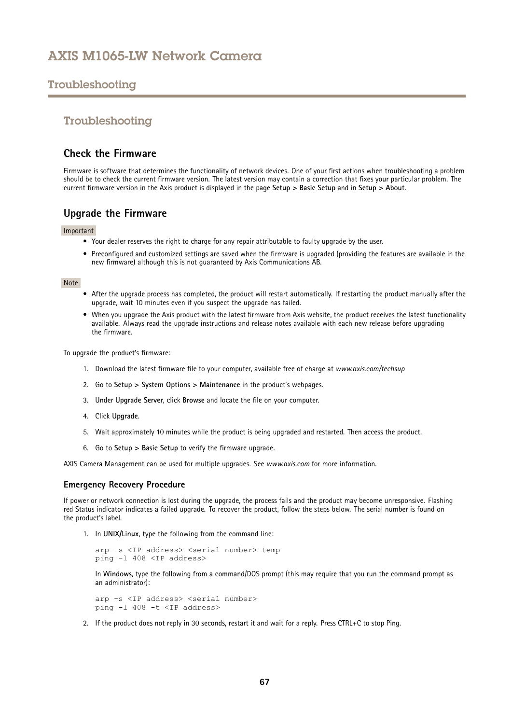## <span id="page-66-0"></span>Troubleshooting

## Troubleshooting

## **Check the Firmware**

Firmware is software that determines the functionality of network devices. One of your first actions when troubleshooting <sup>a</sup> problem should be to check the current firmware version. The latest version may contain <sup>a</sup> correction that fixes your particular problem. The current firmware version in the Axis product is displayed in the page **Setup <sup>&</sup>gt; Basic Setup** and in **Setup <sup>&</sup>gt; About**.

## **Upgrade the Firmware**

### Important

- Your dealer reserves the right to charge for any repair attributable to faulty upgrade by the user.
- Preconfigured and customized settings are saved when the firmware is upgraded (providing the features are available in the new firmware) although this is not guaranteed by Axis Communications AB.

### Note

- After the upgrade process has completed, the product will restart automatically. If restarting the product manually after the upgrade, wait 10 minutes even if you suspect the upgrade has failed.
- When you upgrade the Axis product with the latest firmware from Axis website, the product receives the latest functionality available. Always read the upgrade instructions and release notes available with each new release before upgrading the firmware.

To upgrade the product's firmware:

- 1. Download the latest firmware file to your computer, available free of charge at *www.axis.com/techsup*
- 2. Go to **Setup <sup>&</sup>gt; System Options <sup>&</sup>gt; Maintenance** in the product's webpages.
- 3. Under **Upgrade Server**, click **Browse** and locate the file on your computer.
- 4. Click **Upgrade**.
- 5. Wait approximately 10 minutes while the product is being upgraded and restarted. Then access the product.
- 6. Go to **Setup <sup>&</sup>gt; Basic Setup** to verify the firmware upgrade.

AXIS Camera Management can be used for multiple upgrades. See *www.axis.com* for more information.

### **Emergency Recovery Procedure**

If power or network connection is lost during the upgrade, the process fails and the product may become unresponsive. Flashing red Status indicator indicates <sup>a</sup> failed upgrade. To recover the product, follow the steps below. The serial number is found on the product's label.

1. In **UNIX/Linux**, type the following from the command line:

```
arp -s <IP address> <serial number> temp
ping -l 408 <IP address>
```
In **Windows**, type the following from <sup>a</sup> command/DOS prompt (this may require that you run the command prompt as an administrator):

arp -s <IP address> <serial number> ping -l 408 -t <IP address>

2. If the product does not reply in 30 seconds, restart it and wait for <sup>a</sup> reply. Press CTRL+C to stop Ping.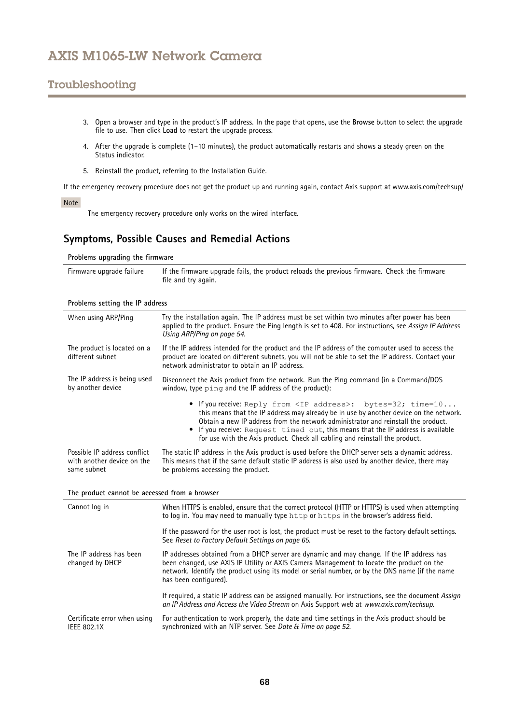# Troubleshooting

- 3. Open <sup>a</sup> browser and type in the product's IP address. In the page that opens, use the **Browse** button to select the upgrade file to use. Then click **Load** to restart the upgrade process.
- 4. After the upgrade is complete (1–10 minutes), the product automatically restarts and shows <sup>a</sup> steady green on the Status indicator.
- 5. Reinstall the product, referring to the Installation Guide.

If the emergency recovery procedure does not get the product up and running again, contact Axis support at www.axis.com/techsup/

## Note

The emergency recovery procedure only works on the wired interface.

## **Symptoms, Possible Causes and Remedial Actions**

**Problems upgrading the firmware**

| Firmware upgrade failure | If the firmware upgrade fails, the product reloads the previous firmware. Check the firmware |
|--------------------------|----------------------------------------------------------------------------------------------|
|                          | file and try again.                                                                          |

| When using ARP/Ping                                                       | Try the installation again. The IP address must be set within two minutes after power has been<br>applied to the product. Ensure the Ping length is set to 408. For instructions, see Assign IP Address<br>Using ARP/Ping on page 54.                                                                                                                                                                                      |
|---------------------------------------------------------------------------|----------------------------------------------------------------------------------------------------------------------------------------------------------------------------------------------------------------------------------------------------------------------------------------------------------------------------------------------------------------------------------------------------------------------------|
| The product is located on a<br>different subnet                           | If the IP address intended for the product and the IP address of the computer used to access the<br>product are located on different subnets, you will not be able to set the IP address. Contact your<br>network administrator to obtain an IP address.                                                                                                                                                                   |
| The IP address is being used<br>by another device                         | Disconnect the Axis product from the network. Run the Ping command (in a Command/DOS<br>window, type ping and the IP address of the product):                                                                                                                                                                                                                                                                              |
|                                                                           | • If you receive: Reply from <ip address="">: bytes=32; time=10<br/>this means that the IP address may already be in use by another device on the network.<br/>Obtain a new IP address from the network administrator and reinstall the product.<br/>• If you receive: Request timed out, this means that the IP address is available<br/>for use with the Axis product. Check all cabling and reinstall the product.</ip> |
| Possible IP address conflict<br>with another device on the<br>same subnet | The static IP address in the Axis product is used before the DHCP server sets a dynamic address.<br>This means that if the same default static IP address is also used by another device, there may<br>be problems accessing the product.                                                                                                                                                                                  |
| The product cannot be accessed from a browser                             |                                                                                                                                                                                                                                                                                                                                                                                                                            |
| Cannot log in                                                             | When HTTPS is enabled, ensure that the correct protocol (HTTP or HTTPS) is used when attempting<br>to log in. You may need to manually type http or https in the browser's address field.                                                                                                                                                                                                                                  |
|                                                                           | If the password for the user root is lost, the product must be reset to the factory default settings.<br>See Reset to Factory Default Settings on page 65.                                                                                                                                                                                                                                                                 |
| The IP address has been<br>changed by DHCP                                | IP addresses obtained from a DHCP server are dynamic and may change. If the IP address has<br>been changed, use AXIS IP Utility or AXIS Camera Management to locate the product on the<br>network. Identify the product using its model or serial number, or by the DNS name (if the name<br>has been configured).                                                                                                         |
|                                                                           | If required, a static IP address can be assigned manually. For instructions, see the document Assign<br>an IP Address and Access the Video Stream on Axis Support web at www.axis.com/techsup.                                                                                                                                                                                                                             |
| Certificate error when using<br><b>IEEE 802.1X</b>                        | For authentication to work properly, the date and time settings in the Axis product should be<br>synchronized with an NTP server. See Date & Time on page 52.                                                                                                                                                                                                                                                              |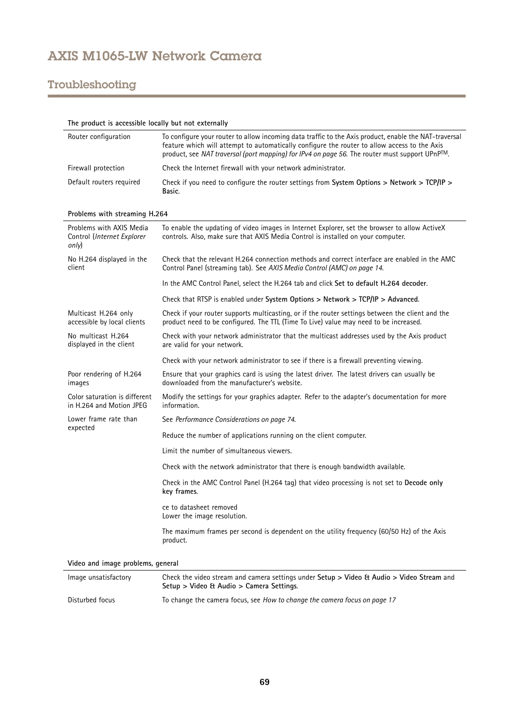# Troubleshooting

| The product is accessible locally but not externally            |                                                                                                                                                                                                                                                                                                         |
|-----------------------------------------------------------------|---------------------------------------------------------------------------------------------------------------------------------------------------------------------------------------------------------------------------------------------------------------------------------------------------------|
| Router configuration                                            | To configure your router to allow incoming data traffic to the Axis product, enable the NAT-traversal<br>feature which will attempt to automatically configure the router to allow access to the Axis<br>product, see NAT traversal (port mapping) for IPv4 on page 56. The router must support UPnPTM. |
| Firewall protection                                             | Check the Internet firewall with your network administrator.                                                                                                                                                                                                                                            |
| Default routers required                                        | Check if you need to configure the router settings from System Options > Network > TCP/IP ><br>Basic.                                                                                                                                                                                                   |
| Problems with streaming H.264                                   |                                                                                                                                                                                                                                                                                                         |
| Problems with AXIS Media<br>Control (Internet Explorer<br>only) | To enable the updating of video images in Internet Explorer, set the browser to allow ActiveX<br>controls. Also, make sure that AXIS Media Control is installed on your computer.                                                                                                                       |
| No H.264 displayed in the<br>client                             | Check that the relevant H.264 connection methods and correct interface are enabled in the AMC<br>Control Panel (streaming tab). See AXIS Media Control (AMC) on page 14.                                                                                                                                |
|                                                                 | In the AMC Control Panel, select the H.264 tab and click Set to default H.264 decoder.                                                                                                                                                                                                                  |
|                                                                 | Check that RTSP is enabled under System Options > Network > TCP/IP > Advanced.                                                                                                                                                                                                                          |
| Multicast H.264 only<br>accessible by local clients             | Check if your router supports multicasting, or if the router settings between the client and the<br>product need to be configured. The TTL (Time To Live) value may need to be increased.                                                                                                               |
| No multicast H.264<br>displayed in the client                   | Check with your network administrator that the multicast addresses used by the Axis product<br>are valid for your network.                                                                                                                                                                              |
|                                                                 | Check with your network administrator to see if there is a firewall preventing viewing.                                                                                                                                                                                                                 |
| Poor rendering of H.264<br>images                               | Ensure that your graphics card is using the latest driver. The latest drivers can usually be<br>downloaded from the manufacturer's website.                                                                                                                                                             |
| Color saturation is different<br>in H.264 and Motion JPEG       | Modify the settings for your graphics adapter. Refer to the adapter's documentation for more<br>information.                                                                                                                                                                                            |
| Lower frame rate than                                           | See Performance Considerations on page 74.                                                                                                                                                                                                                                                              |
| expected                                                        | Reduce the number of applications running on the client computer.                                                                                                                                                                                                                                       |
|                                                                 | Limit the number of simultaneous viewers.                                                                                                                                                                                                                                                               |
|                                                                 | Check with the network administrator that there is enough bandwidth available.                                                                                                                                                                                                                          |
|                                                                 | Check in the AMC Control Panel (H.264 tag) that video processing is not set to Decode only<br>key frames.                                                                                                                                                                                               |
|                                                                 | ce to datasheet removed<br>Lower the image resolution.                                                                                                                                                                                                                                                  |
|                                                                 | The maximum frames per second is dependent on the utility frequency (60/50 Hz) of the Axis<br>product.                                                                                                                                                                                                  |
| Video and image problems, general                               |                                                                                                                                                                                                                                                                                                         |
| Image unsatisfactory                                            | Check the video stream and camera settings under Setup > Video & Audio > Video Stream and                                                                                                                                                                                                               |

| unsatisiactory | Cricck the video stream and camera settings under <b>Setup &gt; video et Adulo &gt; video Stream</b> and |
|----------------|----------------------------------------------------------------------------------------------------------|
|                | Setup > Video & Audio > Camera Settings.                                                                 |
|                |                                                                                                          |

Disturbed focus To change the camera focus, see *How to [change](#page-16-0) the camera focus on page [17](#page-16-0)*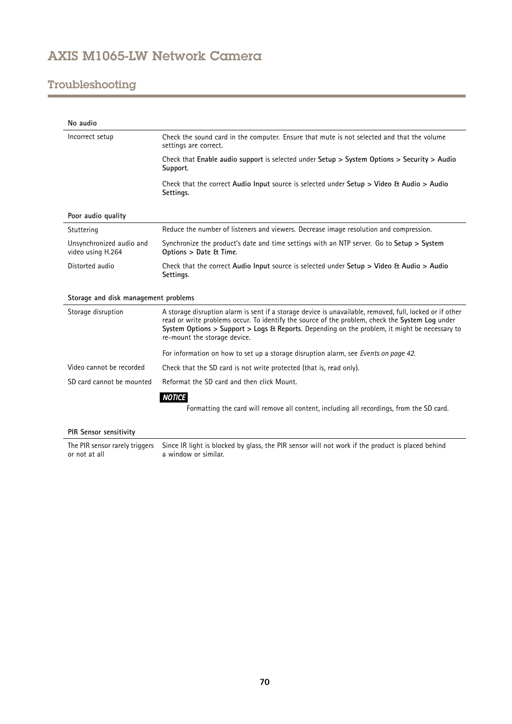# Troubleshooting

| No audio                                      |                                                                                                                                                                                                                                                                                                                                              |
|-----------------------------------------------|----------------------------------------------------------------------------------------------------------------------------------------------------------------------------------------------------------------------------------------------------------------------------------------------------------------------------------------------|
| Incorrect setup                               | Check the sound card in the computer. Ensure that mute is not selected and that the volume<br>settings are correct.                                                                                                                                                                                                                          |
|                                               | Check that Enable audio support is selected under Setup $>$ System Options $>$ Security $>$ Audio<br>Support.                                                                                                                                                                                                                                |
|                                               | Check that the correct Audio Input source is selected under Setup > Video & Audio > Audio<br>Settings.                                                                                                                                                                                                                                       |
| Poor audio quality                            |                                                                                                                                                                                                                                                                                                                                              |
| Stuttering                                    | Reduce the number of listeners and viewers. Decrease image resolution and compression.                                                                                                                                                                                                                                                       |
| Unsynchronized audio and<br>video using H.264 | Synchronize the product's date and time settings with an NTP server. Go to Setup > System<br>Options > Date & Time.                                                                                                                                                                                                                          |
| Distorted audio                               | Check that the correct Audio Input source is selected under Setup $>$ Video & Audio $>$ Audio<br>Settings.                                                                                                                                                                                                                                   |
| Storage and disk management problems          |                                                                                                                                                                                                                                                                                                                                              |
| Storage disruption                            | A storage disruption alarm is sent if a storage device is unavailable, removed, full, locked or if other<br>read or write problems occur. To identify the source of the problem, check the System Log under<br>System Options > Support > Logs & Reports. Depending on the problem, it might be necessary to<br>re-mount the storage device. |
|                                               | For information on how to set up a storage disruption alarm, see Events on page 42.                                                                                                                                                                                                                                                          |
| Video cannot be recorded                      | Check that the SD card is not write protected (that is, read only).                                                                                                                                                                                                                                                                          |
| SD card cannot be mounted                     | Reformat the SD card and then click Mount.                                                                                                                                                                                                                                                                                                   |
|                                               | <b>NOTICE</b>                                                                                                                                                                                                                                                                                                                                |
|                                               | Formatting the card will remove all content, including all recordings, from the SD card.                                                                                                                                                                                                                                                     |
| PIR Sensor sensitivity                        |                                                                                                                                                                                                                                                                                                                                              |
|                                               |                                                                                                                                                                                                                                                                                                                                              |

The PIR sensor rarely triggers or not at all Since IR light is blocked by glass, the PIR sensor will not work if the product is placed behind a window or similar.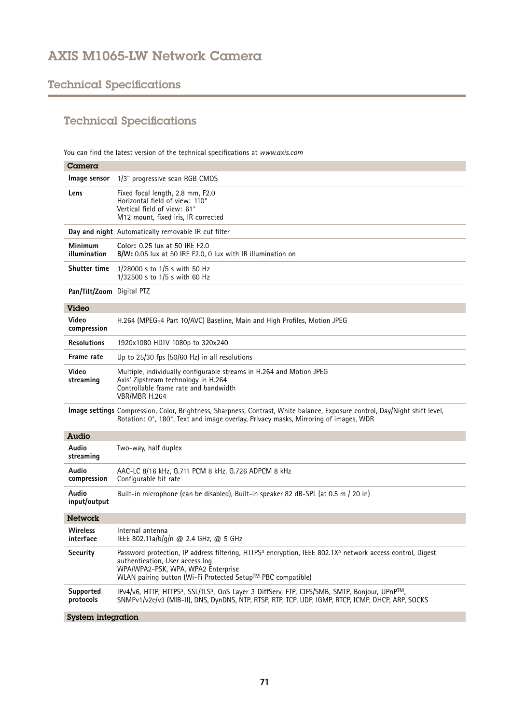# Technical Specifications

# Technical Specifications

You can find the latest version of the technical specifications at *www.axis.com*

| Camera                    |                                                                                                                                                                                                                                                                           |
|---------------------------|---------------------------------------------------------------------------------------------------------------------------------------------------------------------------------------------------------------------------------------------------------------------------|
| Image sensor              | 1/3" progressive scan RGB CMOS                                                                                                                                                                                                                                            |
| Lens                      | Fixed focal length, 2.8 mm, F2.0<br>Horizontal field of view: 110°<br>Vertical field of view: 61°<br>M12 mount, fixed iris, IR corrected                                                                                                                                  |
|                           | Day and night Automatically removable IR cut filter                                                                                                                                                                                                                       |
| Minimum<br>illumination   | Color: 0.25 lux at 50 IRE F2.0<br>B/W: 0.05 lux at 50 IRE F2.0, 0 lux with IR illumination on                                                                                                                                                                             |
| <b>Shutter time</b>       | 1/28000 s to 1/5 s with 50 Hz<br>1/32500 s to 1/5 s with 60 Hz                                                                                                                                                                                                            |
| Pan/Tilt/Zoom Digital PTZ |                                                                                                                                                                                                                                                                           |
| <b>Video</b>              |                                                                                                                                                                                                                                                                           |
| Video<br>compression      | H.264 (MPEG-4 Part 10/AVC) Baseline, Main and High Profiles, Motion JPEG                                                                                                                                                                                                  |
| <b>Resolutions</b>        | 1920x1080 HDTV 1080p to 320x240                                                                                                                                                                                                                                           |
| Frame rate                | Up to $25/30$ fps (50/60 Hz) in all resolutions                                                                                                                                                                                                                           |
| Video<br>streaming        | Multiple, individually configurable streams in H.264 and Motion JPEG<br>Axis' Zipstream technology in H.264<br>Controllable frame rate and bandwidth<br>VBR/MBR H.264                                                                                                     |
|                           | Image settings Compression, Color, Brightness, Sharpness, Contrast, White balance, Exposure control, Day/Night shift level,<br>Rotation: 0°, 180°, Text and image overlay, Privacy masks, Mirroring of images, WDR                                                        |
| Audio                     |                                                                                                                                                                                                                                                                           |
| Audio<br>streaming        | Two-way, half duplex                                                                                                                                                                                                                                                      |
| Audio<br>compression      | AAC-LC 8/16 kHz, G.711 PCM 8 kHz, G.726 ADPCM 8 kHz<br>Configurable bit rate                                                                                                                                                                                              |
| Audio<br>input/output     | Built-in microphone (can be disabled), Built-in speaker 82 dB-SPL (at 0.5 m / 20 in)                                                                                                                                                                                      |
| <b>Network</b>            |                                                                                                                                                                                                                                                                           |
| Wireless<br>interface     | Internal antenna<br>IEEE 802.11a/b/g/n @ 2.4 GHz, @ 5 GHz                                                                                                                                                                                                                 |
| Security                  | Password protection, IP address filtering, HTTPS <sup>a</sup> encryption, IEEE 802.1X <sup>a</sup> network access control, Digest<br>authentication, User access log<br>WPA/WPA2-PSK, WPA, WPA2 Enterprise<br>WLAN pairing button (Wi-Fi Protected Setup™ PBC compatible) |
| Supported<br>protocols    | IPv4/v6, HTTP, HTTPS <sup>a</sup> , SSL/TLS <sup>a</sup> , QoS Layer 3 DiffServ, FTP, CIFS/SMB, SMTP, Bonjour, UPnP <sup>TM</sup> ,<br>SNMPv1/v2c/v3 (MIB-II), DNS, DynDNS, NTP, RTSP, RTP, TCP, UDP, IGMP, RTCP, ICMP, DHCP, ARP, SOCKS                                  |
| System integration        |                                                                                                                                                                                                                                                                           |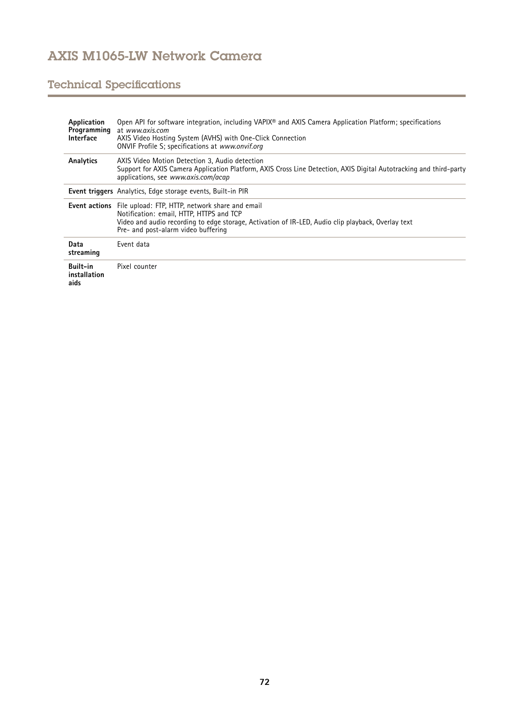# Technical Specifications

| Application<br>Programming<br><b>Interface</b> | Open API for software integration, including VAPIX® and AXIS Camera Application Platform; specifications<br>at www.gxis.com<br>AXIS Video Hosting System (AVHS) with One-Click Connection<br>ONVIF Profile S; specifications at www.onvif.org                 |
|------------------------------------------------|---------------------------------------------------------------------------------------------------------------------------------------------------------------------------------------------------------------------------------------------------------------|
| Analytics                                      | AXIS Video Motion Detection 3. Audio detection<br>Support for AXIS Camera Application Platform, AXIS Cross Line Detection, AXIS Digital Autotracking and third-party<br>applications, see www.axis.com/acap                                                   |
|                                                | <b>Event triggers</b> Analytics, Edge storage events, Built-in PIR                                                                                                                                                                                            |
|                                                | <b>Event actions</b> File upload: FTP, HTTP, network share and email<br>Notification: email, HTTP, HTTPS and TCP<br>Video and audio recording to edge storage, Activation of IR-LED, Audio clip playback, Overlay text<br>Pre- and post-alarm video buffering |
| Data<br>streaming                              | Event data                                                                                                                                                                                                                                                    |
| Built-in<br>installation<br>aids               | Pixel counter                                                                                                                                                                                                                                                 |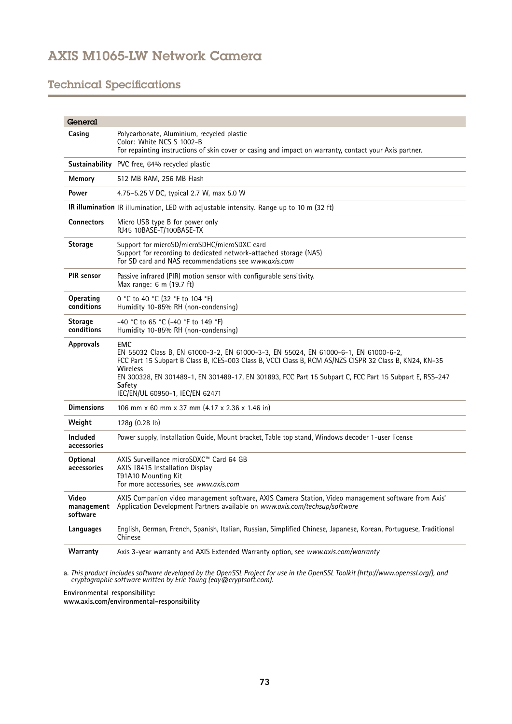## AXIS M1065-LW Network Camera

### Technical Specifications

| General                                                                                  |                                                                                                                                                                                                                                                                                                                                                                                 |
|------------------------------------------------------------------------------------------|---------------------------------------------------------------------------------------------------------------------------------------------------------------------------------------------------------------------------------------------------------------------------------------------------------------------------------------------------------------------------------|
| Casing                                                                                   | Polycarbonate, Aluminium, recycled plastic<br>Color: White NCS S 1002-B<br>For repainting instructions of skin cover or casing and impact on warranty, contact your Axis partner.                                                                                                                                                                                               |
|                                                                                          | <b>Sustainability</b> PVC free, 64% recycled plastic                                                                                                                                                                                                                                                                                                                            |
| Memory                                                                                   | 512 MB RAM, 256 MB Flash                                                                                                                                                                                                                                                                                                                                                        |
| Power                                                                                    | 4.75-5.25 V DC, typical 2.7 W, max 5.0 W                                                                                                                                                                                                                                                                                                                                        |
| IR illumination IR illumination, LED with adjustable intensity. Range up to 10 m (32 ft) |                                                                                                                                                                                                                                                                                                                                                                                 |
| <b>Connectors</b>                                                                        | Micro USB type B for power only<br>RJ45 10BASE-T/100BASE-TX                                                                                                                                                                                                                                                                                                                     |
| <b>Storage</b>                                                                           | Support for microSD/microSDHC/microSDXC card<br>Support for recording to dedicated network-attached storage (NAS)<br>For SD card and NAS recommendations see www.gxis.com                                                                                                                                                                                                       |
| <b>PIR</b> sensor                                                                        | Passive infrared (PIR) motion sensor with configurable sensitivity.<br>Max range: 6 m (19.7 ft)                                                                                                                                                                                                                                                                                 |
| Operating<br>conditions                                                                  | 0 °C to 40 °C (32 °F to 104 °F)<br>Humidity 10-85% RH (non-condensing)                                                                                                                                                                                                                                                                                                          |
| <b>Storage</b><br>conditions                                                             | -40 °C to 65 °C (-40 °F to 149 °F)<br>Humidity 10-85% RH (non-condensing)                                                                                                                                                                                                                                                                                                       |
| <b>Approvals</b>                                                                         | <b>EMC</b><br>EN 55032 Class B, EN 61000-3-2, EN 61000-3-3, EN 55024, EN 61000-6-1, EN 61000-6-2,<br>FCC Part 15 Subpart B Class B, ICES-003 Class B, VCCI Class B, RCM AS/NZS CISPR 32 Class B, KN24, KN-35<br>Wireless<br>EN 300328, EN 301489-1, EN 301489-17, EN 301893, FCC Part 15 Subpart C, FCC Part 15 Subpart E, RSS-247<br>Safety<br>IEC/EN/UL 60950-1, IEC/EN 62471 |
| <b>Dimensions</b>                                                                        | 106 mm x 60 mm x 37 mm (4.17 x 2.36 x 1.46 in)                                                                                                                                                                                                                                                                                                                                  |
| Weight                                                                                   | 128q(0.28 lb)                                                                                                                                                                                                                                                                                                                                                                   |
| Included<br>accessories                                                                  | Power supply, Installation Guide, Mount bracket, Table top stand, Windows decoder 1-user license                                                                                                                                                                                                                                                                                |
| Optional<br>accessories                                                                  | AXIS Surveillance microSDXC™ Card 64 GB<br>AXIS T8415 Installation Display<br>T91A10 Mounting Kit<br>For more accessories, see www.axis.com                                                                                                                                                                                                                                     |
| Video<br>management<br>software                                                          | "AXIS Companion video management software, AXIS Camera Station, Video management software from Axis<br>Application Development Partners available on www.axis.com/techsup/software                                                                                                                                                                                              |
| Languages                                                                                | English, German, French, Spanish, Italian, Russian, Simplified Chinese, Japanese, Korean, Portuguese, Traditional<br>Chinese                                                                                                                                                                                                                                                    |
| Warranty                                                                                 | Axis 3-year warranty and AXIS Extended Warranty option, see <i>www.axis.com/warranty</i>                                                                                                                                                                                                                                                                                        |

a. This product includes software developed by the OpenSSL Project for use in the OpenSSL Toolkit (http://www.openssl.org/), and<br>cryptographic software written by Eric Young (eay@cryptsoft.com).

**Environmental responsibility:**

**www.axis.com/environmental-responsibility**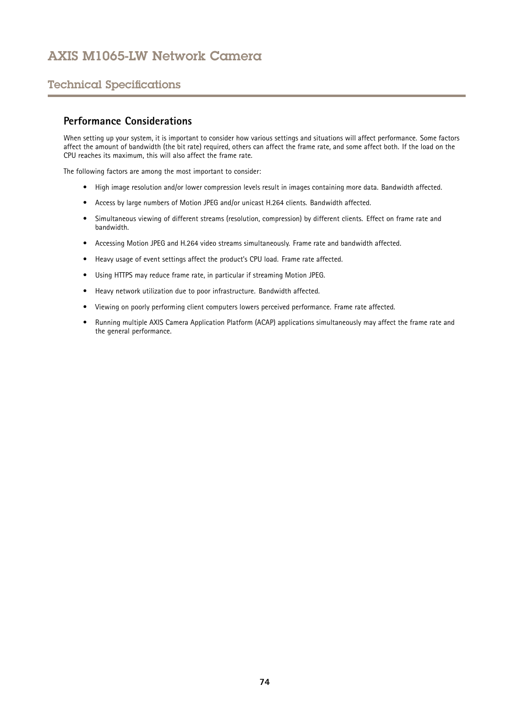# AXIS M1065-LW Network Camera

#### Technical Specifications

#### **Performance Considerations**

When setting up your system, it is important to consider how various settings and situations will affect performance. Some factors affect the amount of bandwidth (the bit rate) required, others can affect the frame rate, and some affect both. If the load on the CPU reaches its maximum, this will also affect the frame rate.

The following factors are among the most important to consider:

- High image resolution and/or lower compression levels result in images containing more data. Bandwidth affected.
- Access by large numbers of Motion JPEG and/or unicast H.264 clients. Bandwidth affected.
- • Simultaneous viewing of different streams (resolution, compression) by different clients. Effect on frame rate and bandwidth.
- Accessing Motion JPEG and H.264 video streams simultaneously. Frame rate and bandwidth affected.
- Heavy usage of event settings affect the product's CPU load. Frame rate affected.
- Using HTTPS may reduce frame rate, in particular if streaming Motion JPEG.
- Heavy network utilization due to poor infrastructure. Bandwidth affected.
- •Viewing on poorly performing client computers lowers perceived performance. Frame rate affected.
- • Running multiple AXIS Camera Application Platform (ACAP) applications simultaneously may affect the frame rate and the general performance.